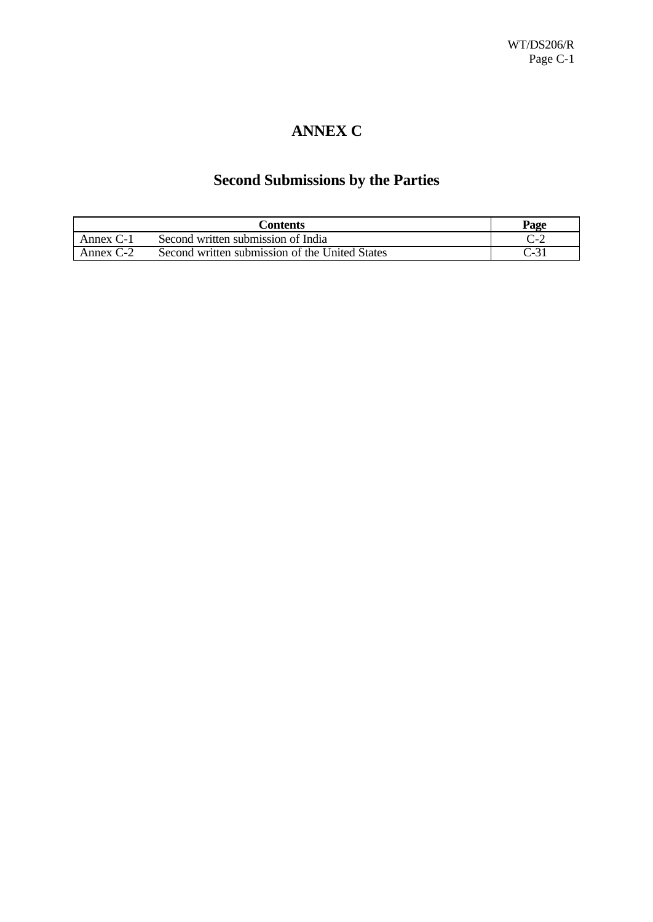# **ANNEX C**

# **Second Submissions by the Parties**

|                               | <b>Contents</b>                                | Page  |
|-------------------------------|------------------------------------------------|-------|
| Annex C-1                     | Second written submission of India             | $C-2$ |
| $\overline{\text{Annex}}$ C-2 | Second written submission of the United States | C-31  |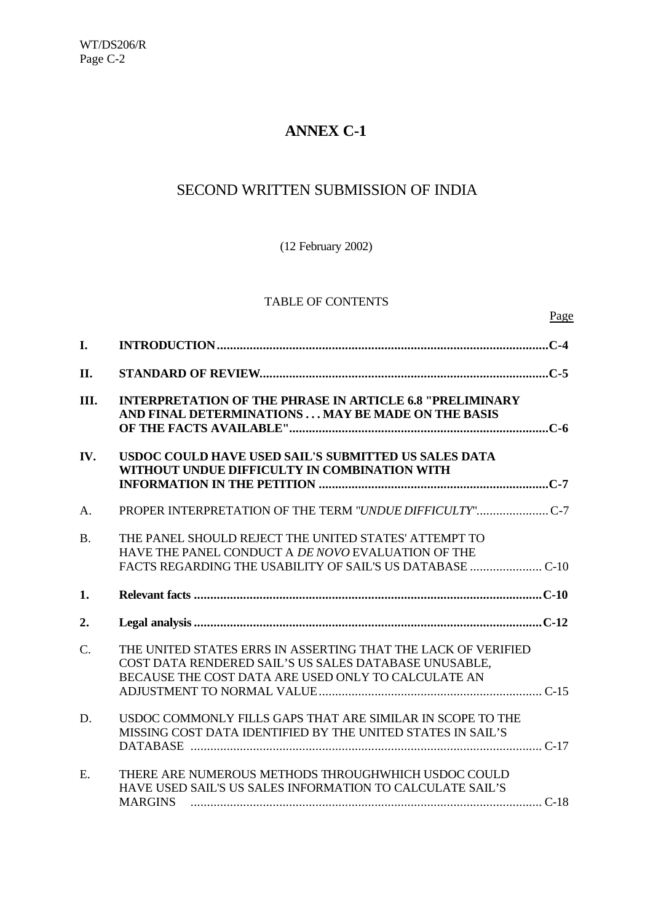# **ANNEX C-1**

# SECOND WRITTEN SUBMISSION OF INDIA

(12 February 2002)

### TABLE OF CONTENTS

Page

| I.              |                                                                                                                                                                               |  |  |  |
|-----------------|-------------------------------------------------------------------------------------------------------------------------------------------------------------------------------|--|--|--|
| II.             |                                                                                                                                                                               |  |  |  |
| III.            | <b>INTERPRETATION OF THE PHRASE IN ARTICLE 6.8 "PRELIMINARY</b><br>AND FINAL DETERMINATIONS  MAY BE MADE ON THE BASIS                                                         |  |  |  |
| IV.             | USDOC COULD HAVE USED SAIL'S SUBMITTED US SALES DATA<br>WITHOUT UNDUE DIFFICULTY IN COMBINATION WITH                                                                          |  |  |  |
| A.              | PROPER INTERPRETATION OF THE TERM "UNDUE DIFFICULTY"C-7                                                                                                                       |  |  |  |
| B <sub>1</sub>  | THE PANEL SHOULD REJECT THE UNITED STATES' ATTEMPT TO<br>HAVE THE PANEL CONDUCT A DE NOVO EVALUATION OF THE                                                                   |  |  |  |
| 1.              |                                                                                                                                                                               |  |  |  |
| 2.              |                                                                                                                                                                               |  |  |  |
| $\mathcal{C}$ . | THE UNITED STATES ERRS IN ASSERTING THAT THE LACK OF VERIFIED<br>COST DATA RENDERED SAIL'S US SALES DATABASE UNUSABLE,<br>BECAUSE THE COST DATA ARE USED ONLY TO CALCULATE AN |  |  |  |
| D.              | USDOC COMMONLY FILLS GAPS THAT ARE SIMILAR IN SCOPE TO THE<br>MISSING COST DATA IDENTIFIED BY THE UNITED STATES IN SAIL'S                                                     |  |  |  |
| E.              | THERE ARE NUMEROUS METHODS THROUGHWHICH USDOC COULD<br>HAVE USED SAIL'S US SALES INFORMATION TO CALCULATE SAIL'S<br><b>MARGINS</b>                                            |  |  |  |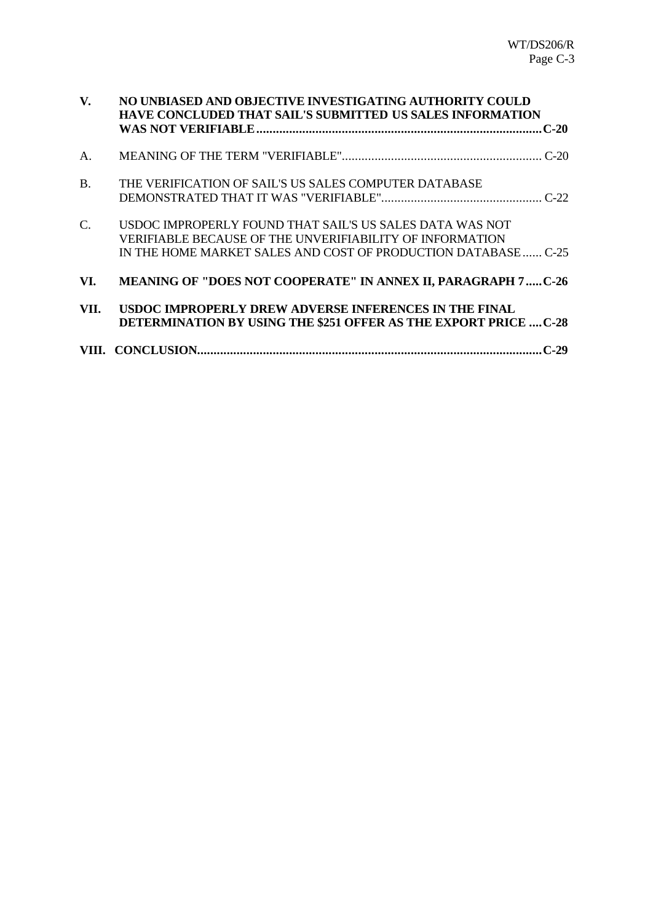| $\mathbf{V}_{\bullet}$ | NO UNBIASED AND OBJECTIVE INVESTIGATING AUTHORITY COULD<br>HAVE CONCLUDED THAT SAIL'S SUBMITTED US SALES INFORMATION                                                                  |         |
|------------------------|---------------------------------------------------------------------------------------------------------------------------------------------------------------------------------------|---------|
|                        |                                                                                                                                                                                       | $.C-20$ |
| $\mathsf{A}$ .         |                                                                                                                                                                                       |         |
| <b>B.</b>              | THE VERIFICATION OF SAIL'S US SALES COMPUTER DATABASE                                                                                                                                 |         |
| $C_{\cdot}$            | USDOC IMPROPERLY FOUND THAT SAIL'S US SALES DATA WAS NOT<br>VERIFIABLE BECAUSE OF THE UNVERIFIABILITY OF INFORMATION<br>IN THE HOME MARKET SALES AND COST OF PRODUCTION DATABASE C-25 |         |
| VI.                    | MEANING OF "DOES NOT COOPERATE" IN ANNEX II, PARAGRAPH 7C-26                                                                                                                          |         |
| VII.                   | USDOC IMPROPERLY DREW ADVERSE INFERENCES IN THE FINAL<br><b>DETERMINATION BY USING THE \$251 OFFER AS THE EXPORT PRICE  C-28</b>                                                      |         |
|                        |                                                                                                                                                                                       |         |
|                        |                                                                                                                                                                                       |         |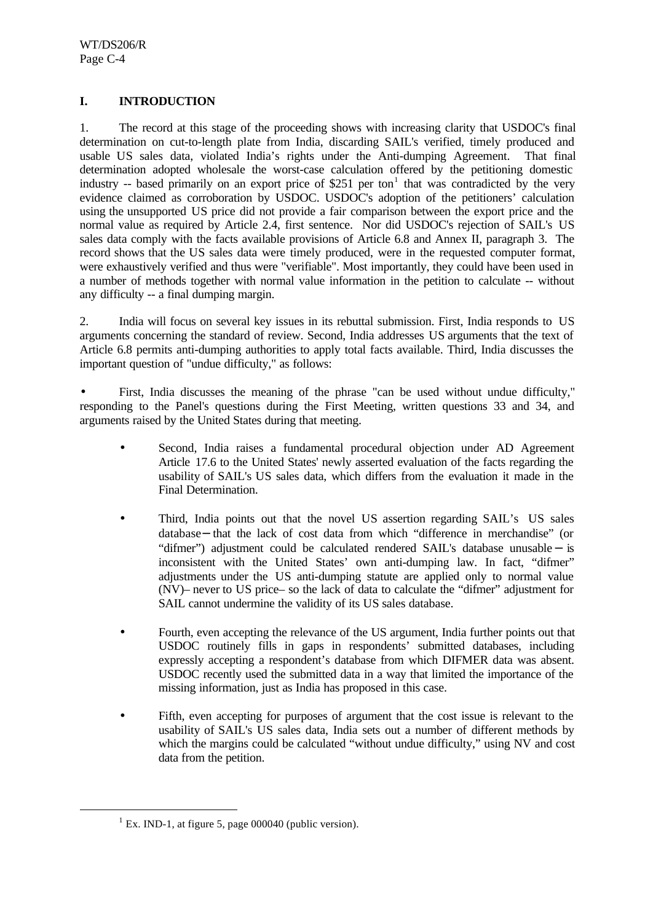## **I. INTRODUCTION**

1. The record at this stage of the proceeding shows with increasing clarity that USDOC's final determination on cut-to-length plate from India, discarding SAIL's verified, timely produced and usable US sales data, violated India's rights under the Anti-dumping Agreement. That final determination adopted wholesale the worst-case calculation offered by the petitioning domestic industry -- based primarily on an export price of \$251 per ton<sup>1</sup> that was contradicted by the very evidence claimed as corroboration by USDOC. USDOC's adoption of the petitioners' calculation using the unsupported US price did not provide a fair comparison between the export price and the normal value as required by Article 2.4, first sentence. Nor did USDOC's rejection of SAIL's US sales data comply with the facts available provisions of Article 6.8 and Annex II, paragraph 3. The record shows that the US sales data were timely produced, were in the requested computer format, were exhaustively verified and thus were "verifiable". Most importantly, they could have been used in a number of methods together with normal value information in the petition to calculate -- without any difficulty -- a final dumping margin.

2. India will focus on several key issues in its rebuttal submission. First, India responds to US arguments concerning the standard of review. Second, India addresses US arguments that the text of Article 6.8 permits anti-dumping authorities to apply total facts available. Third, India discusses the important question of "undue difficulty," as follows:

• First, India discusses the meaning of the phrase "can be used without undue difficulty," responding to the Panel's questions during the First Meeting, written questions 33 and 34, and arguments raised by the United States during that meeting.

- Second, India raises a fundamental procedural objection under AD Agreement Article 17.6 to the United States' newly asserted evaluation of the facts regarding the usability of SAIL's US sales data, which differs from the evaluation it made in the Final Determination.
- Third, India points out that the novel US assertion regarding SAIL's US sales database− that the lack of cost data from which "difference in merchandise" (or "difmer") adjustment could be calculated rendered SAIL's database unusable− is inconsistent with the United States' own anti-dumping law. In fact, "difmer" adjustments under the US anti-dumping statute are applied only to normal value (NV)– never to US price– so the lack of data to calculate the "difmer" adjustment for SAIL cannot undermine the validity of its US sales database.
- Fourth, even accepting the relevance of the US argument, India further points out that USDOC routinely fills in gaps in respondents' submitted databases, including expressly accepting a respondent's database from which DIFMER data was absent. USDOC recently used the submitted data in a way that limited the importance of the missing information, just as India has proposed in this case.
- Fifth, even accepting for purposes of argument that the cost issue is relevant to the usability of SAIL's US sales data, India sets out a number of different methods by which the margins could be calculated "without undue difficulty," using NV and cost data from the petition.

 $<sup>1</sup>$  Ex. IND-1, at figure 5, page 000040 (public version).</sup>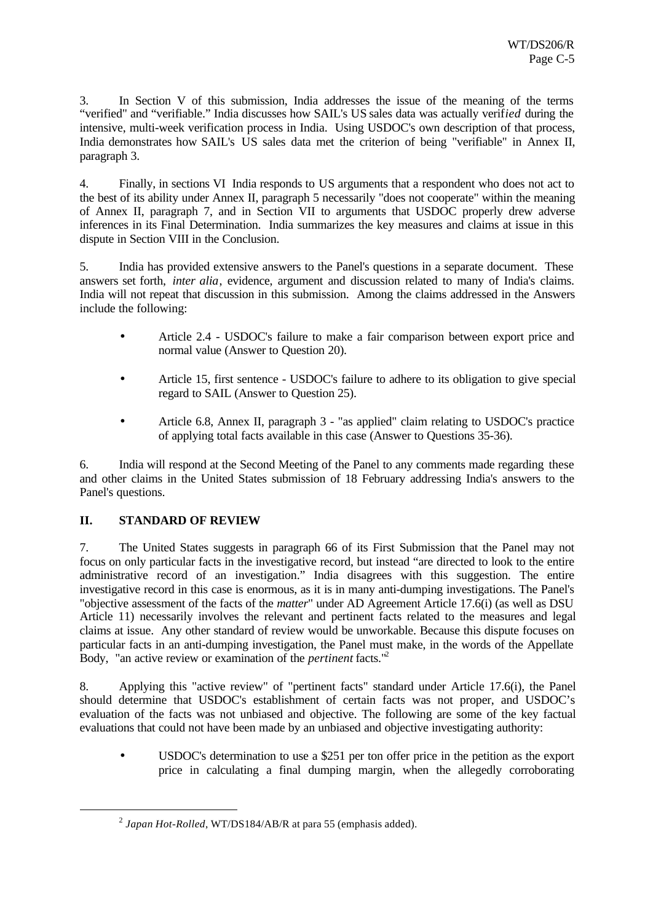3. In Section V of this submission, India addresses the issue of the meaning of the terms "verified" and "verifiable." India discusses how SAIL's US sales data was actually verif*ied* during the intensive, multi-week verification process in India. Using USDOC's own description of that process, India demonstrates how SAIL's US sales data met the criterion of being "verifiable" in Annex II, paragraph 3.

4. Finally, in sections VI India responds to US arguments that a respondent who does not act to the best of its ability under Annex II, paragraph 5 necessarily "does not cooperate" within the meaning of Annex II, paragraph 7, and in Section VII to arguments that USDOC properly drew adverse inferences in its Final Determination. India summarizes the key measures and claims at issue in this dispute in Section VIII in the Conclusion.

5. India has provided extensive answers to the Panel's questions in a separate document. These answers set forth, *inter alia*, evidence, argument and discussion related to many of India's claims. India will not repeat that discussion in this submission. Among the claims addressed in the Answers include the following:

- Article 2.4 USDOC's failure to make a fair comparison between export price and normal value (Answer to Question 20).
- Article 15, first sentence USDOC's failure to adhere to its obligation to give special regard to SAIL (Answer to Question 25).
- Article 6.8, Annex II, paragraph 3 "as applied" claim relating to USDOC's practice of applying total facts available in this case (Answer to Questions 35-36).

6. India will respond at the Second Meeting of the Panel to any comments made regarding these and other claims in the United States submission of 18 February addressing India's answers to the Panel's questions.

# **II. STANDARD OF REVIEW**

l

7. The United States suggests in paragraph 66 of its First Submission that the Panel may not focus on only particular facts in the investigative record, but instead "are directed to look to the entire administrative record of an investigation." India disagrees with this suggestion. The entire investigative record in this case is enormous, as it is in many anti-dumping investigations. The Panel's "objective assessment of the facts of the *matter*" under AD Agreement Article 17.6(i) (as well as DSU Article 11) necessarily involves the relevant and pertinent facts related to the measures and legal claims at issue. Any other standard of review would be unworkable. Because this dispute focuses on particular facts in an anti-dumping investigation, the Panel must make, in the words of the Appellate Body, "an active review or examination of the *pertinent* facts."<sup>2</sup>

8. Applying this "active review" of "pertinent facts" standard under Article 17.6(i), the Panel should determine that USDOC's establishment of certain facts was not proper, and USDOC's evaluation of the facts was not unbiased and objective. The following are some of the key factual evaluations that could not have been made by an unbiased and objective investigating authority:

• USDOC's determination to use a \$251 per ton offer price in the petition as the export price in calculating a final dumping margin, when the allegedly corroborating

<sup>2</sup> *Japan Hot-Rolled*, WT/DS184/AB/R at para 55 (emphasis added).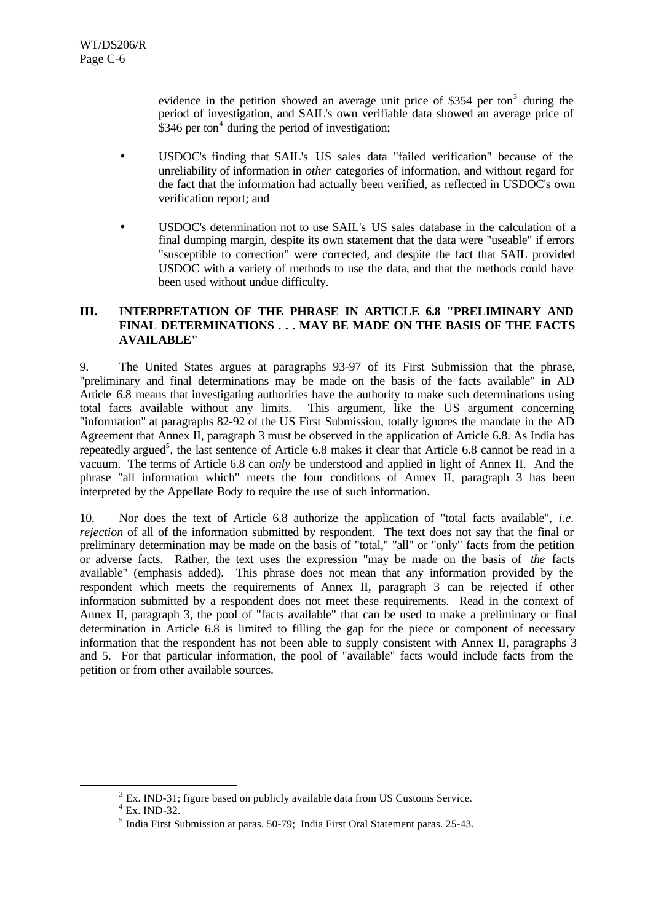evidence in the petition showed an average unit price of \$354 per ton<sup>3</sup> during the period of investigation, and SAIL's own verifiable data showed an average price of  $$346$  per ton<sup>4</sup> during the period of investigation;

- USDOC's finding that SAIL's US sales data "failed verification" because of the unreliability of information in *other* categories of information, and without regard for the fact that the information had actually been verified, as reflected in USDOC's own verification report; and
- USDOC's determination not to use SAIL's US sales database in the calculation of a final dumping margin, despite its own statement that the data were "useable" if errors "susceptible to correction" were corrected, and despite the fact that SAIL provided USDOC with a variety of methods to use the data, and that the methods could have been used without undue difficulty.

### **III. INTERPRETATION OF THE PHRASE IN ARTICLE 6.8 "PRELIMINARY AND FINAL DETERMINATIONS . . . MAY BE MADE ON THE BASIS OF THE FACTS AVAILABLE"**

9. The United States argues at paragraphs 93-97 of its First Submission that the phrase, "preliminary and final determinations may be made on the basis of the facts available" in AD Article 6.8 means that investigating authorities have the authority to make such determinations using total facts available without any limits. This argument, like the US argument concerning "information" at paragraphs 82-92 of the US First Submission, totally ignores the mandate in the AD Agreement that Annex II, paragraph 3 must be observed in the application of Article 6.8. As India has repeatedly argued<sup>5</sup>, the last sentence of Article 6.8 makes it clear that Article 6.8 cannot be read in a vacuum. The terms of Article 6.8 can *only* be understood and applied in light of Annex II. And the phrase "all information which" meets the four conditions of Annex II, paragraph 3 has been interpreted by the Appellate Body to require the use of such information.

10. Nor does the text of Article 6.8 authorize the application of "total facts available", *i.e. rejection* of all of the information submitted by respondent. The text does not say that the final or preliminary determination may be made on the basis of "total," "all" or "only" facts from the petition or adverse facts. Rather, the text uses the expression "may be made on the basis of *the* facts available" (emphasis added). This phrase does not mean that any information provided by the respondent which meets the requirements of Annex II, paragraph 3 can be rejected if other information submitted by a respondent does not meet these requirements. Read in the context of Annex II, paragraph 3, the pool of "facts available" that can be used to make a preliminary or final determination in Article 6.8 is limited to filling the gap for the piece or component of necessary information that the respondent has not been able to supply consistent with Annex II, paragraphs 3 and 5. For that particular information, the pool of "available" facts would include facts from the petition or from other available sources.

 $3$  Ex. IND-31; figure based on publicly available data from US Customs Service.

<sup>4</sup> Ex. IND-32.

<sup>&</sup>lt;sup>5</sup> India First Submission at paras. 50-79; India First Oral Statement paras. 25-43.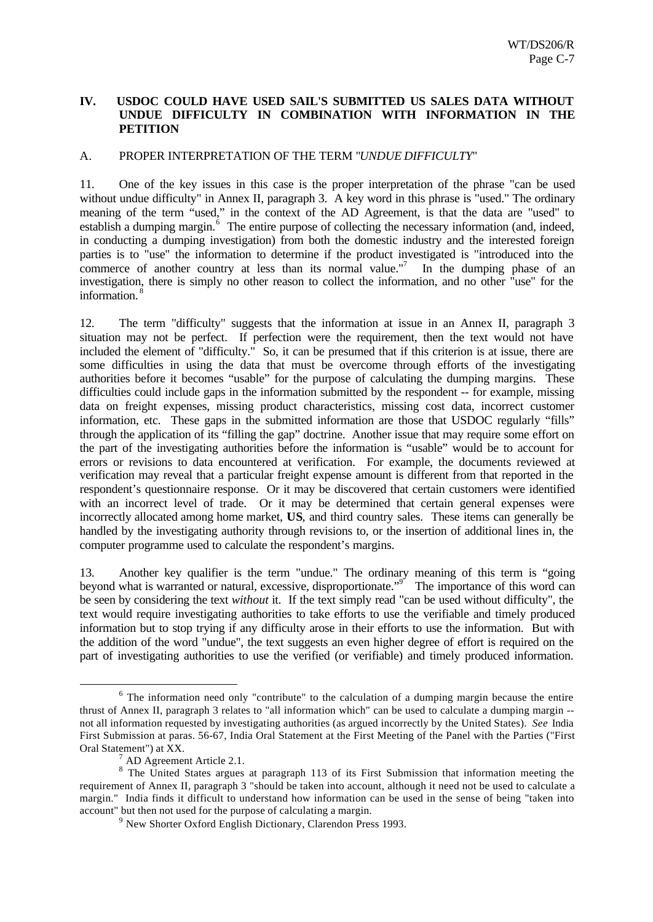#### **IV. USDOC COULD HAVE USED SAIL'S SUBMITTED US SALES DATA WITHOUT UNDUE DIFFICULTY IN COMBINATION WITH INFORMATION IN THE PETITION**

### A. PROPER INTERPRETATION OF THE TERM "*UNDUE DIFFICULTY*"

11. One of the key issues in this case is the proper interpretation of the phrase "can be used without undue difficulty" in Annex II, paragraph 3. A key word in this phrase is "used." The ordinary meaning of the term "used," in the context of the AD Agreement, is that the data are "used" to establish a dumping margin.<sup>6</sup> The entire purpose of collecting the necessary information (and, indeed, in conducting a dumping investigation) from both the domestic industry and the interested foreign parties is to "use" the information to determine if the product investigated is "introduced into the commerce of another country at less than its normal value."<sup>7</sup> In the dumping phase of an investigation, there is simply no other reason to collect the information, and no other "use" for the information<sup>8</sup>

12. The term "difficulty" suggests that the information at issue in an Annex II, paragraph 3 situation may not be perfect. If perfection were the requirement, then the text would not have included the element of "difficulty." So, it can be presumed that if this criterion is at issue, there are some difficulties in using the data that must be overcome through efforts of the investigating authorities before it becomes "usable" for the purpose of calculating the dumping margins. These difficulties could include gaps in the information submitted by the respondent -- for example, missing data on freight expenses, missing product characteristics, missing cost data, incorrect customer information, etc. These gaps in the submitted information are those that USDOC regularly "fills" through the application of its "filling the gap" doctrine. Another issue that may require some effort on the part of the investigating authorities before the information is "usable" would be to account for errors or revisions to data encountered at verification. For example, the documents reviewed at verification may reveal that a particular freight expense amount is different from that reported in the respondent's questionnaire response. Or it may be discovered that certain customers were identified with an incorrect level of trade. Or it may be determined that certain general expenses were incorrectly allocated among home market, **US**, and third country sales. These items can generally be handled by the investigating authority through revisions to, or the insertion of additional lines in, the computer programme used to calculate the respondent's margins.

13. Another key qualifier is the term "undue." The ordinary meaning of this term is "going beyond what is warranted or natural, excessive, disproportionate."<sup>9</sup> The importance of this word can be seen by considering the text *without* it. If the text simply read "can be used without difficulty", the text would require investigating authorities to take efforts to use the verifiable and timely produced information but to stop trying if any difficulty arose in their efforts to use the information. But with the addition of the word "undue", the text suggests an even higher degree of effort is required on the part of investigating authorities to use the verified (or verifiable) and timely produced information.

 $6$  The information need only "contribute" to the calculation of a dumping margin because the entire thrust of Annex II, paragraph 3 relates to "all information which" can be used to calculate a dumping margin - not all information requested by investigating authorities (as argued incorrectly by the United States). *See* India First Submission at paras. 56-67, India Oral Statement at the First Meeting of the Panel with the Parties ("First Oral Statement") at XX.

 $7$  AD Agreement Article 2.1.

<sup>&</sup>lt;sup>8</sup> The United States argues at paragraph 113 of its First Submission that information meeting the requirement of Annex II, paragraph 3 "should be taken into account, although it need not be used to calculate a margin." India finds it difficult to understand how information can be used in the sense of being "taken into account" but then not used for the purpose of calculating a margin.

<sup>&</sup>lt;sup>9</sup> New Shorter Oxford English Dictionary, Clarendon Press 1993.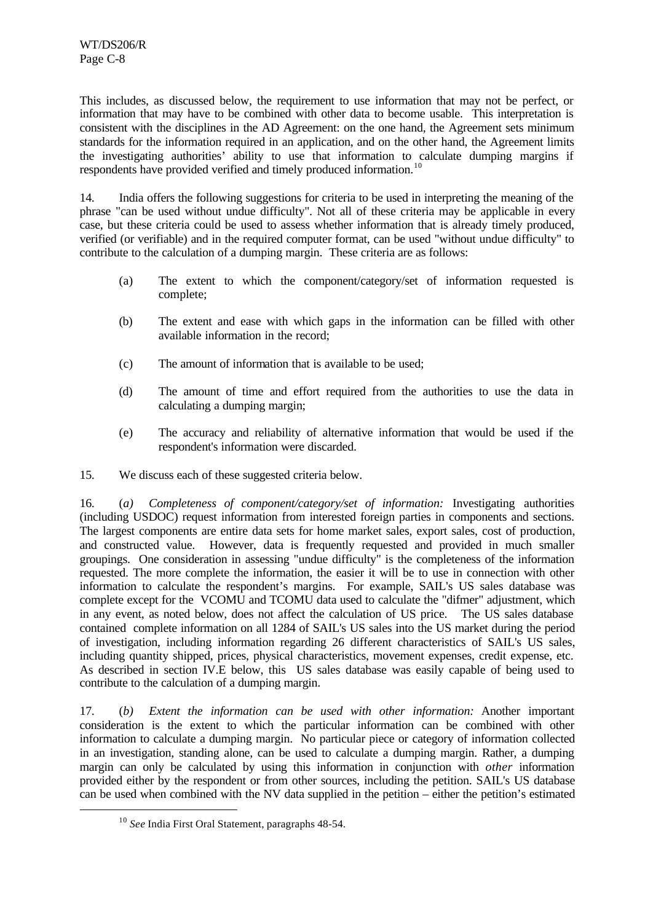This includes, as discussed below, the requirement to use information that may not be perfect, or information that may have to be combined with other data to become usable. This interpretation is consistent with the disciplines in the AD Agreement: on the one hand, the Agreement sets minimum standards for the information required in an application, and on the other hand, the Agreement limits the investigating authorities' ability to use that information to calculate dumping margins if respondents have provided verified and timely produced information.<sup>10</sup>

14. India offers the following suggestions for criteria to be used in interpreting the meaning of the phrase "can be used without undue difficulty". Not all of these criteria may be applicable in every case, but these criteria could be used to assess whether information that is already timely produced, verified (or verifiable) and in the required computer format, can be used "without undue difficulty" to contribute to the calculation of a dumping margin. These criteria are as follows:

- (a) The extent to which the component/category/set of information requested is complete;
- (b) The extent and ease with which gaps in the information can be filled with other available information in the record;
- (c) The amount of information that is available to be used;
- (d) The amount of time and effort required from the authorities to use the data in calculating a dumping margin;
- (e) The accuracy and reliability of alternative information that would be used if the respondent's information were discarded.

15. We discuss each of these suggested criteria below.

16. (*a) Completeness of component/category/set of information:* Investigating authorities (including USDOC) request information from interested foreign parties in components and sections. The largest components are entire data sets for home market sales, export sales, cost of production, and constructed value. However, data is frequently requested and provided in much smaller groupings. One consideration in assessing "undue difficulty" is the completeness of the information requested. The more complete the information, the easier it will be to use in connection with other information to calculate the respondent's margins. For example, SAIL's US sales database was complete except for the VCOMU and TCOMU data used to calculate the "difmer" adjustment, which in any event, as noted below, does not affect the calculation of US price. The US sales database contained complete information on all 1284 of SAIL's US sales into the US market during the period of investigation, including information regarding 26 different characteristics of SAIL's US sales, including quantity shipped, prices, physical characteristics, movement expenses, credit expense, etc. As described in section IV.E below, this US sales database was easily capable of being used to contribute to the calculation of a dumping margin.

17. (*b) Extent the information can be used with other information:* Another important consideration is the extent to which the particular information can be combined with other information to calculate a dumping margin. No particular piece or category of information collected in an investigation, standing alone, can be used to calculate a dumping margin. Rather, a dumping margin can only be calculated by using this information in conjunction with *other* information provided either by the respondent or from other sources, including the petition. SAIL's US database can be used when combined with the NV data supplied in the petition – either the petition's estimated

<sup>10</sup> *See* India First Oral Statement, paragraphs 48-54.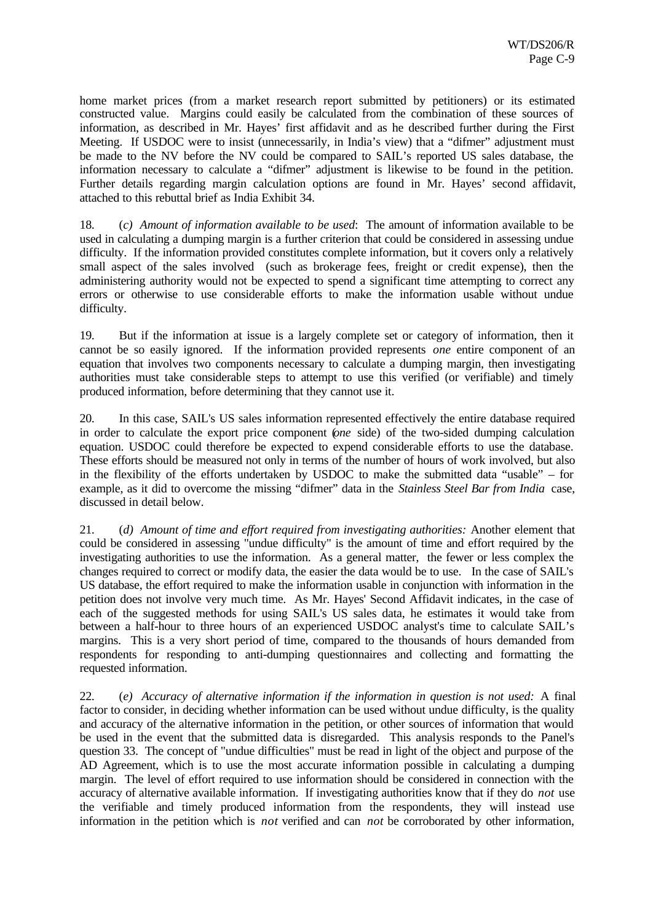home market prices (from a market research report submitted by petitioners) or its estimated constructed value. Margins could easily be calculated from the combination of these sources of information, as described in Mr. Hayes' first affidavit and as he described further during the First Meeting. If USDOC were to insist (unnecessarily, in India's view) that a "difmer" adjustment must be made to the NV before the NV could be compared to SAIL's reported US sales database, the information necessary to calculate a "difmer" adjustment is likewise to be found in the petition. Further details regarding margin calculation options are found in Mr. Hayes' second affidavit, attached to this rebuttal brief as India Exhibit 34.

18. (*c) Amount of information available to be used*: The amount of information available to be used in calculating a dumping margin is a further criterion that could be considered in assessing undue difficulty. If the information provided constitutes complete information, but it covers only a relatively small aspect of the sales involved (such as brokerage fees, freight or credit expense), then the administering authority would not be expected to spend a significant time attempting to correct any errors or otherwise to use considerable efforts to make the information usable without undue difficulty.

19. But if the information at issue is a largely complete set or category of information, then it cannot be so easily ignored. If the information provided represents *one* entire component of an equation that involves two components necessary to calculate a dumping margin, then investigating authorities must take considerable steps to attempt to use this verified (or verifiable) and timely produced information, before determining that they cannot use it.

20. In this case, SAIL's US sales information represented effectively the entire database required in order to calculate the export price component (*one* side) of the two-sided dumping calculation equation. USDOC could therefore be expected to expend considerable efforts to use the database. These efforts should be measured not only in terms of the number of hours of work involved, but also in the flexibility of the efforts undertaken by USDOC to make the submitted data "usable" – for example, as it did to overcome the missing "difmer" data in the *Stainless Steel Bar from India* case, discussed in detail below.

21. (*d) Amount of time and effort required from investigating authorities:* Another element that could be considered in assessing "undue difficulty" is the amount of time and effort required by the investigating authorities to use the information. As a general matter, the fewer or less complex the changes required to correct or modify data, the easier the data would be to use. In the case of SAIL's US database, the effort required to make the information usable in conjunction with information in the petition does not involve very much time. As Mr. Hayes' Second Affidavit indicates, in the case of each of the suggested methods for using SAIL's US sales data, he estimates it would take from between a half-hour to three hours of an experienced USDOC analyst's time to calculate SAIL's margins. This is a very short period of time, compared to the thousands of hours demanded from respondents for responding to anti-dumping questionnaires and collecting and formatting the requested information.

22. (*e) Accuracy of alternative information if the information in question is not used:* A final factor to consider, in deciding whether information can be used without undue difficulty, is the quality and accuracy of the alternative information in the petition, or other sources of information that would be used in the event that the submitted data is disregarded. This analysis responds to the Panel's question 33. The concept of "undue difficulties" must be read in light of the object and purpose of the AD Agreement, which is to use the most accurate information possible in calculating a dumping margin. The level of effort required to use information should be considered in connection with the accuracy of alternative available information. If investigating authorities know that if they do *not* use the verifiable and timely produced information from the respondents, they will instead use information in the petition which is *not* verified and can *not* be corroborated by other information,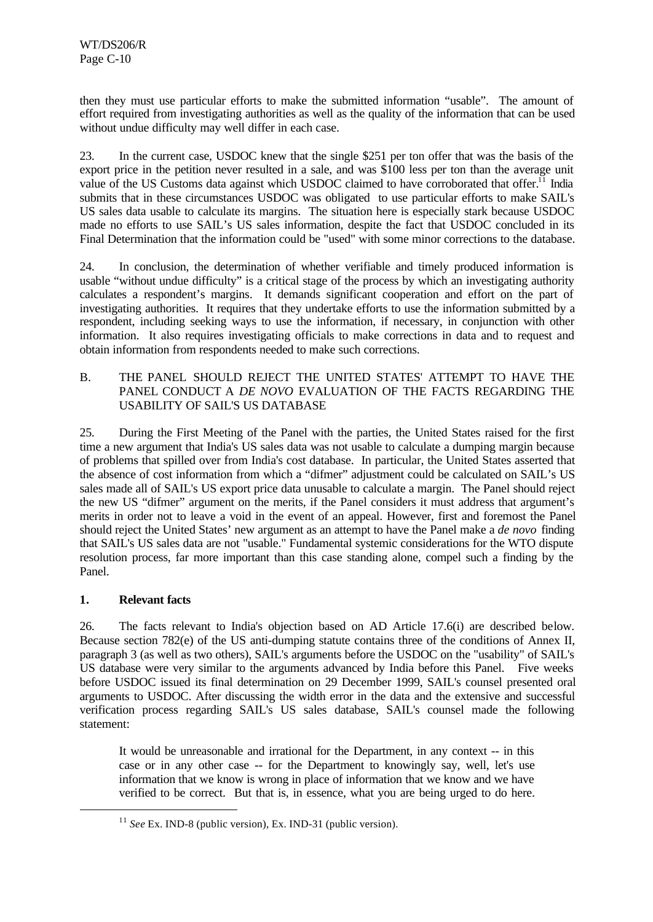then they must use particular efforts to make the submitted information "usable". The amount of effort required from investigating authorities as well as the quality of the information that can be used without undue difficulty may well differ in each case.

23. In the current case, USDOC knew that the single \$251 per ton offer that was the basis of the export price in the petition never resulted in a sale, and was \$100 less per ton than the average unit value of the US Customs data against which USDOC claimed to have corroborated that offer.<sup>11</sup> India submits that in these circumstances USDOC was obligated to use particular efforts to make SAIL's US sales data usable to calculate its margins. The situation here is especially stark because USDOC made no efforts to use SAIL's US sales information, despite the fact that USDOC concluded in its Final Determination that the information could be "used" with some minor corrections to the database.

24. In conclusion, the determination of whether verifiable and timely produced information is usable "without undue difficulty" is a critical stage of the process by which an investigating authority calculates a respondent's margins. It demands significant cooperation and effort on the part of investigating authorities. It requires that they undertake efforts to use the information submitted by a respondent, including seeking ways to use the information, if necessary, in conjunction with other information. It also requires investigating officials to make corrections in data and to request and obtain information from respondents needed to make such corrections.

### B. THE PANEL SHOULD REJECT THE UNITED STATES' ATTEMPT TO HAVE THE PANEL CONDUCT A *DE NOVO* EVALUATION OF THE FACTS REGARDING THE USABILITY OF SAIL'S US DATABASE

25. During the First Meeting of the Panel with the parties, the United States raised for the first time a new argument that India's US sales data was not usable to calculate a dumping margin because of problems that spilled over from India's cost database. In particular, the United States asserted that the absence of cost information from which a "difmer" adjustment could be calculated on SAIL's US sales made all of SAIL's US export price data unusable to calculate a margin. The Panel should reject the new US "difmer" argument on the merits, if the Panel considers it must address that argument's merits in order not to leave a void in the event of an appeal. However, first and foremost the Panel should reject the United States' new argument as an attempt to have the Panel make a *de novo* finding that SAIL's US sales data are not "usable." Fundamental systemic considerations for the WTO dispute resolution process, far more important than this case standing alone, compel such a finding by the Panel.

## **1. Relevant facts**

l

26. The facts relevant to India's objection based on AD Article 17.6(i) are described below. Because section 782(e) of the US anti-dumping statute contains three of the conditions of Annex II, paragraph 3 (as well as two others), SAIL's arguments before the USDOC on the "usability" of SAIL's US database were very similar to the arguments advanced by India before this Panel. Five weeks before USDOC issued its final determination on 29 December 1999, SAIL's counsel presented oral arguments to USDOC. After discussing the width error in the data and the extensive and successful verification process regarding SAIL's US sales database, SAIL's counsel made the following statement:

It would be unreasonable and irrational for the Department, in any context -- in this case or in any other case -- for the Department to knowingly say, well, let's use information that we know is wrong in place of information that we know and we have verified to be correct. But that is, in essence, what you are being urged to do here.

<sup>11</sup> *See* Ex. IND-8 (public version), Ex. IND-31 (public version).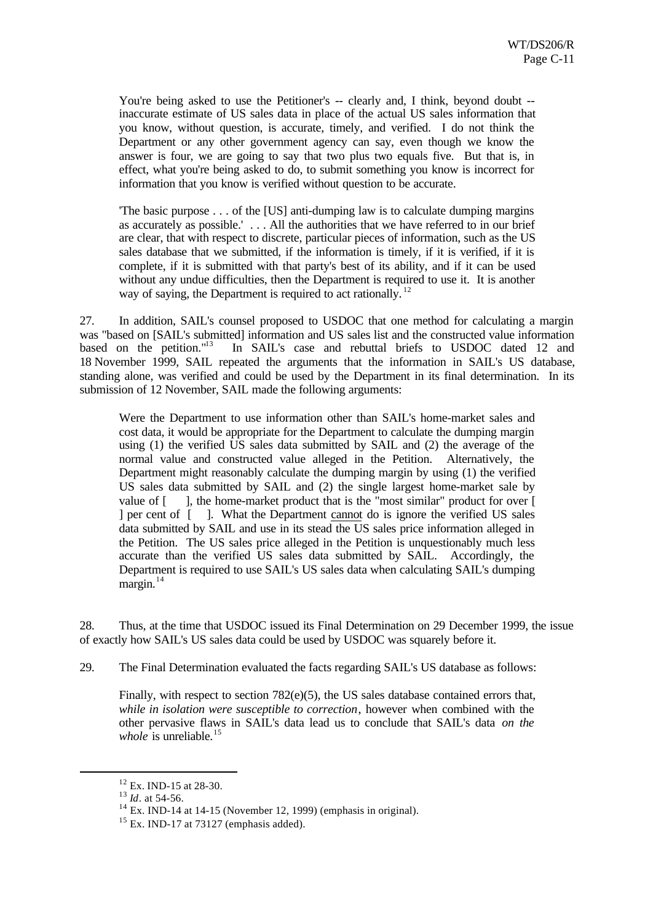You're being asked to use the Petitioner's -- clearly and, I think, beyond doubt -inaccurate estimate of US sales data in place of the actual US sales information that you know, without question, is accurate, timely, and verified. I do not think the Department or any other government agency can say, even though we know the answer is four, we are going to say that two plus two equals five. But that is, in effect, what you're being asked to do, to submit something you know is incorrect for information that you know is verified without question to be accurate.

'The basic purpose . . . of the [US] anti-dumping law is to calculate dumping margins as accurately as possible.' . . . All the authorities that we have referred to in our brief are clear, that with respect to discrete, particular pieces of information, such as the US sales database that we submitted, if the information is timely, if it is verified, if it is complete, if it is submitted with that party's best of its ability, and if it can be used without any undue difficulties, then the Department is required to use it. It is another way of saying, the Department is required to act rationally.<sup>12</sup>

27. In addition, SAIL's counsel proposed to USDOC that one method for calculating a margin was "based on [SAIL's submitted] information and US sales list and the constructed value information based on the petition."<sup>13</sup> In SAIL's case and rebuttal briefs to USDOC dated 12 and 18 November 1999, SAIL repeated the arguments that the information in SAIL's US database, standing alone, was verified and could be used by the Department in its final determination. In its submission of 12 November, SAIL made the following arguments:

Were the Department to use information other than SAIL's home-market sales and cost data, it would be appropriate for the Department to calculate the dumping margin using (1) the verified US sales data submitted by SAIL and (2) the average of the normal value and constructed value alleged in the Petition. Alternatively, the Department might reasonably calculate the dumping margin by using (1) the verified US sales data submitted by SAIL and (2) the single largest home-market sale by value of [ ], the home-market product that is the "most similar" product for over [ ] per cent of [ ]. What the Department cannot do is ignore the verified US sales data submitted by SAIL and use in its stead the US sales price information alleged in the Petition. The US sales price alleged in the Petition is unquestionably much less accurate than the verified US sales data submitted by SAIL. Accordingly, the Department is required to use SAIL's US sales data when calculating SAIL's dumping  $\text{margin.}^{14}$ 

28. Thus, at the time that USDOC issued its Final Determination on 29 December 1999, the issue of exactly how SAIL's US sales data could be used by USDOC was squarely before it.

29. The Final Determination evaluated the facts regarding SAIL's US database as follows:

Finally, with respect to section  $782(e)(5)$ , the US sales database contained errors that, *while in isolation were susceptible to correction*, however when combined with the other pervasive flaws in SAIL's data lead us to conclude that SAIL's data *on the whole* is unreliable.<sup>15</sup>

<sup>12</sup> Ex. IND-15 at 28-30.

 $\frac{13}{1}$ *Id.* at 54-56.

 $14$  Ex. IND-14 at 14-15 (November 12, 1999) (emphasis in original).

 $15$  Ex. IND-17 at 73127 (emphasis added).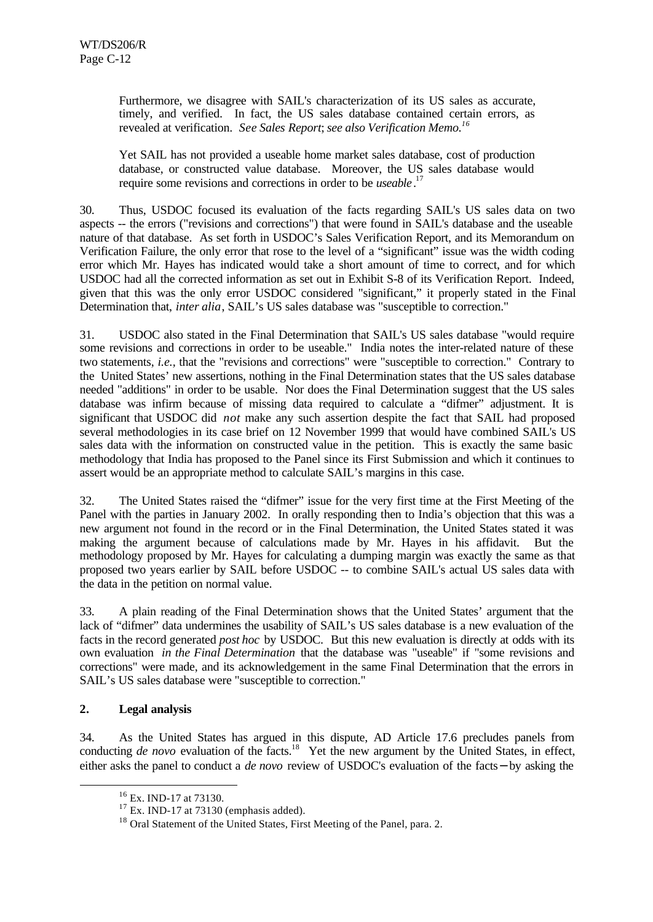Furthermore, we disagree with SAIL's characterization of its US sales as accurate, timely, and verified. In fact, the US sales database contained certain errors, as revealed at verification. *See Sales Report*; *see also Verification Memo.<sup>16</sup>*

Yet SAIL has not provided a useable home market sales database, cost of production database, or constructed value database. Moreover, the US sales database would require some revisions and corrections in order to be *useable*. 17

30. Thus, USDOC focused its evaluation of the facts regarding SAIL's US sales data on two aspects -- the errors ("revisions and corrections") that were found in SAIL's database and the useable nature of that database. As set forth in USDOC's Sales Verification Report, and its Memorandum on Verification Failure, the only error that rose to the level of a "significant" issue was the width coding error which Mr. Hayes has indicated would take a short amount of time to correct, and for which USDOC had all the corrected information as set out in Exhibit S-8 of its Verification Report. Indeed, given that this was the only error USDOC considered "significant," it properly stated in the Final Determination that, *inter alia*, SAIL's US sales database was "susceptible to correction."

31. USDOC also stated in the Final Determination that SAIL's US sales database "would require some revisions and corrections in order to be useable." India notes the inter-related nature of these two statements, *i.e.,* that the "revisions and corrections" were "susceptible to correction." Contrary to the United States' new assertions, nothing in the Final Determination states that the US sales database needed "additions" in order to be usable. Nor does the Final Determination suggest that the US sales database was infirm because of missing data required to calculate a "difmer" adjustment. It is significant that USDOC did *not* make any such assertion despite the fact that SAIL had proposed several methodologies in its case brief on 12 November 1999 that would have combined SAIL's US sales data with the information on constructed value in the petition. This is exactly the same basic methodology that India has proposed to the Panel since its First Submission and which it continues to assert would be an appropriate method to calculate SAIL's margins in this case.

32. The United States raised the "difmer" issue for the very first time at the First Meeting of the Panel with the parties in January 2002. In orally responding then to India's objection that this was a new argument not found in the record or in the Final Determination, the United States stated it was making the argument because of calculations made by Mr. Hayes in his affidavit. But the methodology proposed by Mr. Hayes for calculating a dumping margin was exactly the same as that proposed two years earlier by SAIL before USDOC -- to combine SAIL's actual US sales data with the data in the petition on normal value.

33. A plain reading of the Final Determination shows that the United States' argument that the lack of "difmer" data undermines the usability of SAIL's US sales database is a new evaluation of the facts in the record generated *post hoc* by USDOC. But this new evaluation is directly at odds with its own evaluation *in the Final Determination* that the database was "useable" if "some revisions and corrections" were made, and its acknowledgement in the same Final Determination that the errors in SAIL's US sales database were "susceptible to correction."

# **2. Legal analysis**

l

34. As the United States has argued in this dispute, AD Article 17.6 precludes panels from conducting *de novo* evaluation of the facts.<sup>18</sup> Yet the new argument by the United States, in effect, either asks the panel to conduct a *de novo* review of USDOC's evaluation of the facts− by asking the

<sup>16</sup> Ex. IND-17 at 73130.

 $17$  Ex. IND-17 at 73130 (emphasis added).

<sup>&</sup>lt;sup>18</sup> Oral Statement of the United States, First Meeting of the Panel, para. 2.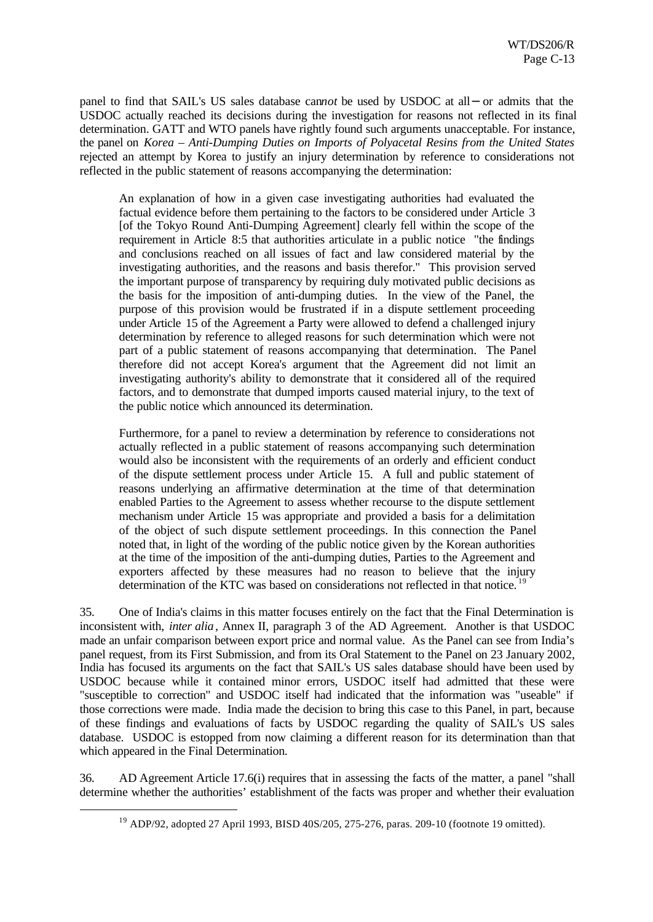panel to find that SAIL's US sales database can*not* be used by USDOC at all− or admits that the USDOC actually reached its decisions during the investigation for reasons not reflected in its final determination. GATT and WTO panels have rightly found such arguments unacceptable. For instance, the panel on *Korea – Anti-Dumping Duties on Imports of Polyacetal Resins from the United States* rejected an attempt by Korea to justify an injury determination by reference to considerations not reflected in the public statement of reasons accompanying the determination:

An explanation of how in a given case investigating authorities had evaluated the factual evidence before them pertaining to the factors to be considered under Article 3 [of the Tokyo Round Anti-Dumping Agreement] clearly fell within the scope of the requirement in Article 8:5 that authorities articulate in a public notice "the findings and conclusions reached on all issues of fact and law considered material by the investigating authorities, and the reasons and basis therefor." This provision served the important purpose of transparency by requiring duly motivated public decisions as the basis for the imposition of anti-dumping duties. In the view of the Panel, the purpose of this provision would be frustrated if in a dispute settlement proceeding under Article 15 of the Agreement a Party were allowed to defend a challenged injury determination by reference to alleged reasons for such determination which were not part of a public statement of reasons accompanying that determination. The Panel therefore did not accept Korea's argument that the Agreement did not limit an investigating authority's ability to demonstrate that it considered all of the required factors, and to demonstrate that dumped imports caused material injury, to the text of the public notice which announced its determination.

Furthermore, for a panel to review a determination by reference to considerations not actually reflected in a public statement of reasons accompanying such determination would also be inconsistent with the requirements of an orderly and efficient conduct of the dispute settlement process under Article 15. A full and public statement of reasons underlying an affirmative determination at the time of that determination enabled Parties to the Agreement to assess whether recourse to the dispute settlement mechanism under Article 15 was appropriate and provided a basis for a delimitation of the object of such dispute settlement proceedings. In this connection the Panel noted that, in light of the wording of the public notice given by the Korean authorities at the time of the imposition of the anti-dumping duties, Parties to the Agreement and exporters affected by these measures had no reason to believe that the injury determination of the KTC was based on considerations not reflected in that notice.<sup>1</sup>

35. One of India's claims in this matter focuses entirely on the fact that the Final Determination is inconsistent with, *inter alia*, Annex II, paragraph 3 of the AD Agreement. Another is that USDOC made an unfair comparison between export price and normal value. As the Panel can see from India's panel request, from its First Submission, and from its Oral Statement to the Panel on 23 January 2002, India has focused its arguments on the fact that SAIL's US sales database should have been used by USDOC because while it contained minor errors, USDOC itself had admitted that these were "susceptible to correction" and USDOC itself had indicated that the information was "useable" if those corrections were made. India made the decision to bring this case to this Panel, in part, because of these findings and evaluations of facts by USDOC regarding the quality of SAIL's US sales database. USDOC is estopped from now claiming a different reason for its determination than that which appeared in the Final Determination.

36. AD Agreement Article 17.6(i) requires that in assessing the facts of the matter, a panel "shall determine whether the authorities' establishment of the facts was proper and whether their evaluation

<sup>19</sup> ADP/92, adopted 27 April 1993, BISD 40S/205, 275-276, paras. 209-10 (footnote 19 omitted).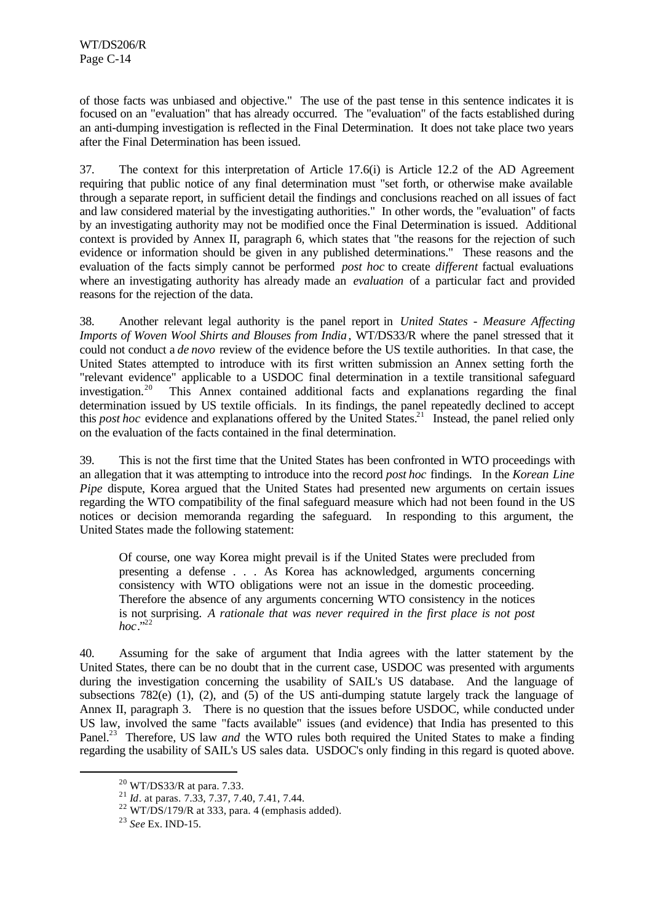of those facts was unbiased and objective." The use of the past tense in this sentence indicates it is focused on an "evaluation" that has already occurred. The "evaluation" of the facts established during an anti-dumping investigation is reflected in the Final Determination. It does not take place two years after the Final Determination has been issued.

37. The context for this interpretation of Article 17.6(i) is Article 12.2 of the AD Agreement requiring that public notice of any final determination must "set forth, or otherwise make available through a separate report, in sufficient detail the findings and conclusions reached on all issues of fact and law considered material by the investigating authorities." In other words, the "evaluation" of facts by an investigating authority may not be modified once the Final Determination is issued. Additional context is provided by Annex II, paragraph 6, which states that "the reasons for the rejection of such evidence or information should be given in any published determinations." These reasons and the evaluation of the facts simply cannot be performed *post hoc* to create *different* factual evaluations where an investigating authority has already made an *evaluation* of a particular fact and provided reasons for the rejection of the data.

38. Another relevant legal authority is the panel report in *United States - Measure Affecting Imports of Woven Wool Shirts and Blouses from India*, WT/DS33/R where the panel stressed that it could not conduct a *de novo* review of the evidence before the US textile authorities. In that case, the United States attempted to introduce with its first written submission an Annex setting forth the "relevant evidence" applicable to a USDOC final determination in a textile transitional safeguard investigation.<sup>20</sup> This Annex contained additional facts and explanations regarding the final determination issued by US textile officials. In its findings, the panel repeatedly declined to accept this *post hoc* evidence and explanations offered by the United States.<sup>21</sup> Instead, the panel relied only on the evaluation of the facts contained in the final determination.

39. This is not the first time that the United States has been confronted in WTO proceedings with an allegation that it was attempting to introduce into the record *post hoc* findings. In the *Korean Line Pipe* dispute, Korea argued that the United States had presented new arguments on certain issues regarding the WTO compatibility of the final safeguard measure which had not been found in the US notices or decision memoranda regarding the safeguard. In responding to this argument, the United States made the following statement:

Of course, one way Korea might prevail is if the United States were precluded from presenting a defense . . . As Korea has acknowledged, arguments concerning consistency with WTO obligations were not an issue in the domestic proceeding. Therefore the absence of any arguments concerning WTO consistency in the notices is not surprising. *A rationale that was never required in the first place is not post*  $hoc.^{\cdot,22}$ 

40. Assuming for the sake of argument that India agrees with the latter statement by the United States, there can be no doubt that in the current case, USDOC was presented with arguments during the investigation concerning the usability of SAIL's US database. And the language of subsections 782(e) (1), (2), and (5) of the US anti-dumping statute largely track the language of Annex II, paragraph 3. There is no question that the issues before USDOC, while conducted under US law, involved the same "facts available" issues (and evidence) that India has presented to this Panel.<sup>23</sup> Therefore, US law *and* the WTO rules both required the United States to make a finding regarding the usability of SAIL's US sales data. USDOC's only finding in this regard is quoted above.

 $^{20}$  WT/DS33/R at para. 7.33.

<sup>21</sup> *Id*. at paras. 7.33, 7.37, 7.40, 7.41, 7.44.

 $22$  WT/DS/179/R at 333, para. 4 (emphasis added).

<sup>23</sup> *See* Ex. IND-15.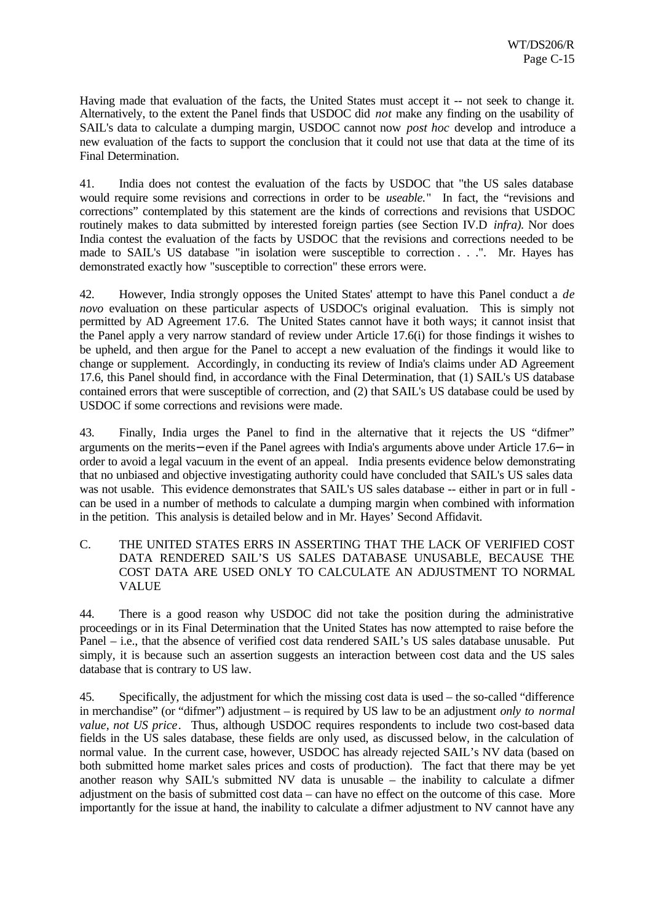Having made that evaluation of the facts, the United States must accept it -- not seek to change it. Alternatively, to the extent the Panel finds that USDOC did *not* make any finding on the usability of SAIL's data to calculate a dumping margin, USDOC cannot now *post hoc* develop and introduce a new evaluation of the facts to support the conclusion that it could not use that data at the time of its Final Determination.

41. India does not contest the evaluation of the facts by USDOC that "the US sales database would require some revisions and corrections in order to be *useable.*" In fact, the "revisions and corrections" contemplated by this statement are the kinds of corrections and revisions that USDOC routinely makes to data submitted by interested foreign parties (see Section IV.D *infra).* Nor does India contest the evaluation of the facts by USDOC that the revisions and corrections needed to be made to SAIL's US database "in isolation were susceptible to correction . . .". Mr. Hayes has demonstrated exactly how "susceptible to correction" these errors were.

42. However, India strongly opposes the United States' attempt to have this Panel conduct a *de novo* evaluation on these particular aspects of USDOC's original evaluation. This is simply not permitted by AD Agreement 17.6. The United States cannot have it both ways; it cannot insist that the Panel apply a very narrow standard of review under Article 17.6(i) for those findings it wishes to be upheld, and then argue for the Panel to accept a new evaluation of the findings it would like to change or supplement. Accordingly, in conducting its review of India's claims under AD Agreement 17.6, this Panel should find, in accordance with the Final Determination, that (1) SAIL's US database contained errors that were susceptible of correction, and (2) that SAIL's US database could be used by USDOC if some corrections and revisions were made.

43. Finally, India urges the Panel to find in the alternative that it rejects the US "difmer" arguments on the merits− even if the Panel agrees with India's arguments above under Article 17.6− in order to avoid a legal vacuum in the event of an appeal. India presents evidence below demonstrating that no unbiased and objective investigating authority could have concluded that SAIL's US sales data was not usable. This evidence demonstrates that SAIL's US sales database -- either in part or in full can be used in a number of methods to calculate a dumping margin when combined with information in the petition. This analysis is detailed below and in Mr. Hayes' Second Affidavit.

### C. THE UNITED STATES ERRS IN ASSERTING THAT THE LACK OF VERIFIED COST DATA RENDERED SAIL'S US SALES DATABASE UNUSABLE, BECAUSE THE COST DATA ARE USED ONLY TO CALCULATE AN ADJUSTMENT TO NORMAL VALUE

44. There is a good reason why USDOC did not take the position during the administrative proceedings or in its Final Determination that the United States has now attempted to raise before the Panel – i.e., that the absence of verified cost data rendered SAIL's US sales database unusable. Put simply, it is because such an assertion suggests an interaction between cost data and the US sales database that is contrary to US law.

45. Specifically, the adjustment for which the missing cost data is used – the so-called "difference in merchandise" (or "difmer") adjustment – is required by US law to be an adjustment *only to normal value, not US price*. Thus, although USDOC requires respondents to include two cost-based data fields in the US sales database, these fields are only used, as discussed below, in the calculation of normal value. In the current case, however, USDOC has already rejected SAIL's NV data (based on both submitted home market sales prices and costs of production). The fact that there may be yet another reason why SAIL's submitted NV data is unusable – the inability to calculate a difmer adjustment on the basis of submitted cost data – can have no effect on the outcome of this case. More importantly for the issue at hand, the inability to calculate a difmer adjustment to NV cannot have any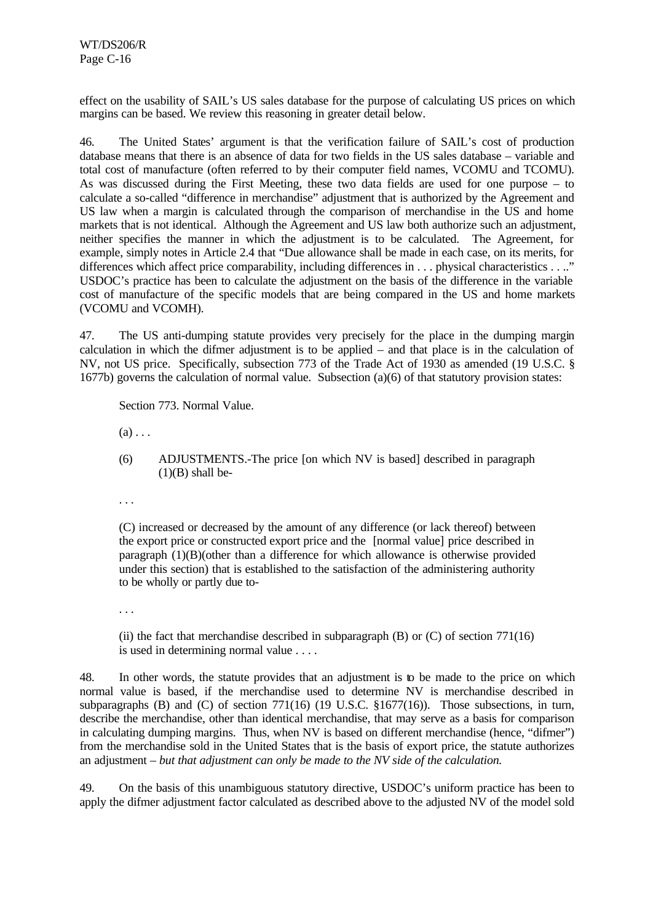effect on the usability of SAIL's US sales database for the purpose of calculating US prices on which margins can be based. We review this reasoning in greater detail below.

46. The United States' argument is that the verification failure of SAIL's cost of production database means that there is an absence of data for two fields in the US sales database – variable and total cost of manufacture (often referred to by their computer field names, VCOMU and TCOMU). As was discussed during the First Meeting, these two data fields are used for one purpose – to calculate a so-called "difference in merchandise" adjustment that is authorized by the Agreement and US law when a margin is calculated through the comparison of merchandise in the US and home markets that is not identical. Although the Agreement and US law both authorize such an adjustment, neither specifies the manner in which the adjustment is to be calculated. The Agreement, for example, simply notes in Article 2.4 that "Due allowance shall be made in each case, on its merits, for differences which affect price comparability, including differences in . . . physical characteristics . . .." USDOC's practice has been to calculate the adjustment on the basis of the difference in the variable cost of manufacture of the specific models that are being compared in the US and home markets (VCOMU and VCOMH).

47. The US anti-dumping statute provides very precisely for the place in the dumping margin calculation in which the difmer adjustment is to be applied – and that place is in the calculation of NV, not US price. Specifically, subsection 773 of the Trade Act of 1930 as amended (19 U.S.C. § 1677b) governs the calculation of normal value. Subsection (a)(6) of that statutory provision states:

Section 773. Normal Value.

 $(a) \ldots$ 

- (6) ADJUSTMENTS.-The price [on which NV is based] described in paragraph  $(1)(B)$  shall be-
- . . .

(C) increased or decreased by the amount of any difference (or lack thereof) between the export price or constructed export price and the [normal value] price described in paragraph (1)(B)(other than a difference for which allowance is otherwise provided under this section) that is established to the satisfaction of the administering authority to be wholly or partly due to-

. . .

(ii) the fact that merchandise described in subparagraph  $(B)$  or  $(C)$  of section 771(16) is used in determining normal value . . . .

48. In other words, the statute provides that an adjustment is to be made to the price on which normal value is based, if the merchandise used to determine NV is merchandise described in subparagraphs (B) and (C) of section 771(16) (19 U.S.C. §1677(16)). Those subsections, in turn, describe the merchandise, other than identical merchandise, that may serve as a basis for comparison in calculating dumping margins. Thus, when NV is based on different merchandise (hence, "difmer") from the merchandise sold in the United States that is the basis of export price, the statute authorizes an adjustment – *but that adjustment can only be made to the NV side of the calculation.*

49. On the basis of this unambiguous statutory directive, USDOC's uniform practice has been to apply the difmer adjustment factor calculated as described above to the adjusted NV of the model sold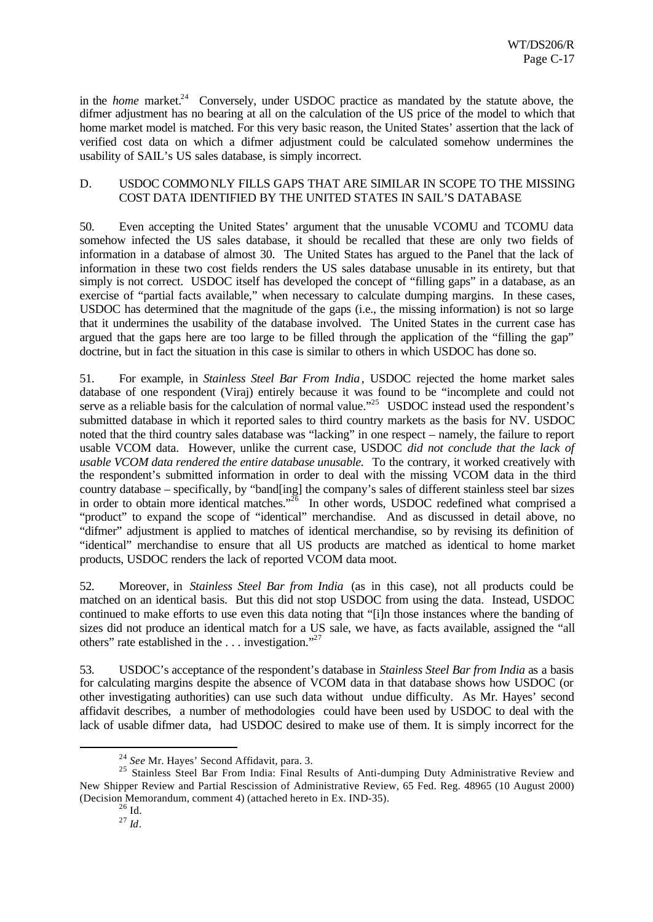in the *home* market.<sup>24</sup> Conversely, under USDOC practice as mandated by the statute above, the difmer adjustment has no bearing at all on the calculation of the US price of the model to which that home market model is matched. For this very basic reason, the United States' assertion that the lack of verified cost data on which a difmer adjustment could be calculated somehow undermines the usability of SAIL's US sales database, is simply incorrect.

#### D. USDOC COMMONLY FILLS GAPS THAT ARE SIMILAR IN SCOPE TO THE MISSING COST DATA IDENTIFIED BY THE UNITED STATES IN SAIL'S DATABASE

50. Even accepting the United States' argument that the unusable VCOMU and TCOMU data somehow infected the US sales database, it should be recalled that these are only two fields of information in a database of almost 30. The United States has argued to the Panel that the lack of information in these two cost fields renders the US sales database unusable in its entirety, but that simply is not correct. USDOC itself has developed the concept of "filling gaps" in a database, as an exercise of "partial facts available," when necessary to calculate dumping margins. In these cases, USDOC has determined that the magnitude of the gaps (i.e., the missing information) is not so large that it undermines the usability of the database involved. The United States in the current case has argued that the gaps here are too large to be filled through the application of the "filling the gap" doctrine, but in fact the situation in this case is similar to others in which USDOC has done so.

51. For example, in *Stainless Steel Bar From India*, USDOC rejected the home market sales database of one respondent (Viraj) entirely because it was found to be "incomplete and could not serve as a reliable basis for the calculation of normal value."<sup>25</sup> USDOC instead used the respondent's submitted database in which it reported sales to third country markets as the basis for NV. USDOC noted that the third country sales database was "lacking" in one respect – namely, the failure to report usable VCOM data. However, unlike the current case, USDOC *did not conclude that the lack of usable VCOM data rendered the entire database unusable.* To the contrary, it worked creatively with the respondent's submitted information in order to deal with the missing VCOM data in the third country database – specifically, by "band[ing] the company's sales of different stainless steel bar sizes in order to obtain more identical matches."<sup>26</sup> In other words, USDOC redefined what comprised a "product" to expand the scope of "identical" merchandise. And as discussed in detail above, no "difmer" adjustment is applied to matches of identical merchandise, so by revising its definition of "identical" merchandise to ensure that all US products are matched as identical to home market products, USDOC renders the lack of reported VCOM data moot.

52. Moreover, in *Stainless Steel Bar from India* (as in this case), not all products could be matched on an identical basis. But this did not stop USDOC from using the data. Instead, USDOC continued to make efforts to use even this data noting that "[i]n those instances where the banding of sizes did not produce an identical match for a US sale, we have, as facts available, assigned the "all others" rate established in the . . . investigation."<sup>27</sup>

53. USDOC's acceptance of the respondent's database in *Stainless Steel Bar from India* as a basis for calculating margins despite the absence of VCOM data in that database shows how USDOC (or other investigating authorities) can use such data without undue difficulty. As Mr. Hayes' second affidavit describes, a number of methodologies could have been used by USDOC to deal with the lack of usable difmer data, had USDOC desired to make use of them. It is simply incorrect for the

<sup>24</sup> *See* Mr. Hayes' Second Affidavit, para. 3.

<sup>&</sup>lt;sup>25</sup> Stainless Steel Bar From India: Final Results of Anti-dumping Duty Administrative Review and New Shipper Review and Partial Rescission of Administrative Review, 65 Fed. Reg. 48965 (10 August 2000) (Decision Memorandum, comment 4) (attached hereto in Ex. IND-35).

 $26$  Id.

 $^{27}$  *Id*.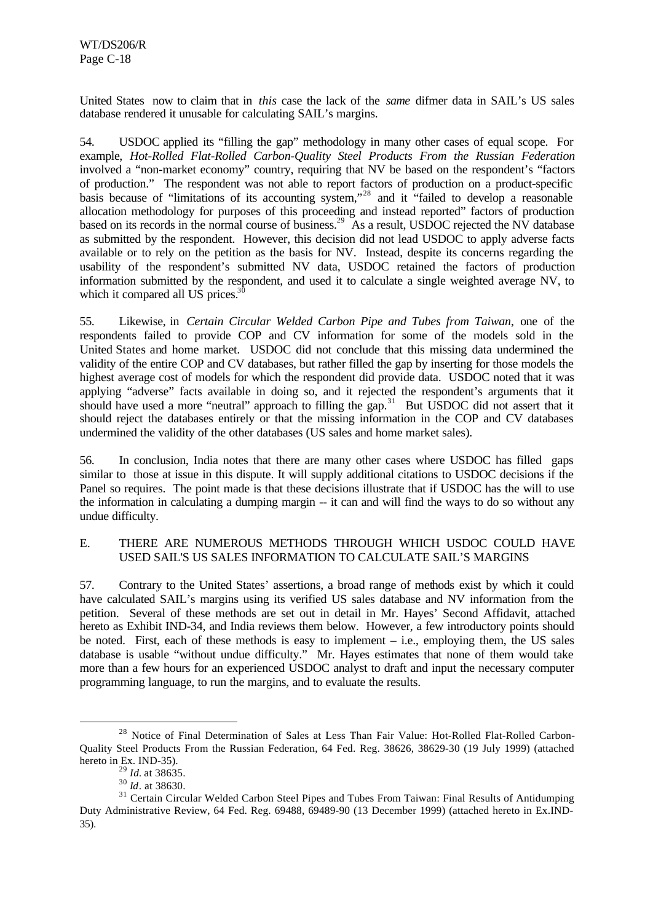United States now to claim that in *this* case the lack of the *same* difmer data in SAIL's US sales database rendered it unusable for calculating SAIL's margins.

54. USDOC applied its "filling the gap" methodology in many other cases of equal scope. For example, *Hot-Rolled Flat-Rolled Carbon-Quality Steel Products From the Russian Federation* involved a "non-market economy" country, requiring that NV be based on the respondent's "factors of production." The respondent was not able to report factors of production on a product-specific basis because of "limitations of its accounting system,"<sup>28</sup> and it "failed to develop a reasonable allocation methodology for purposes of this proceeding and instead reported" factors of production based on its records in the normal course of business.<sup>29</sup> As a result, USDOC rejected the NV database as submitted by the respondent. However, this decision did not lead USDOC to apply adverse facts available or to rely on the petition as the basis for NV. Instead, despite its concerns regarding the usability of the respondent's submitted NV data, USDOC retained the factors of production information submitted by the respondent, and used it to calculate a single weighted average NV, to which it compared all US prices.<sup>3</sup>

55. Likewise, in *Certain Circular Welded Carbon Pipe and Tubes from Taiwan*, one of the respondents failed to provide COP and CV information for some of the models sold in the United States and home market. USDOC did not conclude that this missing data undermined the validity of the entire COP and CV databases, but rather filled the gap by inserting for those models the highest average cost of models for which the respondent did provide data. USDOC noted that it was applying "adverse" facts available in doing so, and it rejected the respondent's arguments that it should have used a more "neutral" approach to filling the gap.<sup>31</sup> But USDOC did not assert that it should reject the databases entirely or that the missing information in the COP and CV databases undermined the validity of the other databases (US sales and home market sales).

56. In conclusion, India notes that there are many other cases where USDOC has filled gaps similar to those at issue in this dispute. It will supply additional citations to USDOC decisions if the Panel so requires. The point made is that these decisions illustrate that if USDOC has the will to use the information in calculating a dumping margin -- it can and will find the ways to do so without any undue difficulty.

### E. THERE ARE NUMEROUS METHODS THROUGH WHICH USDOC COULD HAVE USED SAIL'S US SALES INFORMATION TO CALCULATE SAIL'S MARGINS

57. Contrary to the United States' assertions, a broad range of methods exist by which it could have calculated SAIL's margins using its verified US sales database and NV information from the petition. Several of these methods are set out in detail in Mr. Hayes' Second Affidavit, attached hereto as Exhibit IND-34, and India reviews them below. However, a few introductory points should be noted. First, each of these methods is easy to implement – i.e., employing them, the US sales database is usable "without undue difficulty." Mr. Hayes estimates that none of them would take more than a few hours for an experienced USDOC analyst to draft and input the necessary computer programming language, to run the margins, and to evaluate the results.

<sup>&</sup>lt;sup>28</sup> Notice of Final Determination of Sales at Less Than Fair Value: Hot-Rolled Flat-Rolled Carbon-Quality Steel Products From the Russian Federation, 64 Fed. Reg. 38626, 38629-30 (19 July 1999) (attached hereto in Ex. IND-35).

<sup>29</sup> *Id.* at 38635.

<sup>30</sup> *Id*. at 38630.

<sup>&</sup>lt;sup>31</sup> Certain Circular Welded Carbon Steel Pipes and Tubes From Taiwan: Final Results of Antidumping Duty Administrative Review, 64 Fed. Reg. 69488, 69489-90 (13 December 1999) (attached hereto in Ex.IND-35).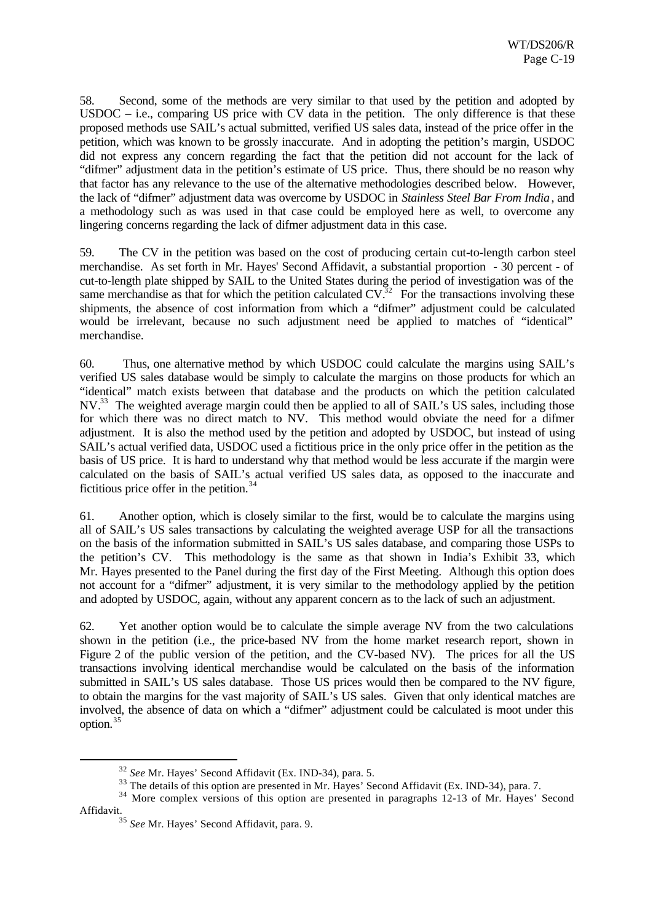58. Second, some of the methods are very similar to that used by the petition and adopted by  $USDOC - i.e., comparing US price with CV data in the petition. The only difference is that these$ proposed methods use SAIL's actual submitted, verified US sales data, instead of the price offer in the petition, which was known to be grossly inaccurate. And in adopting the petition's margin, USDOC did not express any concern regarding the fact that the petition did not account for the lack of "difmer" adjustment data in the petition's estimate of US price. Thus, there should be no reason why that factor has any relevance to the use of the alternative methodologies described below. However, the lack of "difmer" adjustment data was overcome by USDOC in *Stainless Steel Bar From India*, and a methodology such as was used in that case could be employed here as well, to overcome any lingering concerns regarding the lack of difmer adjustment data in this case.

59. The CV in the petition was based on the cost of producing certain cut-to-length carbon steel merchandise. As set forth in Mr. Hayes' Second Affidavit, a substantial proportion - 30 percent - of cut-to-length plate shipped by SAIL to the United States during the period of investigation was of the same merchandise as that for which the petition calculated  $CV<sup>32</sup>$  For the transactions involving these shipments, the absence of cost information from which a "difmer" adjustment could be calculated would be irrelevant, because no such adjustment need be applied to matches of "identical" merchandise.

60. Thus, one alternative method by which USDOC could calculate the margins using SAIL's verified US sales database would be simply to calculate the margins on those products for which an "identical" match exists between that database and the products on which the petition calculated NV.<sup>33</sup> The weighted average margin could then be applied to all of SAIL's US sales, including those for which there was no direct match to NV. This method would obviate the need for a difmer adjustment. It is also the method used by the petition and adopted by USDOC, but instead of using SAIL's actual verified data, USDOC used a fictitious price in the only price offer in the petition as the basis of US price. It is hard to understand why that method would be less accurate if the margin were calculated on the basis of SAIL's actual verified US sales data, as opposed to the inaccurate and fictitious price offer in the petition. $34$ 

61. Another option, which is closely similar to the first, would be to calculate the margins using all of SAIL's US sales transactions by calculating the weighted average USP for all the transactions on the basis of the information submitted in SAIL's US sales database, and comparing those USPs to the petition's CV. This methodology is the same as that shown in India's Exhibit 33, which Mr. Hayes presented to the Panel during the first day of the First Meeting. Although this option does not account for a "difmer" adjustment, it is very similar to the methodology applied by the petition and adopted by USDOC, again, without any apparent concern as to the lack of such an adjustment.

62. Yet another option would be to calculate the simple average NV from the two calculations shown in the petition (i.e., the price-based NV from the home market research report, shown in Figure 2 of the public version of the petition, and the CV-based NV). The prices for all the US transactions involving identical merchandise would be calculated on the basis of the information submitted in SAIL's US sales database. Those US prices would then be compared to the NV figure, to obtain the margins for the vast majority of SAIL's US sales. Given that only identical matches are involved, the absence of data on which a "difmer" adjustment could be calculated is moot under this option.<sup>35</sup>

<sup>32</sup> *See* Mr. Hayes' Second Affidavit (Ex. IND-34), para. 5.

<sup>&</sup>lt;sup>33</sup> The details of this option are presented in Mr. Hayes' Second Affidavit (Ex. IND-34), para. 7.

<sup>&</sup>lt;sup>34</sup> More complex versions of this option are presented in paragraphs 12-13 of Mr. Hayes' Second

Affidavit.

<sup>35</sup> *See* Mr. Hayes' Second Affidavit, para. 9.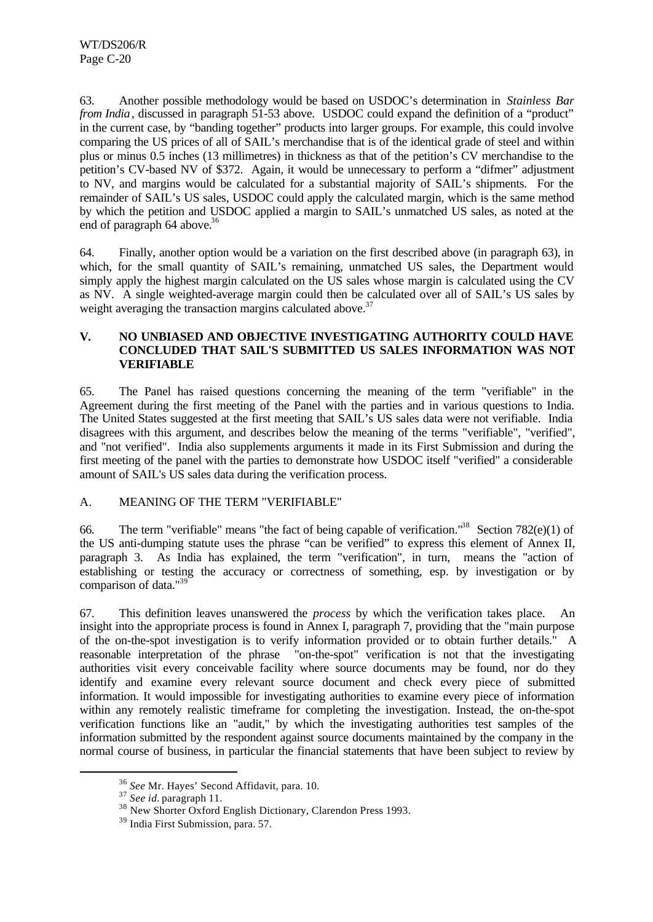63. Another possible methodology would be based on USDOC's determination in *Stainless Bar from India*, discussed in paragraph 51-53 above. USDOC could expand the definition of a "product" in the current case, by "banding together" products into larger groups. For example, this could involve comparing the US prices of all of SAIL's merchandise that is of the identical grade of steel and within plus or minus 0.5 inches (13 millimetres) in thickness as that of the petition's CV merchandise to the petition's CV-based NV of \$372. Again, it would be unnecessary to perform a "difmer" adjustment to NV, and margins would be calculated for a substantial majority of SAIL's shipments. For the remainder of SAIL's US sales, USDOC could apply the calculated margin, which is the same method by which the petition and USDOC applied a margin to SAIL's unmatched US sales, as noted at the end of paragraph  $64$  above.<sup>36</sup>

64. Finally, another option would be a variation on the first described above (in paragraph 63), in which, for the small quantity of SAIL's remaining, unmatched US sales, the Department would simply apply the highest margin calculated on the US sales whose margin is calculated using the CV as NV. A single weighted-average margin could then be calculated over all of SAIL's US sales by weight averaging the transaction margins calculated above.<sup>37</sup>

### **V. NO UNBIASED AND OBJECTIVE INVESTIGATING AUTHORITY COULD HAVE CONCLUDED THAT SAIL'S SUBMITTED US SALES INFORMATION WAS NOT VERIFIABLE**

65. The Panel has raised questions concerning the meaning of the term "verifiable" in the Agreement during the first meeting of the Panel with the parties and in various questions to India. The United States suggested at the first meeting that SAIL's US sales data were not verifiable. India disagrees with this argument, and describes below the meaning of the terms "verifiable", "verified", and "not verified". India also supplements arguments it made in its First Submission and during the first meeting of the panel with the parties to demonstrate how USDOC itself "verified" a considerable amount of SAIL's US sales data during the verification process.

## A. MEANING OF THE TERM "VERIFIABLE"

66. The term "verifiable" means "the fact of being capable of verification."<sup>38</sup> Section 782(e)(1) of the US anti-dumping statute uses the phrase "can be verified" to express this element of Annex II, paragraph 3. As India has explained, the term "verification", in turn, means the "action of establishing or testing the accuracy or correctness of something, esp. by investigation or by comparison of data."<sup>39</sup>

67. This definition leaves unanswered the *process* by which the verification takes place. An insight into the appropriate process is found in Annex I, paragraph 7, providing that the "main purpose of the on-the-spot investigation is to verify information provided or to obtain further details." A reasonable interpretation of the phrase "on-the-spot" verification is not that the investigating authorities visit every conceivable facility where source documents may be found, nor do they identify and examine every relevant source document and check every piece of submitted information. It would impossible for investigating authorities to examine every piece of information within any remotely realistic timeframe for completing the investigation. Instead, the on-the-spot verification functions like an "audit," by which the investigating authorities test samples of the information submitted by the respondent against source documents maintained by the company in the normal course of business, in particular the financial statements that have been subject to review by

<sup>36</sup> *See* Mr. Hayes' Second Affidavit, para. 10.

<sup>37</sup> *See id.* paragraph 11.

<sup>&</sup>lt;sup>38</sup> New Shorter Oxford English Dictionary, Clarendon Press 1993.

<sup>39</sup> India First Submission, para. 57.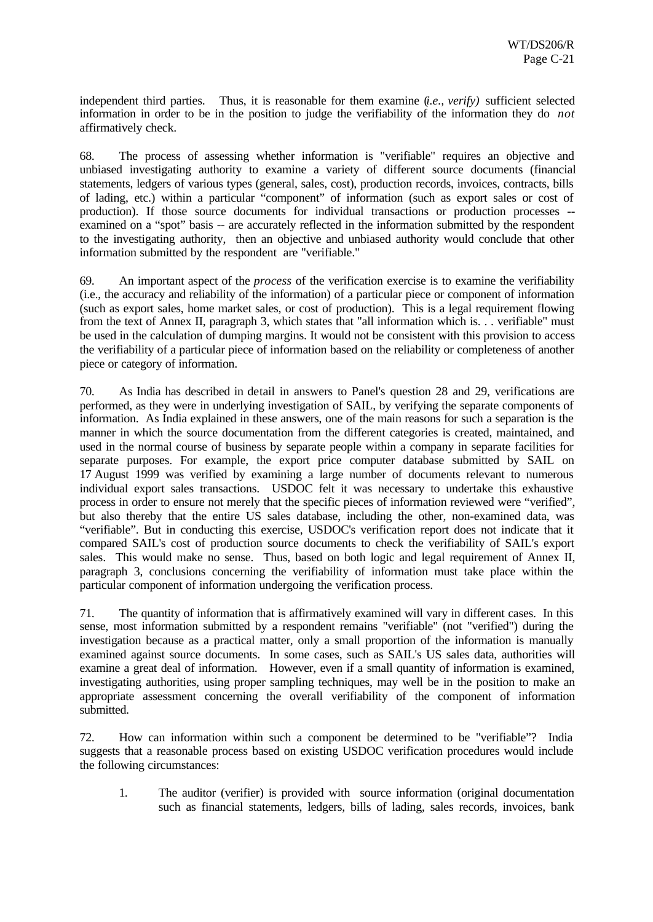independent third parties. Thus, it is reasonable for them examine (*i.e., verify)* sufficient selected information in order to be in the position to judge the verifiability of the information they do *not* affirmatively check.

68. The process of assessing whether information is "verifiable" requires an objective and unbiased investigating authority to examine a variety of different source documents (financial statements, ledgers of various types (general, sales, cost), production records, invoices, contracts, bills of lading, etc.) within a particular "component" of information (such as export sales or cost of production). If those source documents for individual transactions or production processes - examined on a "spot" basis -- are accurately reflected in the information submitted by the respondent to the investigating authority, then an objective and unbiased authority would conclude that other information submitted by the respondent are "verifiable."

69. An important aspect of the *process* of the verification exercise is to examine the verifiability (i.e., the accuracy and reliability of the information) of a particular piece or component of information (such as export sales, home market sales, or cost of production). This is a legal requirement flowing from the text of Annex II, paragraph 3, which states that "all information which is. . . verifiable" must be used in the calculation of dumping margins. It would not be consistent with this provision to access the verifiability of a particular piece of information based on the reliability or completeness of another piece or category of information.

70. As India has described in detail in answers to Panel's question 28 and 29, verifications are performed, as they were in underlying investigation of SAIL, by verifying the separate components of information. As India explained in these answers, one of the main reasons for such a separation is the manner in which the source documentation from the different categories is created, maintained, and used in the normal course of business by separate people within a company in separate facilities for separate purposes. For example, the export price computer database submitted by SAIL on 17 August 1999 was verified by examining a large number of documents relevant to numerous individual export sales transactions. USDOC felt it was necessary to undertake this exhaustive process in order to ensure not merely that the specific pieces of information reviewed were "verified", but also thereby that the entire US sales database, including the other, non-examined data, was "verifiable". But in conducting this exercise, USDOC's verification report does not indicate that it compared SAIL's cost of production source documents to check the verifiability of SAIL's export sales. This would make no sense. Thus, based on both logic and legal requirement of Annex II, paragraph 3, conclusions concerning the verifiability of information must take place within the particular component of information undergoing the verification process.

71. The quantity of information that is affirmatively examined will vary in different cases. In this sense, most information submitted by a respondent remains "verifiable" (not "verified") during the investigation because as a practical matter, only a small proportion of the information is manually examined against source documents. In some cases, such as SAIL's US sales data, authorities will examine a great deal of information. However, even if a small quantity of information is examined, investigating authorities, using proper sampling techniques, may well be in the position to make an appropriate assessment concerning the overall verifiability of the component of information submitted.

72. How can information within such a component be determined to be "verifiable"? India suggests that a reasonable process based on existing USDOC verification procedures would include the following circumstances:

1. The auditor (verifier) is provided with source information (original documentation such as financial statements, ledgers, bills of lading, sales records, invoices, bank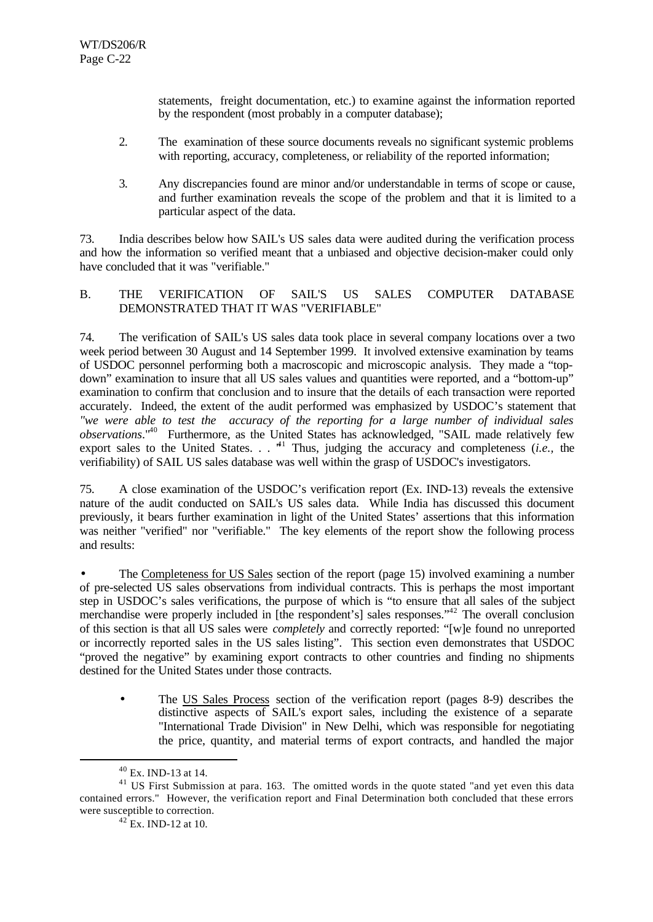statements, freight documentation, etc.) to examine against the information reported by the respondent (most probably in a computer database);

- 2. The examination of these source documents reveals no significant systemic problems with reporting, accuracy, completeness, or reliability of the reported information;
- 3. Any discrepancies found are minor and/or understandable in terms of scope or cause, and further examination reveals the scope of the problem and that it is limited to a particular aspect of the data.

73. India describes below how SAIL's US sales data were audited during the verification process and how the information so verified meant that a unbiased and objective decision-maker could only have concluded that it was "verifiable."

## B. THE VERIFICATION OF SAIL'S US SALES COMPUTER DATABASE DEMONSTRATED THAT IT WAS "VERIFIABLE"

74. The verification of SAIL's US sales data took place in several company locations over a two week period between 30 August and 14 September 1999. It involved extensive examination by teams of USDOC personnel performing both a macroscopic and microscopic analysis. They made a "topdown" examination to insure that all US sales values and quantities were reported, and a "bottom-up" examination to confirm that conclusion and to insure that the details of each transaction were reported accurately. Indeed, the extent of the audit performed was emphasized by USDOC's statement that *"we were able to test the accuracy of the reporting for a large number of individual sales observations*."<sup>40</sup> Furthermore, as the United States has acknowledged, "SAIL made relatively few export sales to the United States. . . <sup>41</sup> Thus, judging the accuracy and completeness (*i.e.*, the verifiability) of SAIL US sales database was well within the grasp of USDOC's investigators.

75. A close examination of the USDOC's verification report (Ex. IND-13) reveals the extensive nature of the audit conducted on SAIL's US sales data. While India has discussed this document previously, it bears further examination in light of the United States' assertions that this information was neither "verified" nor "verifiable." The key elements of the report show the following process and results:

• The Completeness for US Sales section of the report (page 15) involved examining a number of pre-selected US sales observations from individual contracts. This is perhaps the most important step in USDOC's sales verifications, the purpose of which is "to ensure that all sales of the subject merchandise were properly included in [the respondent's] sales responses."<sup>42</sup> The overall conclusion of this section is that all US sales were *completely* and correctly reported: "[w]e found no unreported or incorrectly reported sales in the US sales listing". This section even demonstrates that USDOC "proved the negative" by examining export contracts to other countries and finding no shipments destined for the United States under those contracts.

The US Sales Process section of the verification report (pages 8-9) describes the distinctive aspects of SAIL's export sales, including the existence of a separate "International Trade Division" in New Delhi, which was responsible for negotiating the price, quantity, and material terms of export contracts, and handled the major

<sup>40</sup> Ex. IND-13 at 14.

<sup>&</sup>lt;sup>41</sup> US First Submission at para. 163. The omitted words in the quote stated "and yet even this data contained errors." However, the verification report and Final Determination both concluded that these errors were susceptible to correction.

 $^{42}$ Ex. IND-12 at 10.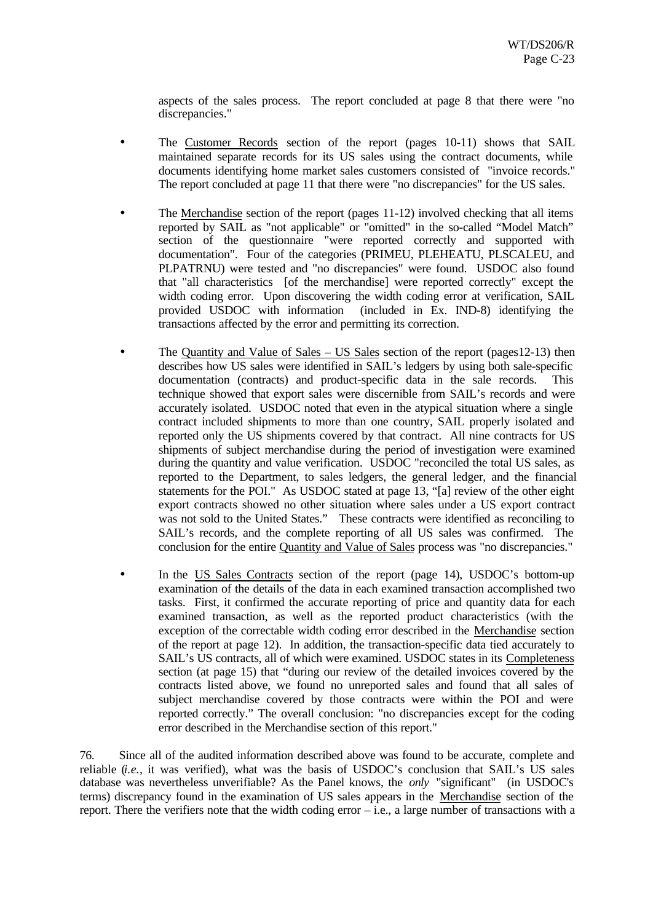aspects of the sales process. The report concluded at page 8 that there were "no discrepancies."

- The Customer Records section of the report (pages 10-11) shows that SAIL maintained separate records for its US sales using the contract documents, while documents identifying home market sales customers consisted of "invoice records." The report concluded at page 11 that there were "no discrepancies" for the US sales.
- The Merchandise section of the report (pages 11-12) involved checking that all items reported by SAIL as "not applicable" or "omitted" in the so-called "Model Match" section of the questionnaire "were reported correctly and supported with documentation". Four of the categories (PRIMEU, PLEHEATU, PLSCALEU, and PLPATRNU) were tested and "no discrepancies" were found. USDOC also found that "all characteristics [of the merchandise] were reported correctly" except the width coding error. Upon discovering the width coding error at verification, SAIL provided USDOC with information (included in Ex. IND-8) identifying the transactions affected by the error and permitting its correction.
- The Quantity and Value of Sales US Sales section of the report (pages12-13) then describes how US sales were identified in SAIL's ledgers by using both sale-specific documentation (contracts) and product-specific data in the sale records. This technique showed that export sales were discernible from SAIL's records and were accurately isolated. USDOC noted that even in the atypical situation where a single contract included shipments to more than one country, SAIL properly isolated and reported only the US shipments covered by that contract. All nine contracts for US shipments of subject merchandise during the period of investigation were examined during the quantity and value verification. USDOC "reconciled the total US sales, as reported to the Department, to sales ledgers, the general ledger, and the financial statements for the POI." As USDOC stated at page 13, "[a] review of the other eight export contracts showed no other situation where sales under a US export contract was not sold to the United States." These contracts were identified as reconciling to SAIL's records, and the complete reporting of all US sales was confirmed. The conclusion for the entire Quantity and Value of Sales process was "no discrepancies."
- In the US Sales Contracts section of the report (page 14), USDOC's bottom-up examination of the details of the data in each examined transaction accomplished two tasks. First, it confirmed the accurate reporting of price and quantity data for each examined transaction, as well as the reported product characteristics (with the exception of the correctable width coding error described in the Merchandise section of the report at page 12). In addition, the transaction-specific data tied accurately to SAIL's US contracts, all of which were examined. USDOC states in its Completeness section (at page 15) that "during our review of the detailed invoices covered by the contracts listed above, we found no unreported sales and found that all sales of subject merchandise covered by those contracts were within the POI and were reported correctly." The overall conclusion: "no discrepancies except for the coding error described in the Merchandise section of this report."

76. Since all of the audited information described above was found to be accurate, complete and reliable (*i.e.,* it was verified), what was the basis of USDOC's conclusion that SAIL's US sales database was nevertheless unverifiable? As the Panel knows, the *only* "significant" (in USDOC's terms) discrepancy found in the examination of US sales appears in the Merchandise section of the report. There the verifiers note that the width coding error  $-$  i.e., a large number of transactions with a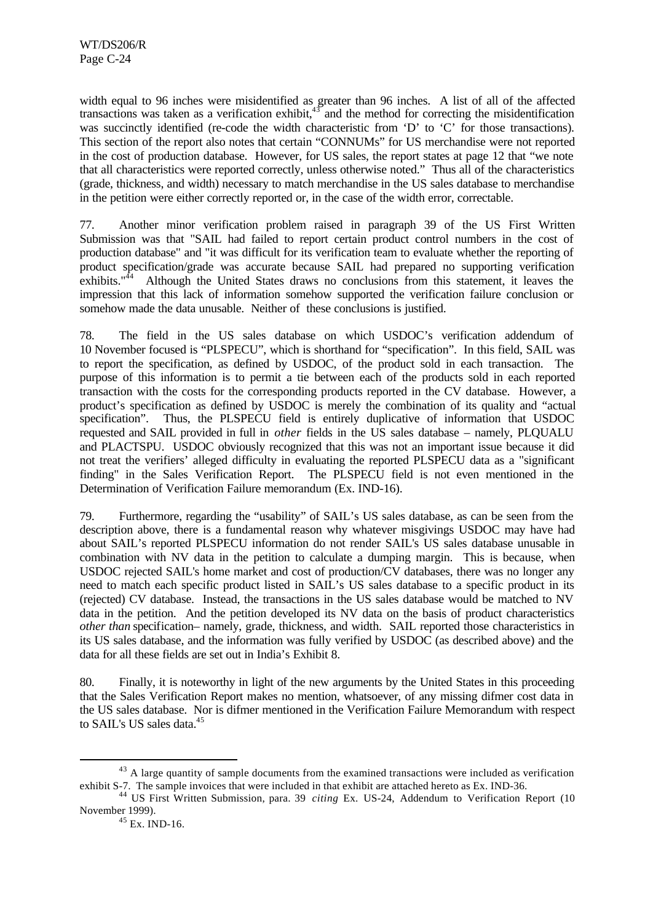width equal to 96 inches were misidentified as greater than 96 inches. A list of all of the affected transactions was taken as a verification exhibit, $45$  and the method for correcting the misidentification was succinctly identified (re-code the width characteristic from 'D' to 'C' for those transactions). This section of the report also notes that certain "CONNUMs" for US merchandise were not reported in the cost of production database. However, for US sales, the report states at page 12 that "we note that all characteristics were reported correctly, unless otherwise noted." Thus all of the characteristics (grade, thickness, and width) necessary to match merchandise in the US sales database to merchandise in the petition were either correctly reported or, in the case of the width error, correctable.

77. Another minor verification problem raised in paragraph 39 of the US First Written Submission was that "SAIL had failed to report certain product control numbers in the cost of production database" and "it was difficult for its verification team to evaluate whether the reporting of product specification/grade was accurate because SAIL had prepared no supporting verification exhibits."<sup>44</sup> Although the United States draws no conclusions from this statement, it leaves the impression that this lack of information somehow supported the verification failure conclusion or somehow made the data unusable. Neither of these conclusions is justified.

78. The field in the US sales database on which USDOC's verification addendum of 10 November focused is "PLSPECU", which is shorthand for "specification". In this field, SAIL was to report the specification, as defined by USDOC, of the product sold in each transaction. The purpose of this information is to permit a tie between each of the products sold in each reported transaction with the costs for the corresponding products reported in the CV database. However, a product's specification as defined by USDOC is merely the combination of its quality and "actual specification". Thus, the PLSPECU field is entirely duplicative of information that USDOC requested and SAIL provided in full in *other* fields in the US sales database – namely, PLQUALU and PLACTSPU. USDOC obviously recognized that this was not an important issue because it did not treat the verifiers' alleged difficulty in evaluating the reported PLSPECU data as a "significant finding" in the Sales Verification Report. The PLSPECU field is not even mentioned in the Determination of Verification Failure memorandum (Ex. IND-16).

79. Furthermore, regarding the "usability" of SAIL's US sales database, as can be seen from the description above, there is a fundamental reason why whatever misgivings USDOC may have had about SAIL's reported PLSPECU information do not render SAIL's US sales database unusable in combination with NV data in the petition to calculate a dumping margin. This is because, when USDOC rejected SAIL's home market and cost of production/CV databases, there was no longer any need to match each specific product listed in SAIL's US sales database to a specific product in its (rejected) CV database. Instead, the transactions in the US sales database would be matched to NV data in the petition. And the petition developed its NV data on the basis of product characteristics *other than* specification– namely, grade, thickness, and width. SAIL reported those characteristics in its US sales database, and the information was fully verified by USDOC (as described above) and the data for all these fields are set out in India's Exhibit 8.

80. Finally, it is noteworthy in light of the new arguments by the United States in this proceeding that the Sales Verification Report makes no mention, whatsoever, of any missing difmer cost data in the US sales database. Nor is difmer mentioned in the Verification Failure Memorandum with respect to SAIL's US sales data.<sup>45</sup>

<sup>&</sup>lt;sup>43</sup> A large quantity of sample documents from the examined transactions were included as verification exhibit S-7. The sample invoices that were included in that exhibit are attached hereto as Ex. IND-36.

<sup>44</sup> US First Written Submission, para. 39 *citing* Ex. US-24, Addendum to Verification Report (10 November 1999).

<sup>45</sup> Ex. IND-16.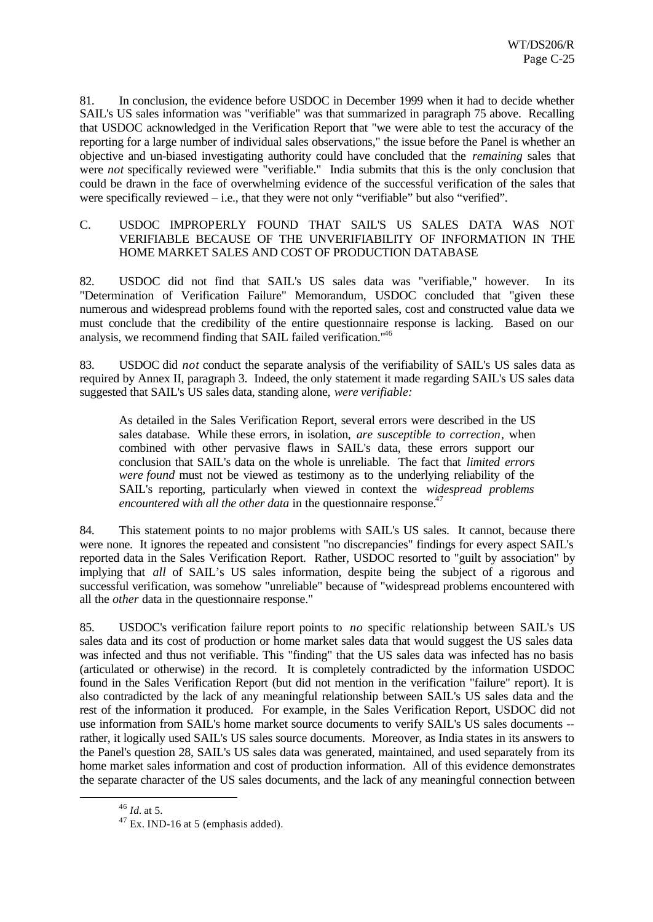81. In conclusion, the evidence before USDOC in December 1999 when it had to decide whether SAIL's US sales information was "verifiable" was that summarized in paragraph 75 above. Recalling that USDOC acknowledged in the Verification Report that "we were able to test the accuracy of the reporting for a large number of individual sales observations," the issue before the Panel is whether an objective and un-biased investigating authority could have concluded that the *remaining* sales that were *not* specifically reviewed were "verifiable." India submits that this is the only conclusion that could be drawn in the face of overwhelming evidence of the successful verification of the sales that were specifically reviewed – i.e., that they were not only "verifiable" but also "verified".

### C. USDOC IMPROPERLY FOUND THAT SAIL'S US SALES DATA WAS NOT VERIFIABLE BECAUSE OF THE UNVERIFIABILITY OF INFORMATION IN THE HOME MARKET SALES AND COST OF PRODUCTION DATABASE

82. USDOC did not find that SAIL's US sales data was "verifiable," however. In its "Determination of Verification Failure" Memorandum, USDOC concluded that "given these numerous and widespread problems found with the reported sales, cost and constructed value data we must conclude that the credibility of the entire questionnaire response is lacking. Based on our analysis, we recommend finding that SAIL failed verification."<sup>46</sup>

83. USDOC did *not* conduct the separate analysis of the verifiability of SAIL's US sales data as required by Annex II, paragraph 3. Indeed, the only statement it made regarding SAIL's US sales data suggested that SAIL's US sales data, standing alone, *were verifiable:*

As detailed in the Sales Verification Report, several errors were described in the US sales database. While these errors, in isolation, *are susceptible to correction*, when combined with other pervasive flaws in SAIL's data, these errors support our conclusion that SAIL's data on the whole is unreliable. The fact that *limited errors were found* must not be viewed as testimony as to the underlying reliability of the SAIL's reporting, particularly when viewed in context the *widespread problems encountered with all the other data* in the questionnaire response.<sup>47</sup>

84. This statement points to no major problems with SAIL's US sales. It cannot, because there were none. It ignores the repeated and consistent "no discrepancies" findings for every aspect SAIL's reported data in the Sales Verification Report. Rather, USDOC resorted to "guilt by association" by implying that *all* of SAIL's US sales information, despite being the subject of a rigorous and successful verification, was somehow "unreliable" because of "widespread problems encountered with all the *other* data in the questionnaire response."

85. USDOC's verification failure report points to *no* specific relationship between SAIL's US sales data and its cost of production or home market sales data that would suggest the US sales data was infected and thus not verifiable. This "finding" that the US sales data was infected has no basis (articulated or otherwise) in the record. It is completely contradicted by the information USDOC found in the Sales Verification Report (but did not mention in the verification "failure" report). It is also contradicted by the lack of any meaningful relationship between SAIL's US sales data and the rest of the information it produced. For example, in the Sales Verification Report, USDOC did not use information from SAIL's home market source documents to verify SAIL's US sales documents - rather, it logically used SAIL's US sales source documents. Moreover, as India states in its answers to the Panel's question 28, SAIL's US sales data was generated, maintained, and used separately from its home market sales information and cost of production information. All of this evidence demonstrates the separate character of the US sales documents, and the lack of any meaningful connection between

<sup>46</sup> *Id.* at 5.

 $47$  Ex. IND-16 at 5 (emphasis added).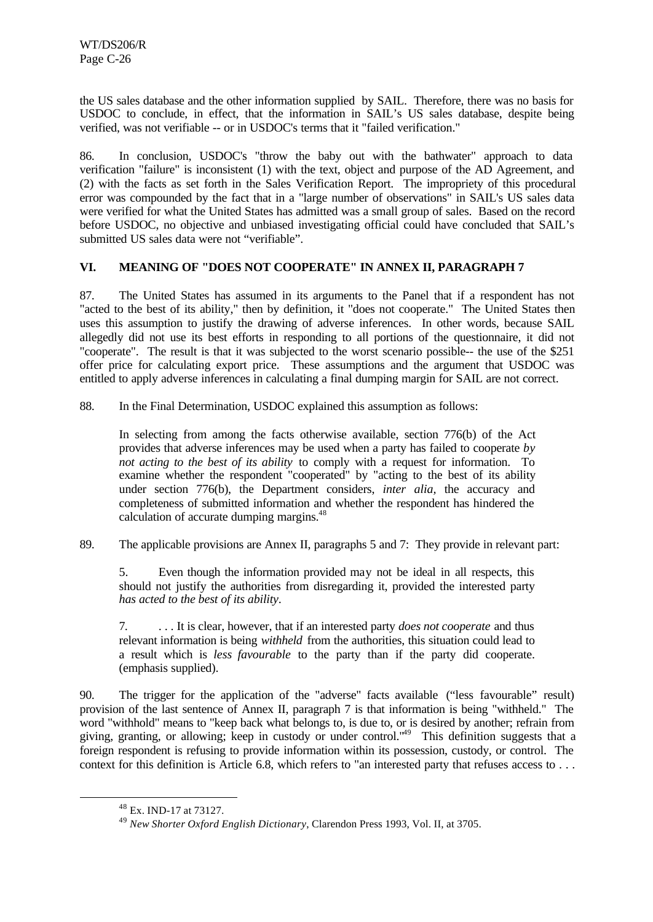the US sales database and the other information supplied by SAIL. Therefore, there was no basis for USDOC to conclude, in effect, that the information in SAIL's US sales database, despite being verified, was not verifiable -- or in USDOC's terms that it "failed verification."

86. In conclusion, USDOC's "throw the baby out with the bathwater" approach to data verification "failure" is inconsistent (1) with the text, object and purpose of the AD Agreement, and (2) with the facts as set forth in the Sales Verification Report. The impropriety of this procedural error was compounded by the fact that in a "large number of observations" in SAIL's US sales data were verified for what the United States has admitted was a small group of sales. Based on the record before USDOC, no objective and unbiased investigating official could have concluded that SAIL's submitted US sales data were not "verifiable".

### **VI. MEANING OF "DOES NOT COOPERATE" IN ANNEX II, PARAGRAPH 7**

87. The United States has assumed in its arguments to the Panel that if a respondent has not "acted to the best of its ability," then by definition, it "does not cooperate." The United States then uses this assumption to justify the drawing of adverse inferences. In other words, because SAIL allegedly did not use its best efforts in responding to all portions of the questionnaire, it did not "cooperate". The result is that it was subjected to the worst scenario possible-- the use of the \$251 offer price for calculating export price. These assumptions and the argument that USDOC was entitled to apply adverse inferences in calculating a final dumping margin for SAIL are not correct.

88. In the Final Determination, USDOC explained this assumption as follows:

In selecting from among the facts otherwise available, section 776(b) of the Act provides that adverse inferences may be used when a party has failed to cooperate *by not acting to the best of its ability* to comply with a request for information. To examine whether the respondent "cooperated" by "acting to the best of its ability under section 776(b), the Department considers, *inter alia,* the accuracy and completeness of submitted information and whether the respondent has hindered the calculation of accurate dumping margins.<sup>48</sup>

89. The applicable provisions are Annex II, paragraphs 5 and 7: They provide in relevant part:

5. Even though the information provided may not be ideal in all respects, this should not justify the authorities from disregarding it, provided the interested party *has acted to the best of its ability*.

7. . . . It is clear, however, that if an interested party *does not cooperate* and thus relevant information is being *withheld* from the authorities, this situation could lead to a result which is *less favourable* to the party than if the party did cooperate. (emphasis supplied).

90. The trigger for the application of the "adverse" facts available ("less favourable" result) provision of the last sentence of Annex II, paragraph 7 is that information is being "withheld." The word "withhold" means to "keep back what belongs to, is due to, or is desired by another; refrain from giving, granting, or allowing; keep in custody or under control."<sup>49</sup> This definition suggests that a foreign respondent is refusing to provide information within its possession, custody, or control. The context for this definition is Article 6.8, which refers to "an interested party that refuses access to . . .

<sup>48</sup> Ex. IND-17 at 73127.

<sup>49</sup> *New Shorter Oxford English Dictionary*, Clarendon Press 1993, Vol. II, at 3705.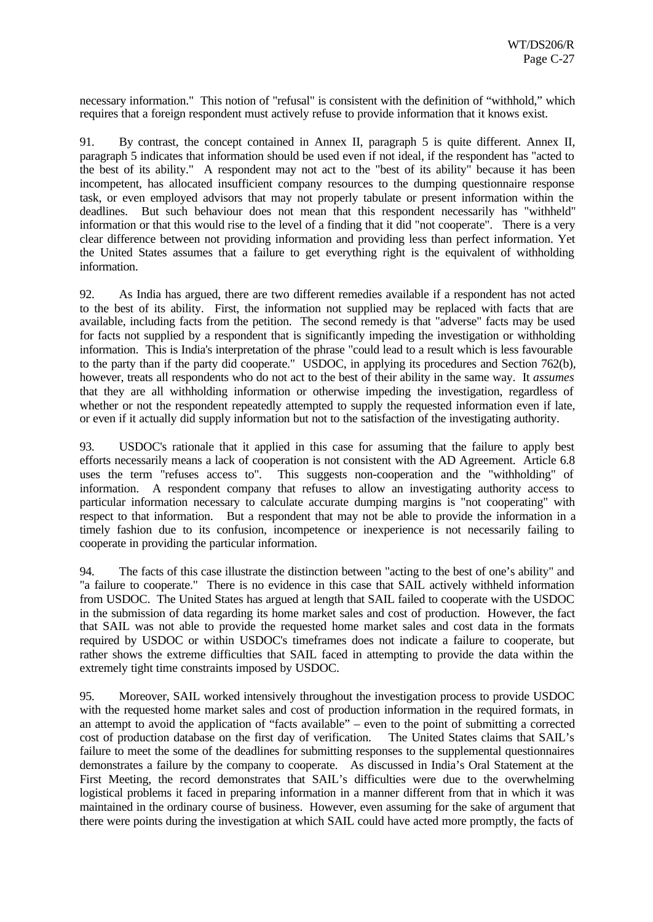necessary information." This notion of "refusal" is consistent with the definition of "withhold," which requires that a foreign respondent must actively refuse to provide information that it knows exist.

91. By contrast, the concept contained in Annex II, paragraph 5 is quite different. Annex II, paragraph 5 indicates that information should be used even if not ideal, if the respondent has "acted to the best of its ability." A respondent may not act to the "best of its ability" because it has been incompetent, has allocated insufficient company resources to the dumping questionnaire response task, or even employed advisors that may not properly tabulate or present information within the deadlines. But such behaviour does not mean that this respondent necessarily has "withheld" information or that this would rise to the level of a finding that it did "not cooperate". There is a very clear difference between not providing information and providing less than perfect information. Yet the United States assumes that a failure to get everything right is the equivalent of withholding information.

92. As India has argued, there are two different remedies available if a respondent has not acted to the best of its ability. First, the information not supplied may be replaced with facts that are available, including facts from the petition. The second remedy is that "adverse" facts may be used for facts not supplied by a respondent that is significantly impeding the investigation or withholding information. This is India's interpretation of the phrase "could lead to a result which is less favourable to the party than if the party did cooperate." USDOC, in applying its procedures and Section 762(b), however, treats all respondents who do not act to the best of their ability in the same way. It *assumes* that they are all withholding information or otherwise impeding the investigation, regardless of whether or not the respondent repeatedly attempted to supply the requested information even if late. or even if it actually did supply information but not to the satisfaction of the investigating authority.

93. USDOC's rationale that it applied in this case for assuming that the failure to apply best efforts necessarily means a lack of cooperation is not consistent with the AD Agreement. Article 6.8 uses the term "refuses access to". This suggests non-cooperation and the "withholding" of information. A respondent company that refuses to allow an investigating authority access to particular information necessary to calculate accurate dumping margins is "not cooperating" with respect to that information. But a respondent that may not be able to provide the information in a timely fashion due to its confusion, incompetence or inexperience is not necessarily failing to cooperate in providing the particular information.

94. The facts of this case illustrate the distinction between "acting to the best of one's ability" and "a failure to cooperate." There is no evidence in this case that SAIL actively withheld information from USDOC. The United States has argued at length that SAIL failed to cooperate with the USDOC in the submission of data regarding its home market sales and cost of production. However, the fact that SAIL was not able to provide the requested home market sales and cost data in the formats required by USDOC or within USDOC's timeframes does not indicate a failure to cooperate, but rather shows the extreme difficulties that SAIL faced in attempting to provide the data within the extremely tight time constraints imposed by USDOC.

95. Moreover, SAIL worked intensively throughout the investigation process to provide USDOC with the requested home market sales and cost of production information in the required formats, in an attempt to avoid the application of "facts available" – even to the point of submitting a corrected cost of production database on the first day of verification. The United States claims that SAIL's failure to meet the some of the deadlines for submitting responses to the supplemental questionnaires demonstrates a failure by the company to cooperate. As discussed in India's Oral Statement at the First Meeting, the record demonstrates that SAIL's difficulties were due to the overwhelming logistical problems it faced in preparing information in a manner different from that in which it was maintained in the ordinary course of business. However, even assuming for the sake of argument that there were points during the investigation at which SAIL could have acted more promptly, the facts of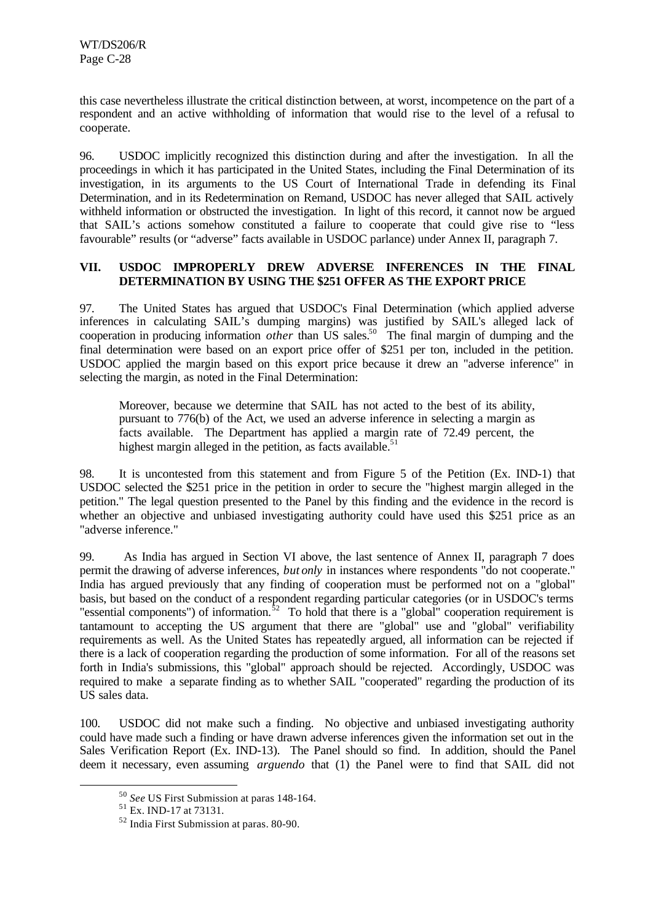this case nevertheless illustrate the critical distinction between, at worst, incompetence on the part of a respondent and an active withholding of information that would rise to the level of a refusal to cooperate.

96. USDOC implicitly recognized this distinction during and after the investigation. In all the proceedings in which it has participated in the United States, including the Final Determination of its investigation, in its arguments to the US Court of International Trade in defending its Final Determination, and in its Redetermination on Remand, USDOC has never alleged that SAIL actively withheld information or obstructed the investigation. In light of this record, it cannot now be argued that SAIL's actions somehow constituted a failure to cooperate that could give rise to "less favourable" results (or "adverse" facts available in USDOC parlance) under Annex II, paragraph 7.

### **VII. USDOC IMPROPERLY DREW ADVERSE INFERENCES IN THE FINAL DETERMINATION BY USING THE \$251 OFFER AS THE EXPORT PRICE**

97. The United States has argued that USDOC's Final Determination (which applied adverse inferences in calculating SAIL's dumping margins) was justified by SAIL's alleged lack of cooperation in producing information *other* than US sales.<sup>50</sup> The final margin of dumping and the final determination were based on an export price offer of \$251 per ton, included in the petition. USDOC applied the margin based on this export price because it drew an "adverse inference" in selecting the margin, as noted in the Final Determination:

Moreover, because we determine that SAIL has not acted to the best of its ability, pursuant to 776(b) of the Act, we used an adverse inference in selecting a margin as facts available. The Department has applied a margin rate of 72.49 percent, the highest margin alleged in the petition, as facts available. $51$ 

98. It is uncontested from this statement and from Figure 5 of the Petition (Ex. IND-1) that USDOC selected the \$251 price in the petition in order to secure the "highest margin alleged in the petition." The legal question presented to the Panel by this finding and the evidence in the record is whether an objective and unbiased investigating authority could have used this \$251 price as an "adverse inference."

99. As India has argued in Section VI above, the last sentence of Annex II, paragraph 7 does permit the drawing of adverse inferences, *but only* in instances where respondents "do not cooperate." India has argued previously that any finding of cooperation must be performed not on a "global" basis, but based on the conduct of a respondent regarding particular categories (or in USDOC's terms "essential components") of information.<sup>52</sup> To hold that there is a "global" cooperation requirement is tantamount to accepting the US argument that there are "global" use and "global" verifiability requirements as well. As the United States has repeatedly argued, all information can be rejected if there is a lack of cooperation regarding the production of some information. For all of the reasons set forth in India's submissions, this "global" approach should be rejected. Accordingly, USDOC was required to make a separate finding as to whether SAIL "cooperated" regarding the production of its US sales data.

100. USDOC did not make such a finding. No objective and unbiased investigating authority could have made such a finding or have drawn adverse inferences given the information set out in the Sales Verification Report (Ex. IND-13). The Panel should so find. In addition, should the Panel deem it necessary, even assuming *arguendo* that (1) the Panel were to find that SAIL did not

<sup>50</sup> *See* US First Submission at paras 148-164.

 $51$  Ex. IND-17 at 73131.

<sup>52</sup> India First Submission at paras. 80-90.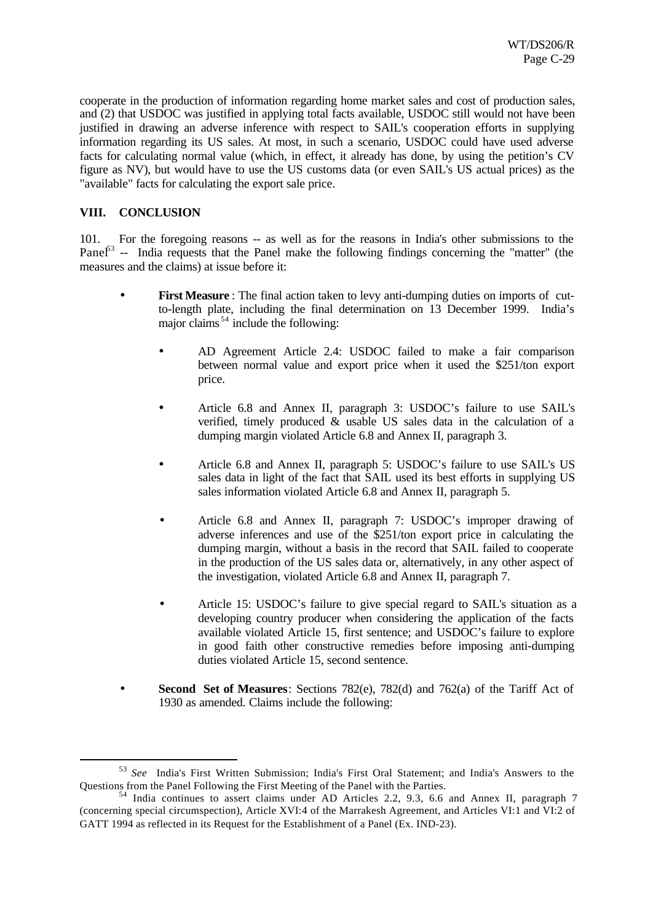cooperate in the production of information regarding home market sales and cost of production sales, and (2) that USDOC was justified in applying total facts available, USDOC still would not have been justified in drawing an adverse inference with respect to SAIL's cooperation efforts in supplying information regarding its US sales. At most, in such a scenario, USDOC could have used adverse facts for calculating normal value (which, in effect, it already has done, by using the petition's CV figure as NV), but would have to use the US customs data (or even SAIL's US actual prices) as the "available" facts for calculating the export sale price.

### **VIII. CONCLUSION**

l

101. For the foregoing reasons -- as well as for the reasons in India's other submissions to the Panel<sup>53</sup> -- India requests that the Panel make the following findings concerning the "matter" (the measures and the claims) at issue before it:

- **First Measure**: The final action taken to levy anti-dumping duties on imports of cutto-length plate, including the final determination on 13 December 1999. India's major claims <sup>54</sup> include the following:
	- AD Agreement Article 2.4: USDOC failed to make a fair comparison between normal value and export price when it used the \$251/ton export price.
	- Article 6.8 and Annex II, paragraph 3: USDOC's failure to use SAIL's verified, timely produced & usable US sales data in the calculation of a dumping margin violated Article 6.8 and Annex II, paragraph 3.
	- Article 6.8 and Annex II, paragraph 5: USDOC's failure to use SAIL's US sales data in light of the fact that SAIL used its best efforts in supplying US sales information violated Article 6.8 and Annex II, paragraph 5.
	- Article 6.8 and Annex II, paragraph 7: USDOC's improper drawing of adverse inferences and use of the \$251/ton export price in calculating the dumping margin, without a basis in the record that SAIL failed to cooperate in the production of the US sales data or, alternatively, in any other aspect of the investigation, violated Article 6.8 and Annex II, paragraph 7.
	- Article 15: USDOC's failure to give special regard to SAIL's situation as a developing country producer when considering the application of the facts available violated Article 15, first sentence; and USDOC's failure to explore in good faith other constructive remedies before imposing anti-dumping duties violated Article 15, second sentence.
- **Second Set of Measures**: Sections 782(e), 782(d) and 762(a) of the Tariff Act of 1930 as amended. Claims include the following:

<sup>53</sup> *See* India's First Written Submission; India's First Oral Statement; and India's Answers to the Questions from the Panel Following the First Meeting of the Panel with the Parties.

<sup>&</sup>lt;sup>54</sup> India continues to assert claims under AD Articles 2.2, 9.3, 6.6 and Annex II, paragraph 7 (concerning special circumspection), Article XVI:4 of the Marrakesh Agreement, and Articles VI:1 and VI:2 of GATT 1994 as reflected in its Request for the Establishment of a Panel (Ex. IND-23).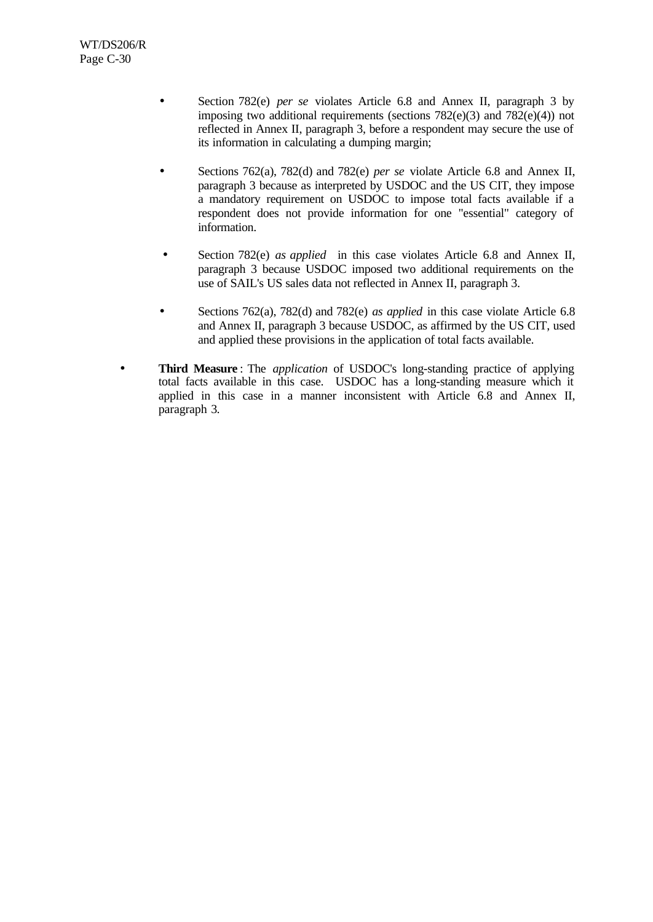- Section 782(e) *per se* violates Article 6.8 and Annex II, paragraph 3 by imposing two additional requirements (sections  $782(e)(3)$  and  $782(e)(4)$ ) not reflected in Annex II, paragraph 3, before a respondent may secure the use of its information in calculating a dumping margin;
- Sections 762(a), 782(d) and 782(e) *per se* violate Article 6.8 and Annex II, paragraph 3 because as interpreted by USDOC and the US CIT, they impose a mandatory requirement on USDOC to impose total facts available if a respondent does not provide information for one "essential" category of information.
- Section 782(e) *as applied* in this case violates Article 6.8 and Annex II, paragraph 3 because USDOC imposed two additional requirements on the use of SAIL's US sales data not reflected in Annex II, paragraph 3.
- Sections 762(a), 782(d) and 782(e) *as applied* in this case violate Article 6.8 and Annex II, paragraph 3 because USDOC, as affirmed by the US CIT, used and applied these provisions in the application of total facts available.
- **Third Measure** : The *application* of USDOC's long-standing practice of applying total facts available in this case. USDOC has a long-standing measure which it applied in this case in a manner inconsistent with Article 6.8 and Annex II, paragraph 3.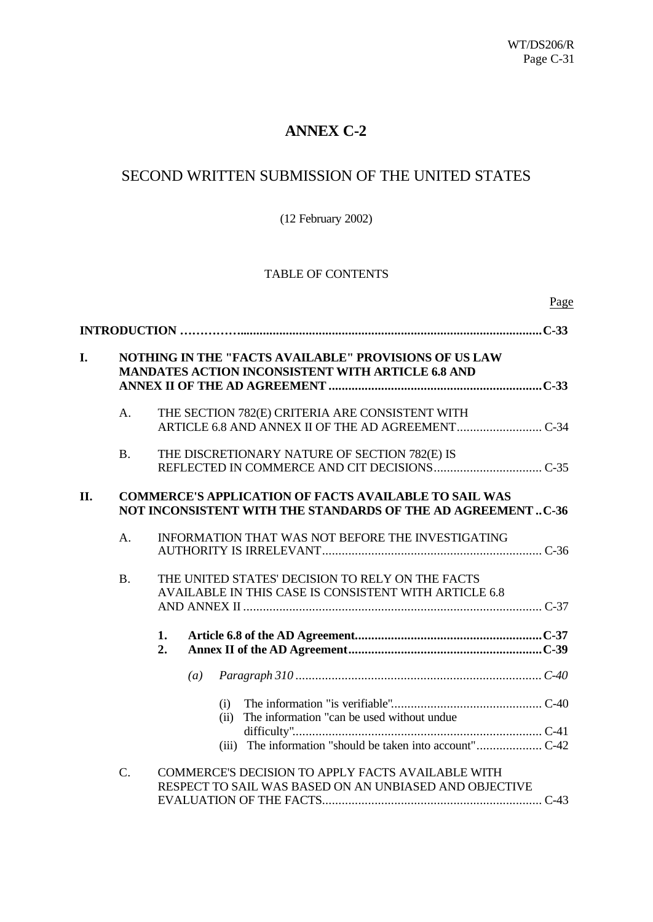Page

# **ANNEX C-2**

# SECOND WRITTEN SUBMISSION OF THE UNITED STATES

# (12 February 2002)

## TABLE OF CONTENTS

| I.                                                                                                                                 |                | NOTHING IN THE "FACTS AVAILABLE" PROVISIONS OF US LAW<br><b>MANDATES ACTION INCONSISTENT WITH ARTICLE 6.8 AND</b> |                                                                                                             |  |  |  |
|------------------------------------------------------------------------------------------------------------------------------------|----------------|-------------------------------------------------------------------------------------------------------------------|-------------------------------------------------------------------------------------------------------------|--|--|--|
|                                                                                                                                    | A.             |                                                                                                                   | THE SECTION 782(E) CRITERIA ARE CONSISTENT WITH                                                             |  |  |  |
|                                                                                                                                    | <b>B.</b>      |                                                                                                                   | THE DISCRETIONARY NATURE OF SECTION 782(E) IS                                                               |  |  |  |
| <b>COMMERCE'S APPLICATION OF FACTS AVAILABLE TO SAIL WAS</b><br>II.<br>NOT INCONSISTENT WITH THE STANDARDS OF THE AD AGREEMENTC-36 |                |                                                                                                                   |                                                                                                             |  |  |  |
|                                                                                                                                    | $\mathsf{A}$ . |                                                                                                                   | INFORMATION THAT WAS NOT BEFORE THE INVESTIGATING                                                           |  |  |  |
|                                                                                                                                    | <b>B.</b>      | THE UNITED STATES' DECISION TO RELY ON THE FACTS<br>AVAILABLE IN THIS CASE IS CONSISTENT WITH ARTICLE 6.8         |                                                                                                             |  |  |  |
|                                                                                                                                    |                | 1.<br>2.                                                                                                          |                                                                                                             |  |  |  |
|                                                                                                                                    |                | (a)                                                                                                               |                                                                                                             |  |  |  |
|                                                                                                                                    |                |                                                                                                                   | (i)<br>The information "can be used without undue"<br>(ii)                                                  |  |  |  |
|                                                                                                                                    | C.             |                                                                                                                   | COMMERCE'S DECISION TO APPLY FACTS AVAILABLE WITH<br>RESPECT TO SAIL WAS BASED ON AN UNBIASED AND OBJECTIVE |  |  |  |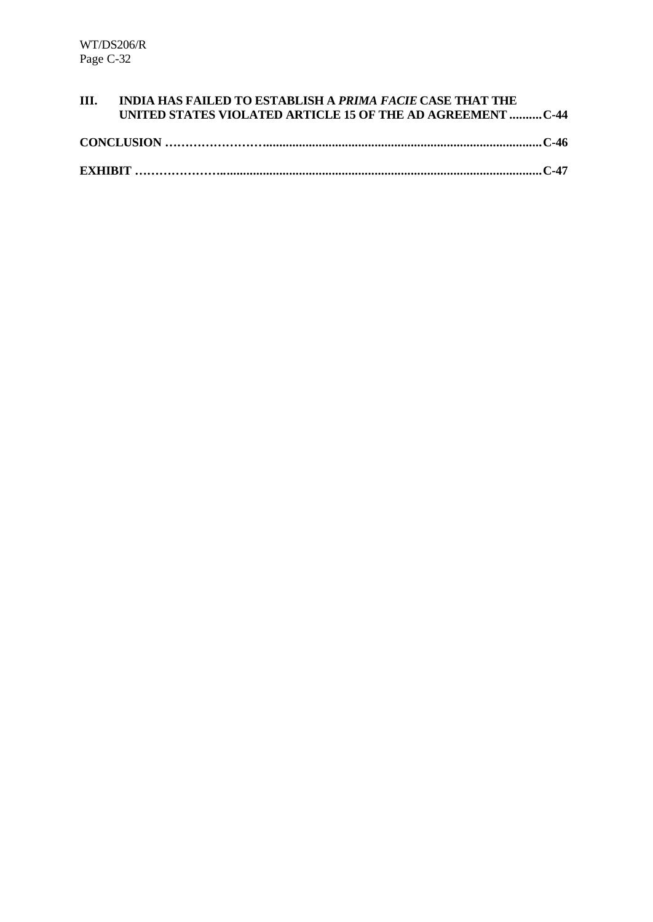# **III. INDIA HAS FAILED TO ESTABLISH A** *PRIMA FACIE* **CASE THAT THE UNITED STATES VIOLATED ARTICLE 15 OF THE AD AGREEMENT ..........C-44 CONCLUSION …………………….....................................................................................C-46 EXHIBIT …………………..................................................................................................C-47**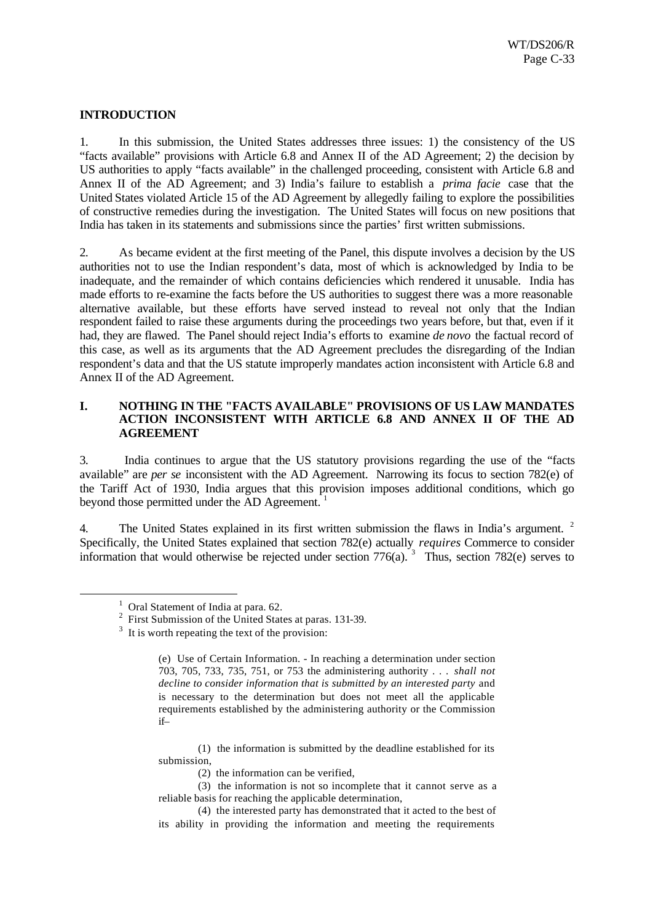### **INTRODUCTION**

1. In this submission, the United States addresses three issues: 1) the consistency of the US "facts available" provisions with Article 6.8 and Annex II of the AD Agreement; 2) the decision by US authorities to apply "facts available" in the challenged proceeding, consistent with Article 6.8 and Annex II of the AD Agreement; and 3) India's failure to establish a *prima facie* case that the United States violated Article 15 of the AD Agreement by allegedly failing to explore the possibilities of constructive remedies during the investigation. The United States will focus on new positions that India has taken in its statements and submissions since the parties' first written submissions.

2. As became evident at the first meeting of the Panel, this dispute involves a decision by the US authorities not to use the Indian respondent's data, most of which is acknowledged by India to be inadequate, and the remainder of which contains deficiencies which rendered it unusable. India has made efforts to re-examine the facts before the US authorities to suggest there was a more reasonable alternative available, but these efforts have served instead to reveal not only that the Indian respondent failed to raise these arguments during the proceedings two years before, but that, even if it had, they are flawed. The Panel should reject India's efforts to examine *de novo* the factual record of this case, as well as its arguments that the AD Agreement precludes the disregarding of the Indian respondent's data and that the US statute improperly mandates action inconsistent with Article 6.8 and Annex II of the AD Agreement.

### **I. NOTHING IN THE "FACTS AVAILABLE" PROVISIONS OF US LAW MANDATES ACTION INCONSISTENT WITH ARTICLE 6.8 AND ANNEX II OF THE AD AGREEMENT**

3. India continues to argue that the US statutory provisions regarding the use of the "facts available" are *per se* inconsistent with the AD Agreement. Narrowing its focus to section 782(e) of the Tariff Act of 1930, India argues that this provision imposes additional conditions, which go beyond those permitted under the AD Agreement.

4. The United States explained in its first written submission the flaws in India's argument. <sup>2</sup> Specifically, the United States explained that section 782(e) actually *requires* Commerce to consider information that would otherwise be rejected under section  $776(a)$ . <sup>3</sup> Thus, section  $782(e)$  serves to

l

(1) the information is submitted by the deadline established for its submission,

(2) the information can be verified,

(3) the information is not so incomplete that it cannot serve as a reliable basis for reaching the applicable determination,

<sup>&</sup>lt;sup>1</sup> Oral Statement of India at para. 62.

<sup>&</sup>lt;sup>2</sup> First Submission of the United States at paras. 131-39.

 $3<sup>3</sup>$  It is worth repeating the text of the provision:

<sup>(</sup>e) Use of Certain Information. - In reaching a determination under section 703, 705, 733, 735, 751, or 753 the administering authority . . . *shall not decline to consider information that is submitted by an interested party* and is necessary to the determination but does not meet all the applicable requirements established by the administering authority or the Commission if–

<sup>(4)</sup> the interested party has demonstrated that it acted to the best of its ability in providing the information and meeting the requirements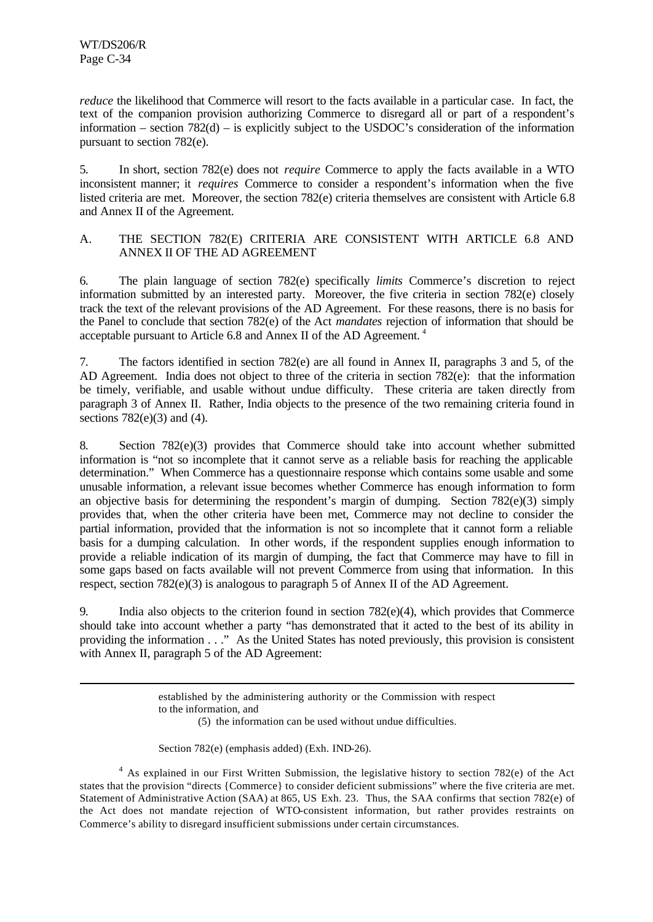l

*reduce* the likelihood that Commerce will resort to the facts available in a particular case. In fact, the text of the companion provision authorizing Commerce to disregard all or part of a respondent's information – section 782(d) – is explicitly subject to the USDOC's consideration of the information pursuant to section 782(e).

5. In short, section 782(e) does not *require* Commerce to apply the facts available in a WTO inconsistent manner; it *requires* Commerce to consider a respondent's information when the five listed criteria are met. Moreover, the section 782(e) criteria themselves are consistent with Article 6.8 and Annex II of the Agreement.

### A. THE SECTION 782(E) CRITERIA ARE CONSISTENT WITH ARTICLE 6.8 AND ANNEX II OF THE AD AGREEMENT

6. The plain language of section 782(e) specifically *limits* Commerce's discretion to reject information submitted by an interested party. Moreover, the five criteria in section 782(e) closely track the text of the relevant provisions of the AD Agreement. For these reasons, there is no basis for the Panel to conclude that section 782(e) of the Act *mandates* rejection of information that should be acceptable pursuant to Article 6.8 and Annex II of the AD Agreement. <sup>4</sup>

7. The factors identified in section 782(e) are all found in Annex II, paragraphs 3 and 5, of the AD Agreement. India does not object to three of the criteria in section 782(e): that the information be timely, verifiable, and usable without undue difficulty. These criteria are taken directly from paragraph 3 of Annex II. Rather, India objects to the presence of the two remaining criteria found in sections 782(e)(3) and (4).

8. Section 782(e)(3) provides that Commerce should take into account whether submitted information is "not so incomplete that it cannot serve as a reliable basis for reaching the applicable determination." When Commerce has a questionnaire response which contains some usable and some unusable information, a relevant issue becomes whether Commerce has enough information to form an objective basis for determining the respondent's margin of dumping. Section  $782(e)(3)$  simply provides that, when the other criteria have been met, Commerce may not decline to consider the partial information, provided that the information is not so incomplete that it cannot form a reliable basis for a dumping calculation. In other words, if the respondent supplies enough information to provide a reliable indication of its margin of dumping, the fact that Commerce may have to fill in some gaps based on facts available will not prevent Commerce from using that information. In this respect, section 782(e)(3) is analogous to paragraph 5 of Annex II of the AD Agreement.

9. India also objects to the criterion found in section  $782(e)(4)$ , which provides that Commerce should take into account whether a party "has demonstrated that it acted to the best of its ability in providing the information . . ." As the United States has noted previously, this provision is consistent with Annex II, paragraph 5 of the AD Agreement:

> established by the administering authority or the Commission with respect to the information, and

Section 782(e) (emphasis added) (Exh. IND-26).

<sup>(5)</sup> the information can be used without undue difficulties.

<sup>&</sup>lt;sup>4</sup> As explained in our First Written Submission, the legislative history to section 782(e) of the Act states that the provision "directs {Commerce} to consider deficient submissions" where the five criteria are met. Statement of Administrative Action (SAA) at 865, US Exh. 23. Thus, the SAA confirms that section 782(e) of the Act does not mandate rejection of WTO-consistent information, but rather provides restraints on Commerce's ability to disregard insufficient submissions under certain circumstances.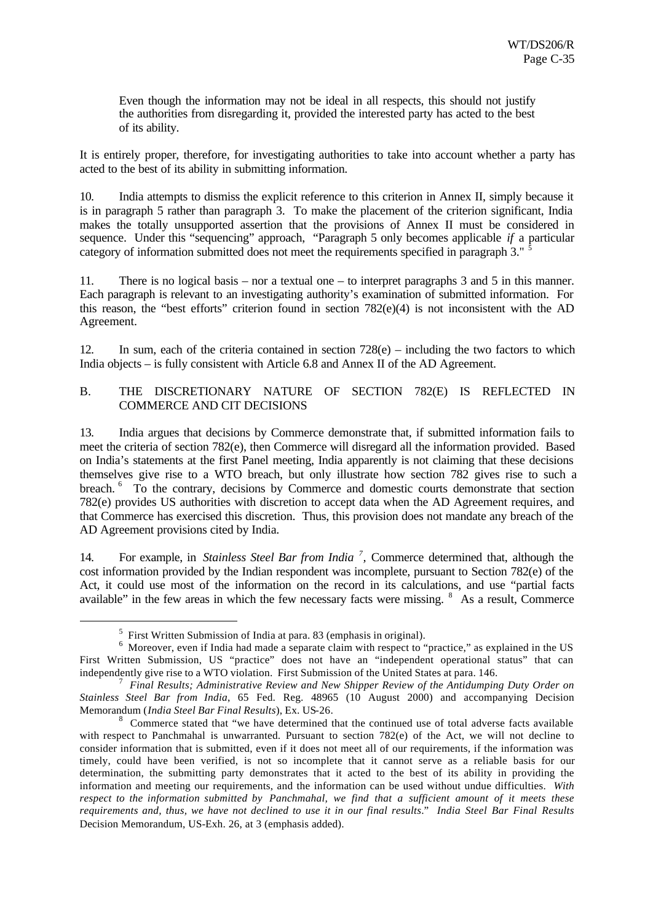Even though the information may not be ideal in all respects, this should not justify the authorities from disregarding it, provided the interested party has acted to the best of its ability.

It is entirely proper, therefore, for investigating authorities to take into account whether a party has acted to the best of its ability in submitting information.

10. India attempts to dismiss the explicit reference to this criterion in Annex II, simply because it is in paragraph 5 rather than paragraph 3. To make the placement of the criterion significant, India makes the totally unsupported assertion that the provisions of Annex II must be considered in sequence. Under this "sequencing" approach, "Paragraph 5 only becomes applicable *if* a particular category of information submitted does not meet the requirements specified in paragraph 3."

11. There is no logical basis – nor a textual one – to interpret paragraphs 3 and 5 in this manner. Each paragraph is relevant to an investigating authority's examination of submitted information. For this reason, the "best efforts" criterion found in section 782(e)(4) is not inconsistent with the AD Agreement.

12. In sum, each of the criteria contained in section 728(e) – including the two factors to which India objects – is fully consistent with Article 6.8 and Annex II of the AD Agreement.

### B. THE DISCRETIONARY NATURE OF SECTION 782(E) IS REFLECTED IN COMMERCE AND CIT DECISIONS

13. India argues that decisions by Commerce demonstrate that, if submitted information fails to meet the criteria of section 782(e), then Commerce will disregard all the information provided. Based on India's statements at the first Panel meeting, India apparently is not claiming that these decisions themselves give rise to a WTO breach, but only illustrate how section 782 gives rise to such a breach. <sup>6</sup> To the contrary, decisions by Commerce and domestic courts demonstrate that section 782(e) provides US authorities with discretion to accept data when the AD Agreement requires, and that Commerce has exercised this discretion. Thus, this provision does not mandate any breach of the AD Agreement provisions cited by India.

14. For example, in *Stainless Steel Bar from India<sup>7</sup>*, Commerce determined that, although the cost information provided by the Indian respondent was incomplete, pursuant to Section 782(e) of the Act, it could use most of the information on the record in its calculations, and use "partial facts available" in the few areas in which the few necessary facts were missing.  $8$  As a result, Commerce

<sup>&</sup>lt;sup>5</sup> First Written Submission of India at para. 83 (emphasis in original).

<sup>&</sup>lt;sup>6</sup> Moreover, even if India had made a separate claim with respect to "practice," as explained in the US First Written Submission, US "practice" does not have an "independent operational status" that can independently give rise to a WTO violation. First Submission of the United States at para. 146.

<sup>7</sup> *Final Results; Administrative Review and New Shipper Review of the Antidumping Duty Order on Stainless Steel Bar from India*, 65 Fed. Reg. 48965 (10 August 2000) and accompanying Decision Memorandum (*India Steel Bar Final Results*), Ex. US-26.

<sup>&</sup>lt;sup>8</sup> Commerce stated that "we have determined that the continued use of total adverse facts available with respect to Panchmahal is unwarranted. Pursuant to section 782(e) of the Act, we will not decline to consider information that is submitted, even if it does not meet all of our requirements, if the information was timely, could have been verified, is not so incomplete that it cannot serve as a reliable basis for our determination, the submitting party demonstrates that it acted to the best of its ability in providing the information and meeting our requirements, and the information can be used without undue difficulties. *With respect to the information submitted by Panchmahal, we find that a sufficient amount of it meets these requirements and, thus, we have not declined to use it in our final results*." *India Steel Bar Final Results* Decision Memorandum, US-Exh. 26, at 3 (emphasis added).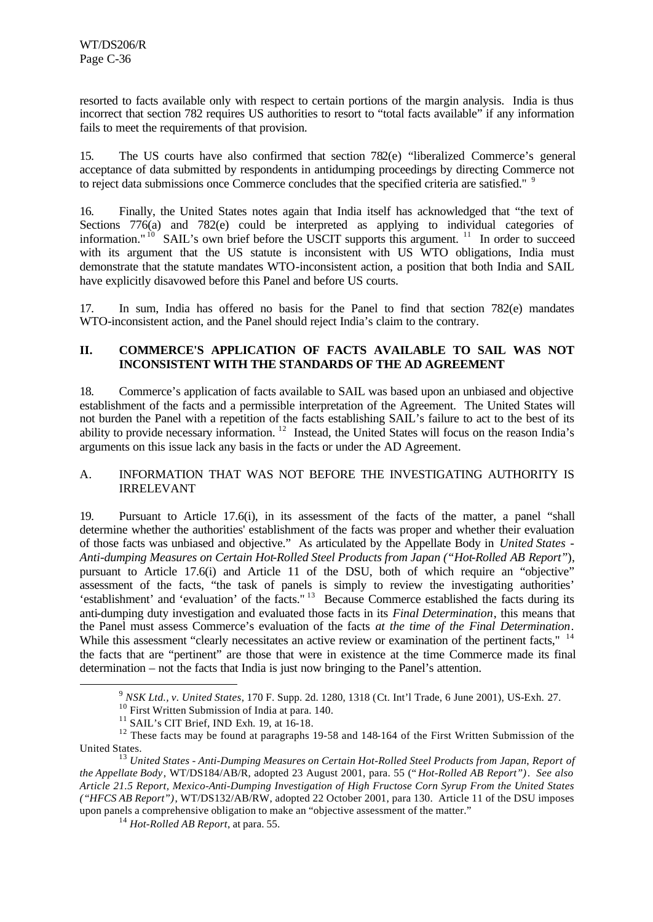resorted to facts available only with respect to certain portions of the margin analysis. India is thus incorrect that section 782 requires US authorities to resort to "total facts available" if any information fails to meet the requirements of that provision.

15. The US courts have also confirmed that section 782(e) "liberalized Commerce's general acceptance of data submitted by respondents in antidumping proceedings by directing Commerce not to reject data submissions once Commerce concludes that the specified criteria are satisfied." <sup>9</sup>

16. Finally, the United States notes again that India itself has acknowledged that "the text of Sections 776(a) and 782(e) could be interpreted as applying to individual categories of information." $10$  SAIL's own brief before the USCIT supports this argument.  $11$  In order to succeed with its argument that the US statute is inconsistent with US WTO obligations, India must demonstrate that the statute mandates WTO-inconsistent action, a position that both India and SAIL have explicitly disavowed before this Panel and before US courts.

17. In sum, India has offered no basis for the Panel to find that section 782(e) mandates WTO-inconsistent action, and the Panel should reject India's claim to the contrary.

## **II. COMMERCE'S APPLICATION OF FACTS AVAILABLE TO SAIL WAS NOT INCONSISTENT WITH THE STANDARDS OF THE AD AGREEMENT**

18. Commerce's application of facts available to SAIL was based upon an unbiased and objective establishment of the facts and a permissible interpretation of the Agreement. The United States will not burden the Panel with a repetition of the facts establishing SAIL's failure to act to the best of its ability to provide necessary information.<sup>12</sup> Instead, the United States will focus on the reason India's arguments on this issue lack any basis in the facts or under the AD Agreement.

### A. INFORMATION THAT WAS NOT BEFORE THE INVESTIGATING AUTHORITY IS IRRELEVANT

19. Pursuant to Article 17.6(i), in its assessment of the facts of the matter, a panel "shall determine whether the authorities' establishment of the facts was proper and whether their evaluation of those facts was unbiased and objective." As articulated by the Appellate Body in *United States - Anti-dumping Measures on Certain Hot-Rolled Steel Products from Japan ("Hot-Rolled AB Report"*), pursuant to Article 17.6(i) and Article 11 of the DSU, both of which require an "objective" assessment of the facts, "the task of panels is simply to review the investigating authorities' 'establishment' and 'evaluation' of the facts." <sup>13</sup> Because Commerce established the facts during its anti-dumping duty investigation and evaluated those facts in its *Final Determination*, this means that the Panel must assess Commerce's evaluation of the facts *at the time of the Final Determination*. While this assessment "clearly necessitates an active review or examination of the pertinent facts," <sup>14</sup> the facts that are "pertinent" are those that were in existence at the time Commerce made its final determination – not the facts that India is just now bringing to the Panel's attention.

<sup>9</sup> *NSK Ltd., v. United States*, 170 F. Supp. 2d. 1280, 1318 (Ct. Int'l Trade, 6 June 2001), US-Exh. 27.

<sup>&</sup>lt;sup>10</sup> First Written Submission of India at para. 140.

<sup>11</sup> SAIL's CIT Brief, IND Exh. 19, at 16-18.

<sup>&</sup>lt;sup>12</sup> These facts may be found at paragraphs 19-58 and 148-164 of the First Written Submission of the United States.

<sup>13</sup> *United States - Anti-Dumping Measures on Certain Hot-Rolled Steel Products from Japan*, *Report of the Appellate Body*, WT/DS184/AB/R, adopted 23 August 2001, para. 55 (" *Hot-Rolled AB Report")*. *See also Article 21.5 Report, Mexico-Anti-Dumping Investigation of High Fructose Corn Syrup From the United States ("HFCS AB Report")*, WT/DS132/AB/RW, adopted 22 October 2001, para 130. Article 11 of the DSU imposes upon panels a comprehensive obligation to make an "objective assessment of the matter."

<sup>14</sup> *Hot-Rolled AB Report*, at para. 55.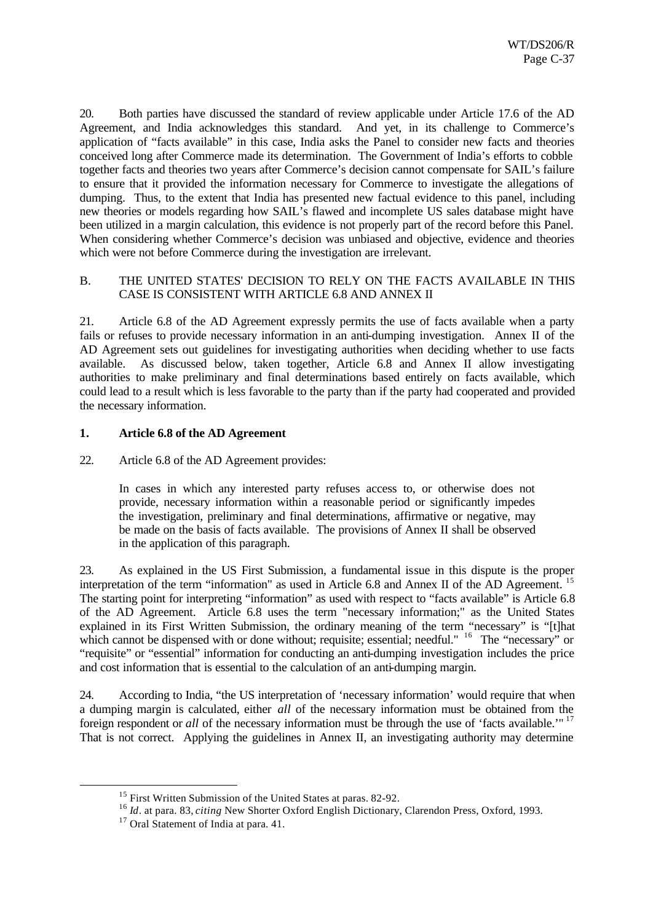20. Both parties have discussed the standard of review applicable under Article 17.6 of the AD Agreement, and India acknowledges this standard. And yet, in its challenge to Commerce's application of "facts available" in this case, India asks the Panel to consider new facts and theories conceived long after Commerce made its determination. The Government of India's efforts to cobble together facts and theories two years after Commerce's decision cannot compensate for SAIL's failure to ensure that it provided the information necessary for Commerce to investigate the allegations of dumping. Thus, to the extent that India has presented new factual evidence to this panel, including new theories or models regarding how SAIL's flawed and incomplete US sales database might have been utilized in a margin calculation, this evidence is not properly part of the record before this Panel. When considering whether Commerce's decision was unbiased and objective, evidence and theories which were not before Commerce during the investigation are irrelevant.

### B. THE UNITED STATES' DECISION TO RELY ON THE FACTS AVAILABLE IN THIS CASE IS CONSISTENT WITH ARTICLE 6.8 AND ANNEX II

21. Article 6.8 of the AD Agreement expressly permits the use of facts available when a party fails or refuses to provide necessary information in an anti-dumping investigation. Annex II of the AD Agreement sets out guidelines for investigating authorities when deciding whether to use facts available. As discussed below, taken together, Article 6.8 and Annex II allow investigating authorities to make preliminary and final determinations based entirely on facts available, which could lead to a result which is less favorable to the party than if the party had cooperated and provided the necessary information.

## **1. Article 6.8 of the AD Agreement**

22. Article 6.8 of the AD Agreement provides:

In cases in which any interested party refuses access to, or otherwise does not provide, necessary information within a reasonable period or significantly impedes the investigation, preliminary and final determinations, affirmative or negative, may be made on the basis of facts available. The provisions of Annex II shall be observed in the application of this paragraph.

23. As explained in the US First Submission, a fundamental issue in this dispute is the proper interpretation of the term "information" as used in Article 6.8 and Annex II of the AD Agreement. <sup>15</sup> The starting point for interpreting "information" as used with respect to "facts available" is Article 6.8 of the AD Agreement. Article 6.8 uses the term "necessary information;" as the United States explained in its First Written Submission, the ordinary meaning of the term "necessary" is "[t]hat which cannot be dispensed with or done without; requisite; essential; needful." <sup>16</sup> The "necessary" or "requisite" or "essential" information for conducting an anti-dumping investigation includes the price and cost information that is essential to the calculation of an anti-dumping margin.

24. According to India, "the US interpretation of 'necessary information' would require that when a dumping margin is calculated, either *all* of the necessary information must be obtained from the foreign respondent or *all* of the necessary information must be through the use of 'facts available.'" <sup>17</sup> That is not correct. Applying the guidelines in Annex II, an investigating authority may determine

<sup>&</sup>lt;sup>15</sup> First Written Submission of the United States at paras. 82-92.

<sup>16</sup> *Id*. at para. 83, *citing* New Shorter Oxford English Dictionary, Clarendon Press, Oxford, 1993.

<sup>&</sup>lt;sup>17</sup> Oral Statement of India at para. 41.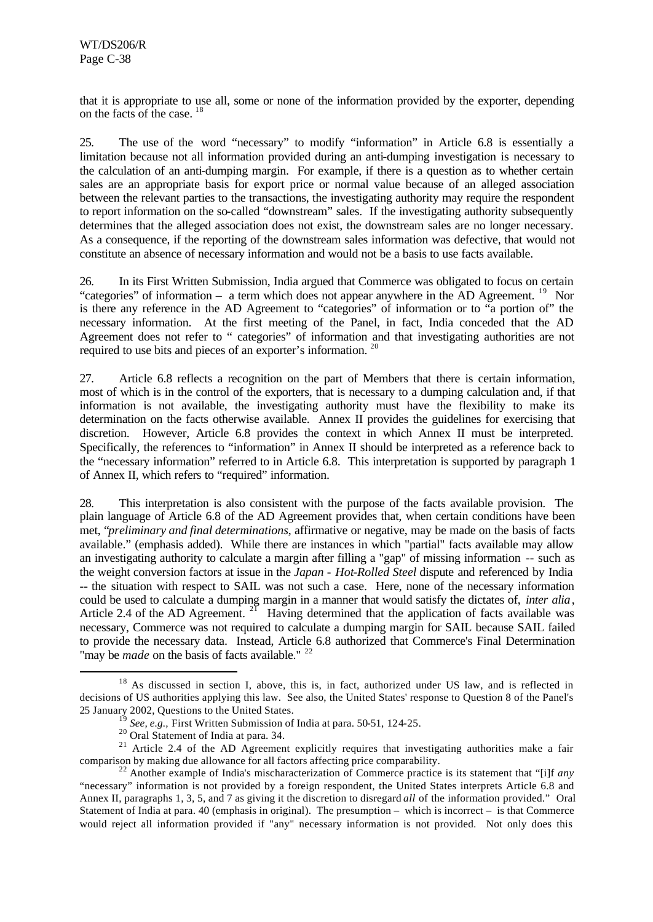that it is appropriate to use all, some or none of the information provided by the exporter, depending on the facts of the case. <sup>18</sup>

25. The use of the word "necessary" to modify "information" in Article 6.8 is essentially a limitation because not all information provided during an anti-dumping investigation is necessary to the calculation of an anti-dumping margin. For example, if there is a question as to whether certain sales are an appropriate basis for export price or normal value because of an alleged association between the relevant parties to the transactions, the investigating authority may require the respondent to report information on the so-called "downstream" sales. If the investigating authority subsequently determines that the alleged association does not exist, the downstream sales are no longer necessary. As a consequence, if the reporting of the downstream sales information was defective, that would not constitute an absence of necessary information and would not be a basis to use facts available.

26. In its First Written Submission, India argued that Commerce was obligated to focus on certain "categories" of information – a term which does not appear anywhere in the AD Agreement. <sup>19</sup> Nor is there any reference in the AD Agreement to "categories" of information or to "a portion of" the necessary information. At the first meeting of the Panel, in fact, India conceded that the AD Agreement does not refer to " categories" of information and that investigating authorities are not required to use bits and pieces of an exporter's information. <sup>20</sup>

27. Article 6.8 reflects a recognition on the part of Members that there is certain information, most of which is in the control of the exporters, that is necessary to a dumping calculation and, if that information is not available, the investigating authority must have the flexibility to make its determination on the facts otherwise available. Annex II provides the guidelines for exercising that discretion. However, Article 6.8 provides the context in which Annex II must be interpreted. Specifically, the references to "information" in Annex II should be interpreted as a reference back to the "necessary information" referred to in Article 6.8. This interpretation is supported by paragraph 1 of Annex II, which refers to "required" information.

28. This interpretation is also consistent with the purpose of the facts available provision. The plain language of Article 6.8 of the AD Agreement provides that, when certain conditions have been met, "*preliminary and final determinations*, affirmative or negative, may be made on the basis of facts available." (emphasis added). While there are instances in which "partial" facts available may allow an investigating authority to calculate a margin after filling a "gap" of missing information -- such as the weight conversion factors at issue in the *Japan - Hot-Rolled Steel* dispute and referenced by India -- the situation with respect to SAIL was not such a case. Here, none of the necessary information could be used to calculate a dumping margin in a manner that would satisfy the dictates of, *inter alia*, Article 2.4 of the AD Agreement.<sup>21</sup> Having determined that the application of facts available was necessary, Commerce was not required to calculate a dumping margin for SAIL because SAIL failed to provide the necessary data. Instead, Article 6.8 authorized that Commerce's Final Determination "may be *made* on the basis of facts available." <sup>22</sup>

<sup>&</sup>lt;sup>18</sup> As discussed in section I, above, this is, in fact, authorized under US law, and is reflected in decisions of US authorities applying this law. See also, the United States' response to Question 8 of the Panel's 25 January 2002, Questions to the United States.

<sup>19</sup> *See, e.g.,* First Written Submission of India at para. 50-51, 124-25.

 $20$  Oral Statement of India at para. 34.

 $21$  Article 2.4 of the AD Agreement explicitly requires that investigating authorities make a fair comparison by making due allowance for all factors affecting price comparability.

<sup>22</sup> Another example of India's mischaracterization of Commerce practice is its statement that "[i]f *any* "necessary" information is not provided by a foreign respondent, the United States interprets Article 6.8 and Annex II, paragraphs 1, 3, 5, and 7 as giving it the discretion to disregard *all* of the information provided." Oral Statement of India at para. 40 (emphasis in original). The presumption – which is incorrect – is that Commerce would reject all information provided if "any" necessary information is not provided. Not only does this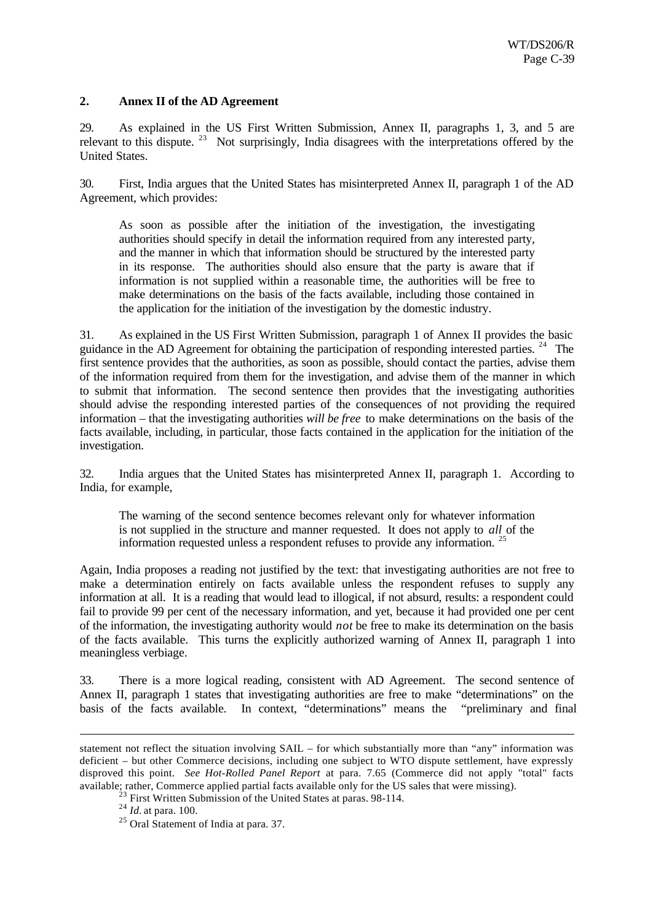### **2. Annex II of the AD Agreement**

29. As explained in the US First Written Submission, Annex II, paragraphs 1, 3, and 5 are relevant to this dispute. <sup>23</sup> Not surprisingly, India disagrees with the interpretations offered by the United States.

30. First, India argues that the United States has misinterpreted Annex II, paragraph 1 of the AD Agreement, which provides:

As soon as possible after the initiation of the investigation, the investigating authorities should specify in detail the information required from any interested party, and the manner in which that information should be structured by the interested party in its response. The authorities should also ensure that the party is aware that if information is not supplied within a reasonable time, the authorities will be free to make determinations on the basis of the facts available, including those contained in the application for the initiation of the investigation by the domestic industry.

31. As explained in the US First Written Submission, paragraph 1 of Annex II provides the basic guidance in the AD Agreement for obtaining the participation of responding interested parties.  $^{24}$  The first sentence provides that the authorities, as soon as possible, should contact the parties, advise them of the information required from them for the investigation, and advise them of the manner in which to submit that information. The second sentence then provides that the investigating authorities should advise the responding interested parties of the consequences of not providing the required information – that the investigating authorities *will be free* to make determinations on the basis of the facts available, including, in particular, those facts contained in the application for the initiation of the investigation.

32. India argues that the United States has misinterpreted Annex II, paragraph 1. According to India, for example,

The warning of the second sentence becomes relevant only for whatever information is not supplied in the structure and manner requested. It does not apply to *all* of the information requested unless a respondent refuses to provide any information.<sup>25</sup>

Again, India proposes a reading not justified by the text: that investigating authorities are not free to make a determination entirely on facts available unless the respondent refuses to supply any information at all. It is a reading that would lead to illogical, if not absurd, results: a respondent could fail to provide 99 per cent of the necessary information, and yet, because it had provided one per cent of the information, the investigating authority would *not* be free to make its determination on the basis of the facts available. This turns the explicitly authorized warning of Annex II, paragraph 1 into meaningless verbiage.

33. There is a more logical reading, consistent with AD Agreement. The second sentence of Annex II, paragraph 1 states that investigating authorities are free to make "determinations" on the basis of the facts available. In context, "determinations" means the "preliminary and final

statement not reflect the situation involving SAIL – for which substantially more than "any" information was deficient – but other Commerce decisions, including one subject to WTO dispute settlement, have expressly disproved this point. *See Hot-Rolled Panel Report* at para. 7.65 (Commerce did not apply "total" facts available; rather, Commerce applied partial facts available only for the US sales that were missing).

 $^{23}$  First Written Submission of the United States at paras. 98-114.

<sup>24</sup> *Id.* at para. 100.

<sup>25</sup> Oral Statement of India at para. 37.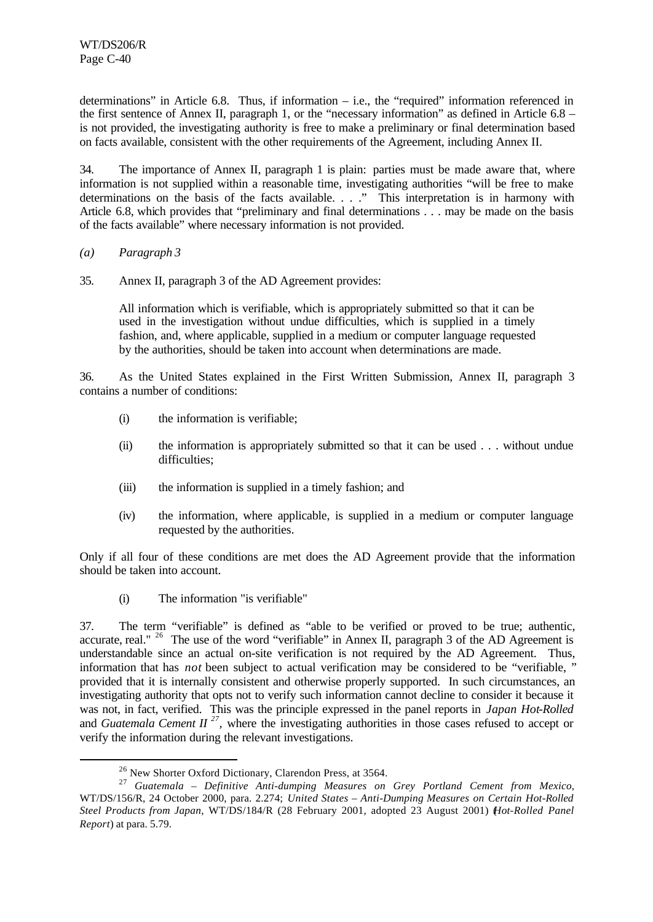determinations" in Article 6.8. Thus, if information – i.e., the "required" information referenced in the first sentence of Annex II, paragraph 1, or the "necessary information" as defined in Article 6.8 – is not provided, the investigating authority is free to make a preliminary or final determination based on facts available, consistent with the other requirements of the Agreement, including Annex II.

34. The importance of Annex II, paragraph 1 is plain: parties must be made aware that, where information is not supplied within a reasonable time, investigating authorities "will be free to make determinations on the basis of the facts available. . . ." This interpretation is in harmony with Article 6.8, which provides that "preliminary and final determinations . . . may be made on the basis of the facts available" where necessary information is not provided.

*(a) Paragraph 3*

l

35. Annex II, paragraph 3 of the AD Agreement provides:

All information which is verifiable, which is appropriately submitted so that it can be used in the investigation without undue difficulties, which is supplied in a timely fashion, and, where applicable, supplied in a medium or computer language requested by the authorities, should be taken into account when determinations are made.

36. As the United States explained in the First Written Submission, Annex II, paragraph 3 contains a number of conditions:

- (i) the information is verifiable;
- (ii) the information is appropriately submitted so that it can be used . . . without undue difficulties;
- (iii) the information is supplied in a timely fashion; and
- (iv) the information, where applicable, is supplied in a medium or computer language requested by the authorities.

Only if all four of these conditions are met does the AD Agreement provide that the information should be taken into account.

(i) The information "is verifiable"

37. The term "verifiable" is defined as "able to be verified or proved to be true; authentic, accurate, real."<sup>26</sup> The use of the word "verifiable" in Annex II, paragraph 3 of the AD Agreement is understandable since an actual on-site verification is not required by the AD Agreement. Thus, information that has *not* been subject to actual verification may be considered to be "verifiable, " provided that it is internally consistent and otherwise properly supported. In such circumstances, an investigating authority that opts not to verify such information cannot decline to consider it because it was not, in fact, verified. This was the principle expressed in the panel reports in *Japan Hot-Rolled* and *Guatemala Cement II*<sup>27</sup>, where the investigating authorities in those cases refused to accept or verify the information during the relevant investigations.

<sup>26</sup> New Shorter Oxford Dictionary, Clarendon Press, at 3564.

<sup>27</sup> *Guatemala – Definitive Anti-dumping Measures on Grey Portland Cement from Mexico*, WT/DS/156/R, 24 October 2000, para. 2.274; *United States – Anti-Dumping Measures on Certain Hot-Rolled Steel Products from Japan*, WT/DS/184/R (28 February 2001, adopted 23 August 2001) (*Hot-Rolled Panel Report*) at para. 5.79.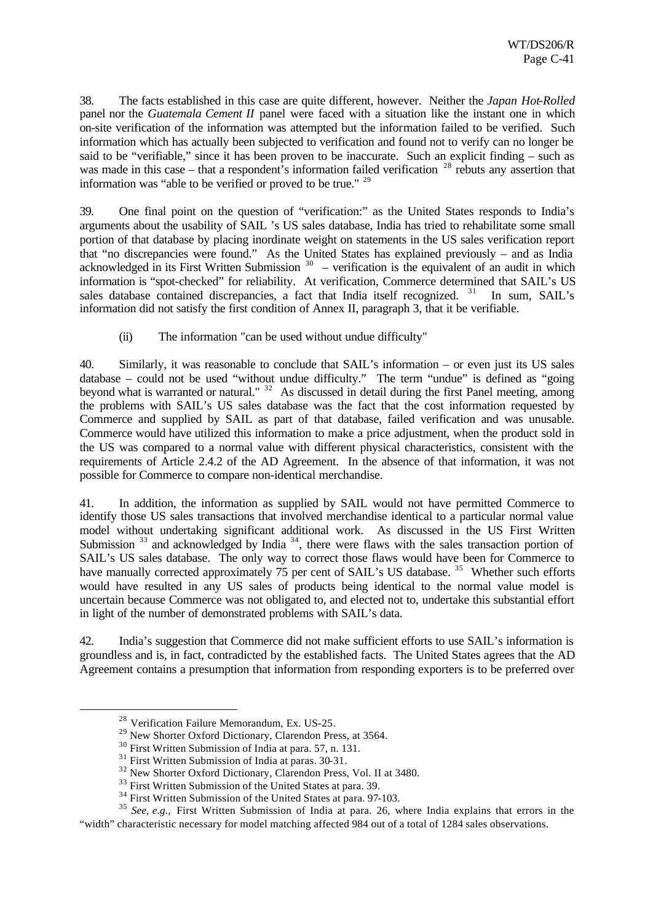38. The facts established in this case are quite different, however. Neither the *Japan Hot-Rolled* panel nor the *Guatemala Cement II* panel were faced with a situation like the instant one in which on-site verification of the information was attempted but the information failed to be verified. Such information which has actually been subjected to verification and found not to verify can no longer be said to be "verifiable," since it has been proven to be inaccurate. Such an explicit finding – such as was made in this case – that a respondent's information failed verification <sup>28</sup> rebuts any assertion that information was "able to be verified or proved to be true." <sup>29</sup>

39. One final point on the question of "verification:" as the United States responds to India's arguments about the usability of SAIL 's US sales database, India has tried to rehabilitate some small portion of that database by placing inordinate weight on statements in the US sales verification report that "no discrepancies were found." As the United States has explained previously – and as India acknowledged in its First Written Submission  $30$  – verification is the equivalent of an audit in which information is "spot-checked" for reliability. At verification, Commerce determined that SAIL's US sales database contained discrepancies, a fact that India itself recognized.  $31$  In sum, SAIL's information did not satisfy the first condition of Annex II, paragraph 3, that it be verifiable.

(ii) The information "can be used without undue difficulty"

40. Similarly, it was reasonable to conclude that SAIL's information – or even just its US sales database – could not be used "without undue difficulty." The term "undue" is defined as "going beyond what is warranted or natural." <sup>32</sup> As discussed in detail during the first Panel meeting, among the problems with SAIL's US sales database was the fact that the cost information requested by Commerce and supplied by SAIL as part of that database, failed verification and was unusable. Commerce would have utilized this information to make a price adjustment, when the product sold in the US was compared to a normal value with different physical characteristics, consistent with the requirements of Article 2.4.2 of the AD Agreement. In the absence of that information, it was not possible for Commerce to compare non-identical merchandise.

41. In addition, the information as supplied by SAIL would not have permitted Commerce to identify those US sales transactions that involved merchandise identical to a particular normal value model without undertaking significant additional work. As discussed in the US First Written Submission  $33$  and acknowledged by India  $34$ , there were flaws with the sales transaction portion of SAIL's US sales database. The only way to correct those flaws would have been for Commerce to have manually corrected approximately 75 per cent of SAIL's US database.<sup>35</sup> Whether such efforts would have resulted in any US sales of products being identical to the normal value model is uncertain because Commerce was not obligated to, and elected not to, undertake this substantial effort in light of the number of demonstrated problems with SAIL's data.

42. India's suggestion that Commerce did not make sufficient efforts to use SAIL's information is groundless and is, in fact, contradicted by the established facts. The United States agrees that the AD Agreement contains a presumption that information from responding exporters is to be preferred over

<sup>28</sup> Verification Failure Memorandum, Ex. US-25.

<sup>29</sup> New Shorter Oxford Dictionary, Clarendon Press, at 3564.

<sup>30</sup> First Written Submission of India at para. 57, n. 131.

<sup>&</sup>lt;sup>31</sup> First Written Submission of India at paras. 30-31.

<sup>&</sup>lt;sup>32</sup> New Shorter Oxford Dictionary, Clarendon Press, Vol. II at 3480.

<sup>&</sup>lt;sup>33</sup> First Written Submission of the United States at para. 39.

<sup>&</sup>lt;sup>34</sup> First Written Submission of the United States at para. 97-103.

<sup>35</sup> *See, e.g.,* First Written Submission of India at para. 26, where India explains that errors in the "width" characteristic necessary for model matching affected 984 out of a total of 1284 sales observations.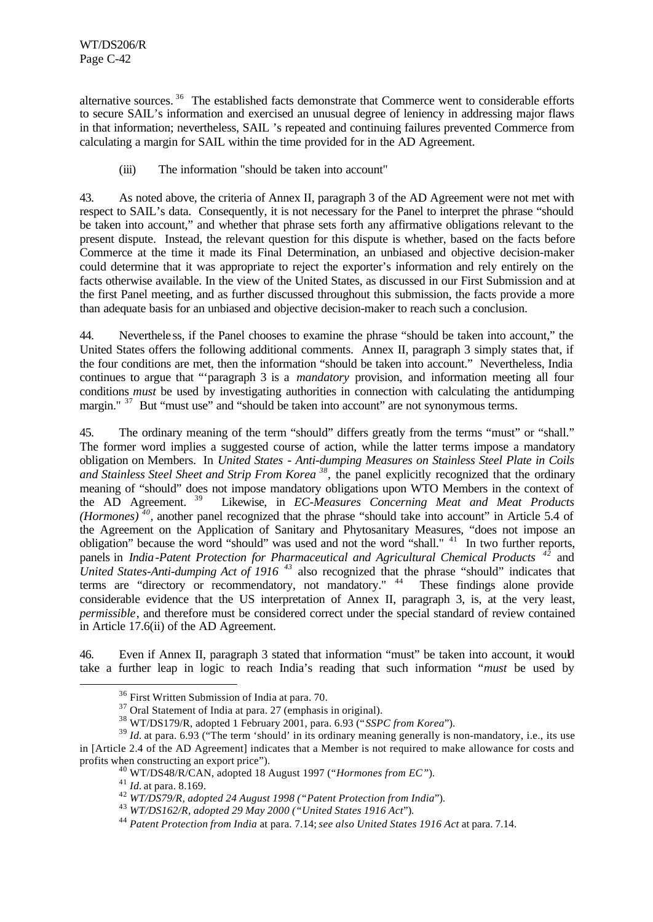alternative sources.<sup>36</sup> The established facts demonstrate that Commerce went to considerable efforts to secure SAIL's information and exercised an unusual degree of leniency in addressing major flaws in that information; nevertheless, SAIL 's repeated and continuing failures prevented Commerce from calculating a margin for SAIL within the time provided for in the AD Agreement.

(iii) The information "should be taken into account"

43. As noted above, the criteria of Annex II, paragraph 3 of the AD Agreement were not met with respect to SAIL's data. Consequently, it is not necessary for the Panel to interpret the phrase "should be taken into account," and whether that phrase sets forth any affirmative obligations relevant to the present dispute. Instead, the relevant question for this dispute is whether, based on the facts before Commerce at the time it made its Final Determination, an unbiased and objective decision-maker could determine that it was appropriate to reject the exporter's information and rely entirely on the facts otherwise available. In the view of the United States, as discussed in our First Submission and at the first Panel meeting, and as further discussed throughout this submission, the facts provide a more than adequate basis for an unbiased and objective decision-maker to reach such a conclusion.

44. Neverthele ss, if the Panel chooses to examine the phrase "should be taken into account," the United States offers the following additional comments. Annex II, paragraph 3 simply states that, if the four conditions are met, then the information "should be taken into account." Nevertheless, India continues to argue that "'paragraph 3 is a *mandatory* provision, and information meeting all four conditions *must* be used by investigating authorities in connection with calculating the antidumping margin." <sup>37</sup> But "must use" and "should be taken into account" are not synonymous terms.

45. The ordinary meaning of the term "should" differs greatly from the terms "must" or "shall." The former word implies a suggested course of action, while the latter terms impose a mandatory obligation on Members. In *United States - Anti-dumping Measures on Stainless Steel Plate in Coils and Stainless Steel Sheet and Strip From Korea <sup>38</sup> ,* the panel explicitly recognized that the ordinary meaning of "should" does not impose mandatory obligations upon WTO Members in the context of the AD Agreement.<sup>39</sup> Likewise, in *EC-Measures Concerning Meat and Meat Products* Likewise, in *EC-Measures Concerning Meat and Meat Products (Hormones)*<sup> $40$ </sup>, another panel recognized that the phrase "should take into account" in Article 5.4 of the Agreement on the Application of Sanitary and Phytosanitary Measures, "does not impose an obligation" because the word "should" was used and not the word "shall." <sup>41</sup> In two further reports, panels in *India-Patent Protection for Pharmaceutical and Agricultural Chemical Products <sup>42</sup>* and *United States-Anti-dumping Act of 1916 <sup>43</sup>* also recognized that the phrase "should" indicates that terms are "directory or recommendatory, not mandatory." <sup>44</sup> These findings alone provide considerable evidence that the US interpretation of Annex II, paragraph 3, is, at the very least, *permissible*, and therefore must be considered correct under the special standard of review contained in Article 17.6(ii) of the AD Agreement.

46. Even if Annex II, paragraph 3 stated that information "must" be taken into account, it would take a further leap in logic to reach India's reading that such information "*must* be used by

<sup>36</sup> First Written Submission of India at para. 70.

 $37$  Oral Statement of India at para. 27 (emphasis in original).

<sup>38</sup> WT/DS179/R, adopted 1 February 2001, para. 6.93 ("*SSPC from Korea*").

<sup>&</sup>lt;sup>39</sup> *Id.* at para. 6.93 ("The term 'should' in its ordinary meaning generally is non-mandatory, i.e., its use in [Article 2.4 of the AD Agreement] indicates that a Member is not required to make allowance for costs and profits when constructing an export price").

<sup>40</sup> WT/DS48/R/CAN, adopted 18 August 1997 (*"Hormones from EC"*).

<sup>41</sup> *Id.* at para. 8.169.

<sup>42</sup> *WT/DS79/R, adopted 24 August 1998 ("Patent Protection from India*").

<sup>43</sup> *WT/DS162/R, adopted 29 May 2000 ("United States 1916 Act*").

<sup>44</sup> *Patent Protection from India* at para. 7.14; *see also United States 1916 Act* at para. 7.14.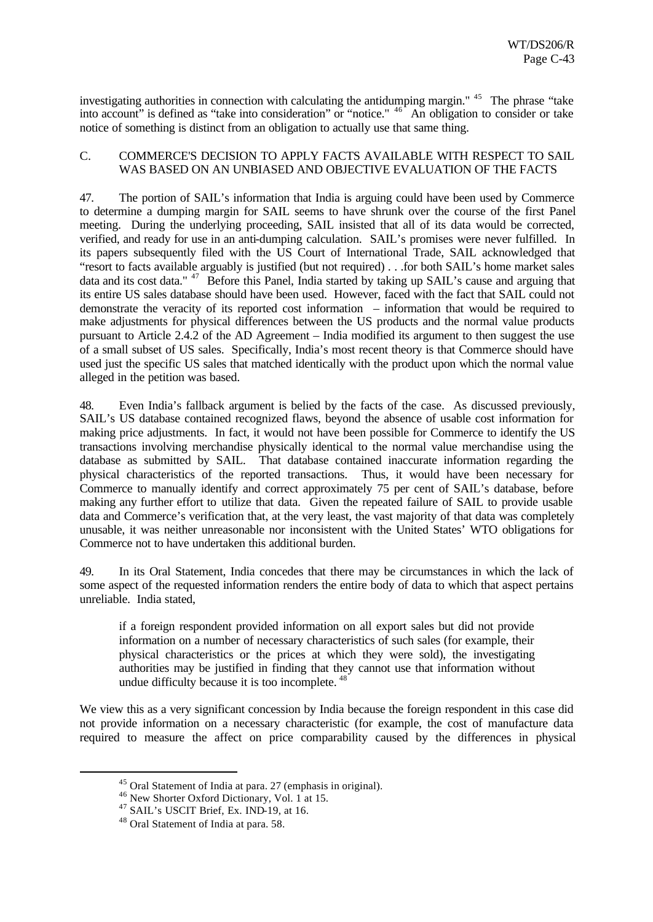investigating authorities in connection with calculating the antidumping margin." <sup>45</sup> The phrase "take into account" is defined as "take into consideration" or "notice." <sup>46</sup> An obligation to consider or take notice of something is distinct from an obligation to actually use that same thing.

### C. COMMERCE'S DECISION TO APPLY FACTS AVAILABLE WITH RESPECT TO SAIL WAS BASED ON AN UNBIASED AND OBJECTIVE EVALUATION OF THE FACTS

47. The portion of SAIL's information that India is arguing could have been used by Commerce to determine a dumping margin for SAIL seems to have shrunk over the course of the first Panel meeting. During the underlying proceeding, SAIL insisted that all of its data would be corrected, verified, and ready for use in an anti-dumping calculation. SAIL's promises were never fulfilled. In its papers subsequently filed with the US Court of International Trade, SAIL acknowledged that "resort to facts available arguably is justified (but not required) . . .for both SAIL's home market sales data and its cost data." <sup>47</sup> Before this Panel, India started by taking up SAIL's cause and arguing that its entire US sales database should have been used. However, faced with the fact that SAIL could not demonstrate the veracity of its reported cost information – information that would be required to make adjustments for physical differences between the US products and the normal value products pursuant to Article 2.4.2 of the AD Agreement – India modified its argument to then suggest the use of a small subset of US sales. Specifically, India's most recent theory is that Commerce should have used just the specific US sales that matched identically with the product upon which the normal value alleged in the petition was based.

48. Even India's fallback argument is belied by the facts of the case. As discussed previously, SAIL's US database contained recognized flaws, beyond the absence of usable cost information for making price adjustments. In fact, it would not have been possible for Commerce to identify the US transactions involving merchandise physically identical to the normal value merchandise using the database as submitted by SAIL. That database contained inaccurate information regarding the physical characteristics of the reported transactions. Thus, it would have been necessary for Commerce to manually identify and correct approximately 75 per cent of SAIL's database, before making any further effort to utilize that data. Given the repeated failure of SAIL to provide usable data and Commerce's verification that, at the very least, the vast majority of that data was completely unusable, it was neither unreasonable nor inconsistent with the United States' WTO obligations for Commerce not to have undertaken this additional burden.

49. In its Oral Statement, India concedes that there may be circumstances in which the lack of some aspect of the requested information renders the entire body of data to which that aspect pertains unreliable. India stated,

if a foreign respondent provided information on all export sales but did not provide information on a number of necessary characteristics of such sales (for example, their physical characteristics or the prices at which they were sold), the investigating authorities may be justified in finding that they cannot use that information without undue difficulty because it is too incomplete. <sup>48</sup>

We view this as a very significant concession by India because the foreign respondent in this case did not provide information on a necessary characteristic (for example, the cost of manufacture data required to measure the affect on price comparability caused by the differences in physical

<sup>45</sup> Oral Statement of India at para. 27 (emphasis in original).

<sup>46</sup> New Shorter Oxford Dictionary, Vol. 1 at 15.

<sup>47</sup> SAIL's USCIT Brief, Ex. IND-19, at 16.

<sup>48</sup> Oral Statement of India at para. 58.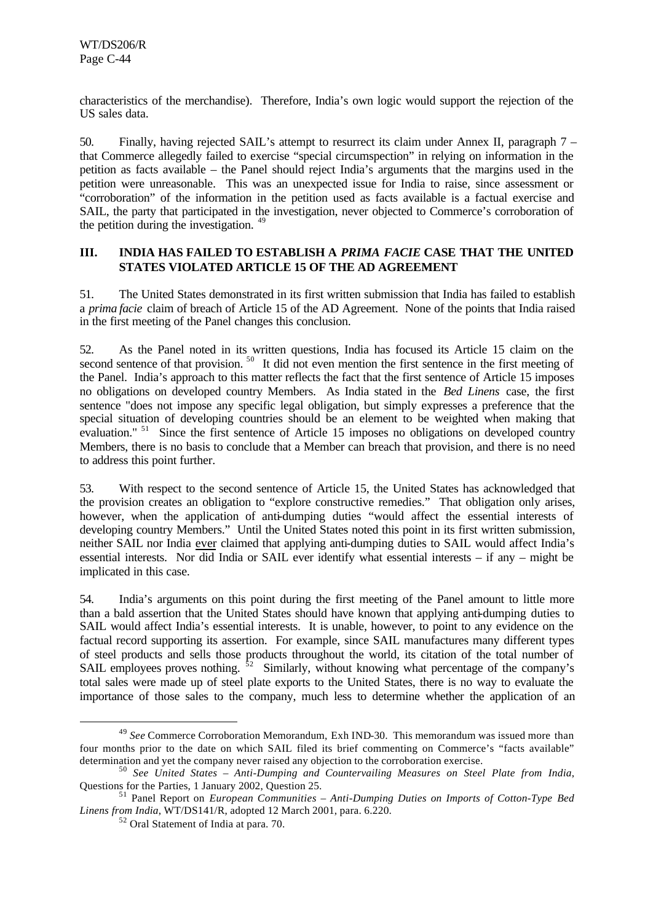characteristics of the merchandise). Therefore, India's own logic would support the rejection of the US sales data.

50. Finally, having rejected SAIL's attempt to resurrect its claim under Annex II, paragraph 7 – that Commerce allegedly failed to exercise "special circumspection" in relying on information in the petition as facts available – the Panel should reject India's arguments that the margins used in the petition were unreasonable. This was an unexpected issue for India to raise, since assessment or "corroboration" of the information in the petition used as facts available is a factual exercise and SAIL, the party that participated in the investigation, never objected to Commerce's corroboration of the petition during the investigation.  $49$ 

### **III. INDIA HAS FAILED TO ESTABLISH A** *PRIMA FACIE* **CASE THAT THE UNITED STATES VIOLATED ARTICLE 15 OF THE AD AGREEMENT**

51. The United States demonstrated in its first written submission that India has failed to establish a *prima facie* claim of breach of Article 15 of the AD Agreement. None of the points that India raised in the first meeting of the Panel changes this conclusion.

52. As the Panel noted in its written questions, India has focused its Article 15 claim on the second sentence of that provision.<sup>50</sup> It did not even mention the first sentence in the first meeting of the Panel. India's approach to this matter reflects the fact that the first sentence of Article 15 imposes no obligations on developed country Members. As India stated in the *Bed Linens* case, the first sentence "does not impose any specific legal obligation, but simply expresses a preference that the special situation of developing countries should be an element to be weighted when making that evaluation." <sup>51</sup> Since the first sentence of Article 15 imposes no obligations on developed country Members, there is no basis to conclude that a Member can breach that provision, and there is no need to address this point further.

53. With respect to the second sentence of Article 15, the United States has acknowledged that the provision creates an obligation to "explore constructive remedies." That obligation only arises, however, when the application of anti-dumping duties "would affect the essential interests of developing country Members." Until the United States noted this point in its first written submission, neither SAIL nor India ever claimed that applying anti-dumping duties to SAIL would affect India's essential interests. Nor did India or SAIL ever identify what essential interests – if any – might be implicated in this case.

54. India's arguments on this point during the first meeting of the Panel amount to little more than a bald assertion that the United States should have known that applying anti-dumping duties to SAIL would affect India's essential interests. It is unable, however, to point to any evidence on the factual record supporting its assertion. For example, since SAIL manufactures many different types of steel products and sells those products throughout the world, its citation of the total number of SAIL employees proves nothing.  $52$  Similarly, without knowing what percentage of the company's total sales were made up of steel plate exports to the United States, there is no way to evaluate the importance of those sales to the company, much less to determine whether the application of an

<sup>49</sup> *See* Commerce Corroboration Memorandum, Exh IND-30. This memorandum was issued more than four months prior to the date on which SAIL filed its brief commenting on Commerce's "facts available" determination and yet the company never raised any objection to the corroboration exercise.

<sup>50</sup> *See United States – Anti-Dumping and Countervailing Measures on Steel Plate from India*, Questions for the Parties, 1 January 2002, Question 25.

<sup>51</sup> Panel Report on *European Communities – Anti-Dumping Duties on Imports of Cotton-Type Bed Linens from India*, WT/DS141/R, adopted 12 March 2001, para. 6.220.

<sup>52</sup> Oral Statement of India at para. 70.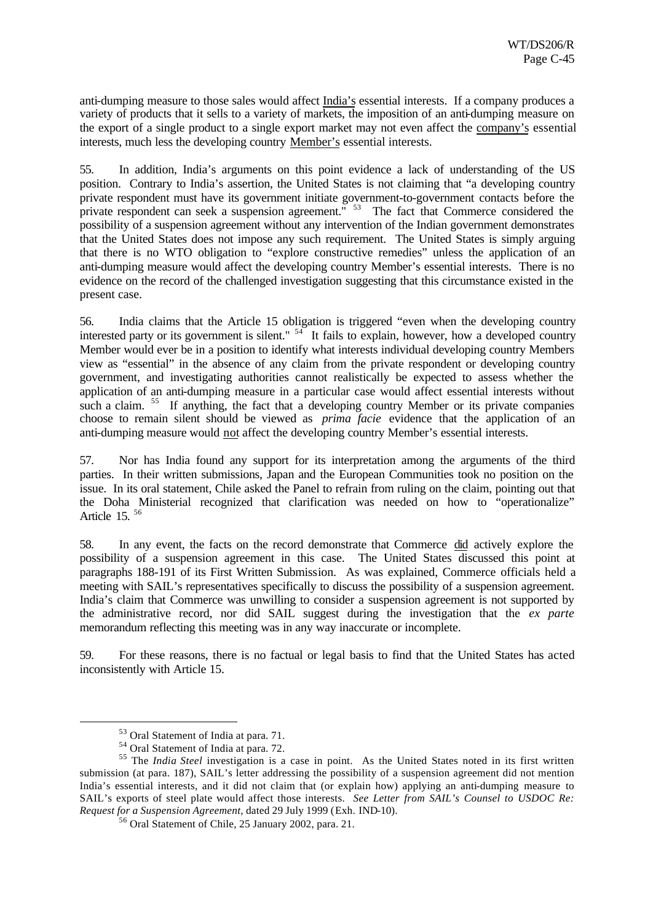anti-dumping measure to those sales would affect India's essential interests. If a company produces a variety of products that it sells to a variety of markets, the imposition of an anti-dumping measure on the export of a single product to a single export market may not even affect the company's essential interests, much less the developing country Member's essential interests.

55. In addition, India's arguments on this point evidence a lack of understanding of the US position. Contrary to India's assertion, the United States is not claiming that "a developing country private respondent must have its government initiate government-to-government contacts before the private respondent can seek a suspension agreement."  $53$  The fact that Commerce considered the possibility of a suspension agreement without any intervention of the Indian government demonstrates that the United States does not impose any such requirement. The United States is simply arguing that there is no WTO obligation to "explore constructive remedies" unless the application of an anti-dumping measure would affect the developing country Member's essential interests. There is no evidence on the record of the challenged investigation suggesting that this circumstance existed in the present case.

56. India claims that the Article 15 obligation is triggered "even when the developing country interested party or its government is silent."  $54$  It fails to explain, however, how a developed country Member would ever be in a position to identify what interests individual developing country Members view as "essential" in the absence of any claim from the private respondent or developing country government, and investigating authorities cannot realistically be expected to assess whether the application of an anti-dumping measure in a particular case would affect essential interests without such a claim.  $55$  If anything, the fact that a developing country Member or its private companies choose to remain silent should be viewed as *prima facie* evidence that the application of an anti-dumping measure would not affect the developing country Member's essential interests.

57. Nor has India found any support for its interpretation among the arguments of the third parties. In their written submissions, Japan and the European Communities took no position on the issue. In its oral statement, Chile asked the Panel to refrain from ruling on the claim, pointing out that the Doha Ministerial recognized that clarification was needed on how to "operationalize" Article 15. <sup>56</sup>

58. In any event, the facts on the record demonstrate that Commerce did actively explore the possibility of a suspension agreement in this case. The United States discussed this point at paragraphs 188-191 of its First Written Submission. As was explained, Commerce officials held a meeting with SAIL's representatives specifically to discuss the possibility of a suspension agreement. India's claim that Commerce was unwilling to consider a suspension agreement is not supported by the administrative record, nor did SAIL suggest during the investigation that the *ex parte* memorandum reflecting this meeting was in any way inaccurate or incomplete.

59. For these reasons, there is no factual or legal basis to find that the United States has acted inconsistently with Article 15.

<sup>53</sup> Oral Statement of India at para. 71.

<sup>54</sup> Oral Statement of India at para. 72.

<sup>&</sup>lt;sup>55</sup> The *India Steel* investigation is a case in point. As the United States noted in its first written submission (at para. 187), SAIL's letter addressing the possibility of a suspension agreement did not mention India's essential interests, and it did not claim that (or explain how) applying an anti-dumping measure to SAIL's exports of steel plate would affect those interests. *See Letter from SAIL's Counsel to USDOC Re: Request for a Suspension Agreement*, dated 29 July 1999 (Exh. IND-10).

<sup>56</sup> Oral Statement of Chile, 25 January 2002, para. 21.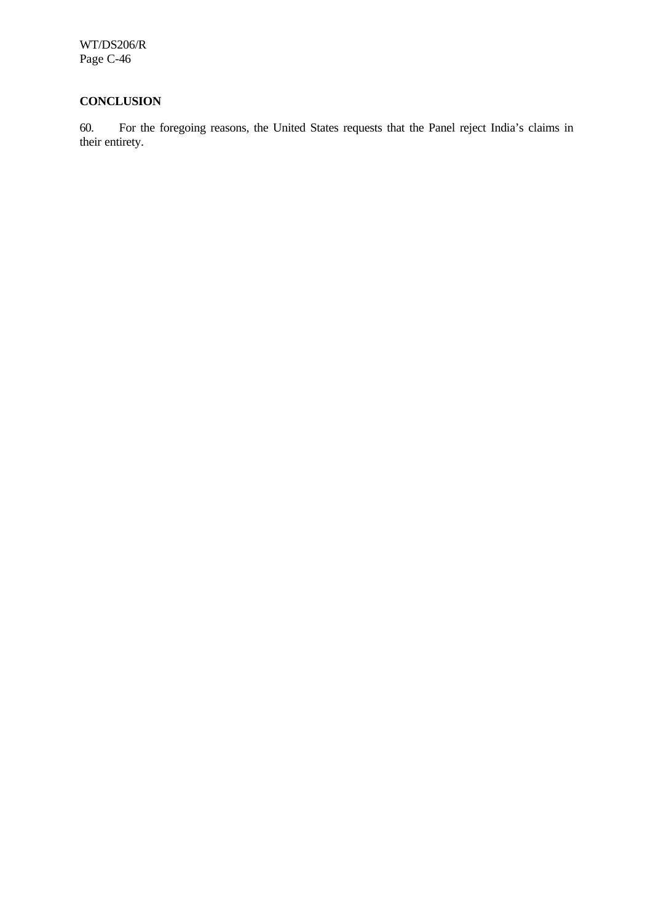WT/DS206/R Page C-46

# **CONCLUSION**

60. For the foregoing reasons, the United States requests that the Panel reject India's claims in their entirety.